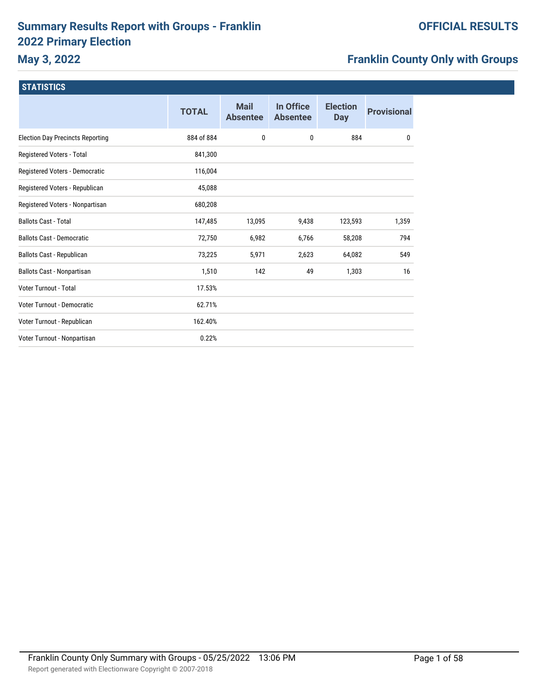# **Summary Results Report with Groups - Franklin 2022 Primary Election**

# **Franklin County Only with Groups**

| <b>TOTAL</b> | <b>Mail</b><br><b>Absentee</b> | In Office<br><b>Absentee</b> | <b>Election</b><br><b>Day</b> | <b>Provisional</b> |
|--------------|--------------------------------|------------------------------|-------------------------------|--------------------|
| 884 of 884   | 0                              | $\mathbf{0}$                 | 884                           | 0                  |
| 841,300      |                                |                              |                               |                    |
| 116,004      |                                |                              |                               |                    |
| 45,088       |                                |                              |                               |                    |
| 680,208      |                                |                              |                               |                    |
| 147,485      | 13,095                         | 9,438                        | 123,593                       | 1,359              |
| 72,750       | 6,982                          | 6,766                        | 58,208                        | 794                |
| 73,225       | 5,971                          | 2,623                        | 64,082                        | 549                |
| 1,510        | 142                            | 49                           | 1,303                         | 16                 |
| 17.53%       |                                |                              |                               |                    |
| 62.71%       |                                |                              |                               |                    |
| 162.40%      |                                |                              |                               |                    |
| 0.22%        |                                |                              |                               |                    |
|              |                                |                              |                               |                    |

# **OFFICIAL RESULTS**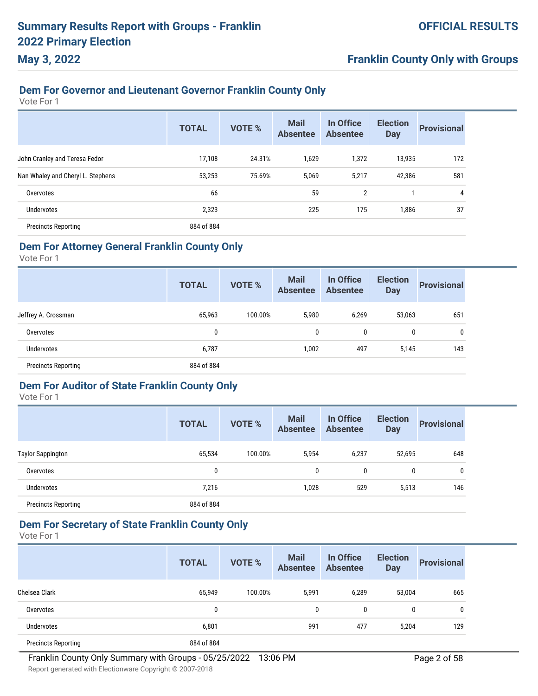# **Franklin County Only with Groups**

### **Dem For Governor and Lieutenant Governor Franklin County Only**

Vote For 1

|                                   | <b>TOTAL</b> | <b>VOTE %</b> | <b>Mail</b><br><b>Absentee</b> | In Office<br><b>Absentee</b> | <b>Election</b><br><b>Day</b> | <b>Provisional</b> |
|-----------------------------------|--------------|---------------|--------------------------------|------------------------------|-------------------------------|--------------------|
| John Cranley and Teresa Fedor     | 17,108       | 24.31%        | 1,629                          | 1,372                        | 13,935                        | 172                |
| Nan Whaley and Cheryl L. Stephens | 53,253       | 75.69%        | 5,069                          | 5,217                        | 42,386                        | 581                |
| Overvotes                         | 66           |               | 59                             | $\overline{2}$               |                               | 4                  |
| Undervotes                        | 2,323        |               | 225                            | 175                          | 1,886                         | 37                 |
| <b>Precincts Reporting</b>        | 884 of 884   |               |                                |                              |                               |                    |

#### **Dem For Attorney General Franklin County Only**

Vote For 1

|                            | <b>TOTAL</b> | <b>VOTE %</b> | <b>Mail</b><br><b>Absentee</b> | In Office<br><b>Absentee</b> | <b>Election</b><br><b>Day</b> | <b>Provisional</b> |
|----------------------------|--------------|---------------|--------------------------------|------------------------------|-------------------------------|--------------------|
| Jeffrey A. Crossman        | 65,963       | 100.00%       | 5,980                          | 6,269                        | 53,063                        | 651                |
| Overvotes                  | 0            |               | 0                              | 0                            | 0                             | 0                  |
| Undervotes                 | 6,787        |               | 1,002                          | 497                          | 5,145                         | 143                |
| <b>Precincts Reporting</b> | 884 of 884   |               |                                |                              |                               |                    |

#### **Dem For Auditor of State Franklin County Only**

Vote For 1

|                            | <b>TOTAL</b> | <b>VOTE %</b> | <b>Mail</b><br><b>Absentee</b> | In Office<br><b>Absentee</b> | <b>Election</b><br><b>Day</b> | <b>Provisional</b> |
|----------------------------|--------------|---------------|--------------------------------|------------------------------|-------------------------------|--------------------|
| <b>Taylor Sappington</b>   | 65,534       | 100.00%       | 5,954                          | 6,237                        | 52,695                        | 648                |
| Overvotes                  | 0            |               | 0                              | 0                            | 0                             | 0                  |
| Undervotes                 | 7,216        |               | 1,028                          | 529                          | 5,513                         | 146                |
| <b>Precincts Reporting</b> | 884 of 884   |               |                                |                              |                               |                    |

### **Dem For Secretary of State Franklin County Only**

|                            | <b>TOTAL</b> | <b>VOTE %</b> | <b>Mail</b><br><b>Absentee</b> | In Office<br><b>Absentee</b> | <b>Election</b><br><b>Day</b> | <b>Provisional</b> |
|----------------------------|--------------|---------------|--------------------------------|------------------------------|-------------------------------|--------------------|
| Chelsea Clark              | 65,949       | 100.00%       | 5,991                          | 6,289                        | 53,004                        | 665                |
| Overvotes                  | 0            |               | $\mathbf{0}$                   | 0                            | 0                             | 0                  |
| <b>Undervotes</b>          | 6,801        |               | 991                            | 477                          | 5,204                         | 129                |
| <b>Precincts Reporting</b> | 884 of 884   |               |                                |                              |                               |                    |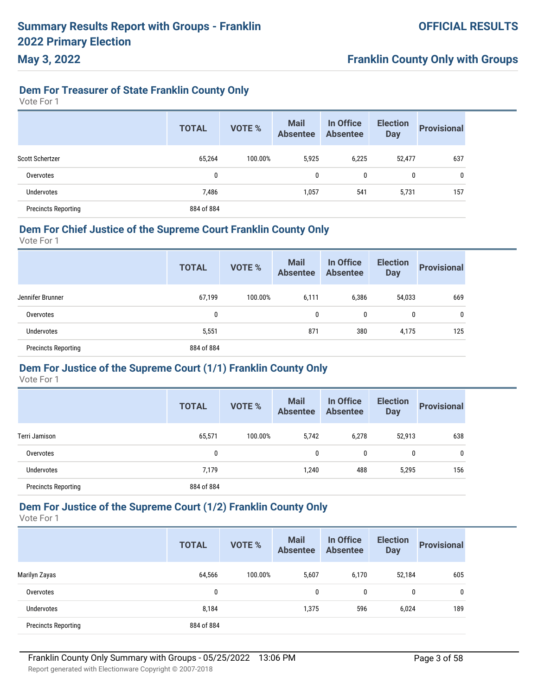## **Dem For Treasurer of State Franklin County Only**

Vote For 1

**May 3, 2022**

|                            | <b>TOTAL</b> | <b>VOTE %</b> | <b>Mail</b><br><b>Absentee</b> | In Office<br><b>Absentee</b> | <b>Election</b><br><b>Day</b> | <b>Provisional</b> |
|----------------------------|--------------|---------------|--------------------------------|------------------------------|-------------------------------|--------------------|
| Scott Schertzer            | 65,264       | 100.00%       | 5,925                          | 6,225                        | 52,477                        | 637                |
| Overvotes                  | 0            |               | 0                              | 0                            | 0                             | 0                  |
| Undervotes                 | 7,486        |               | 1,057                          | 541                          | 5,731                         | 157                |
| <b>Precincts Reporting</b> | 884 of 884   |               |                                |                              |                               |                    |

#### **Dem For Chief Justice of the Supreme Court Franklin County Only**

Vote For 1

|                            | <b>TOTAL</b> | <b>VOTE %</b> | <b>Mail</b><br><b>Absentee</b> | In Office<br><b>Absentee</b> | <b>Election</b><br><b>Day</b> | <b>Provisional</b> |
|----------------------------|--------------|---------------|--------------------------------|------------------------------|-------------------------------|--------------------|
| Jennifer Brunner           | 67,199       | 100.00%       | 6,111                          | 6,386                        | 54,033                        | 669                |
| Overvotes                  | 0            |               | 0                              | 0                            | 0                             | 0                  |
| Undervotes                 | 5,551        |               | 871                            | 380                          | 4,175                         | 125                |
| <b>Precincts Reporting</b> | 884 of 884   |               |                                |                              |                               |                    |

#### **Dem For Justice of the Supreme Court (1/1) Franklin County Only**

Vote For 1

|                            | <b>TOTAL</b> | <b>VOTE %</b> | <b>Mail</b><br><b>Absentee</b> | In Office<br><b>Absentee</b> | <b>Election</b><br><b>Day</b> | <b>Provisional</b> |
|----------------------------|--------------|---------------|--------------------------------|------------------------------|-------------------------------|--------------------|
| Terri Jamison              | 65,571       | 100.00%       | 5,742                          | 6,278                        | 52,913                        | 638                |
| Overvotes                  | 0            |               | 0                              | 0                            | $\mathbf{0}$                  | 0                  |
| <b>Undervotes</b>          | 7,179        |               | 1,240                          | 488                          | 5,295                         | 156                |
| <b>Precincts Reporting</b> | 884 of 884   |               |                                |                              |                               |                    |

### **Dem For Justice of the Supreme Court (1/2) Franklin County Only**

Vote For 1

|                            | <b>TOTAL</b> | <b>VOTE %</b> | <b>Mail</b><br><b>Absentee</b> | In Office<br><b>Absentee</b> | <b>Election</b><br><b>Day</b> | <b>Provisional</b> |
|----------------------------|--------------|---------------|--------------------------------|------------------------------|-------------------------------|--------------------|
| Marilyn Zayas              | 64,566       | 100.00%       | 5,607                          | 6,170                        | 52,184                        | 605                |
| Overvotes                  | 0            |               | 0                              | 0                            | 0                             | 0                  |
| Undervotes                 | 8,184        |               | 1,375                          | 596                          | 6,024                         | 189                |
| <b>Precincts Reporting</b> | 884 of 884   |               |                                |                              |                               |                    |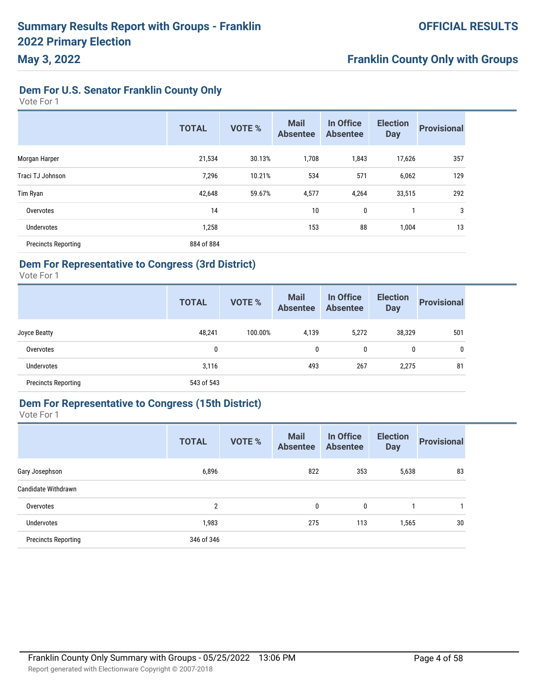# **Dem For U.S. Senator Franklin County Only**

Vote For 1

**May 3, 2022**

|                            | <b>TOTAL</b> | <b>VOTE %</b> | <b>Mail</b><br><b>Absentee</b> | In Office<br><b>Absentee</b> | <b>Election</b><br><b>Day</b> | <b>Provisional</b> |
|----------------------------|--------------|---------------|--------------------------------|------------------------------|-------------------------------|--------------------|
| Morgan Harper              | 21,534       | 30.13%        | 1,708                          | 1,843                        | 17,626                        | 357                |
| Traci TJ Johnson           | 7,296        | 10.21%        | 534                            | 571                          | 6,062                         | 129                |
| Tim Ryan                   | 42,648       | 59.67%        | 4,577                          | 4,264                        | 33,515                        | 292                |
| Overvotes                  | 14           |               | 10                             | 0                            |                               | 3                  |
| <b>Undervotes</b>          | 1,258        |               | 153                            | 88                           | 1,004                         | 13                 |
| <b>Precincts Reporting</b> | 884 of 884   |               |                                |                              |                               |                    |

### **Dem For Representative to Congress (3rd District)**

Vote For 1

|                            | <b>TOTAL</b> | <b>VOTE %</b> | <b>Mail</b><br><b>Absentee</b> | In Office<br><b>Absentee</b> | <b>Election</b><br><b>Day</b> | <b>Provisional</b> |
|----------------------------|--------------|---------------|--------------------------------|------------------------------|-------------------------------|--------------------|
| Joyce Beatty               | 48,241       | 100.00%       | 4,139                          | 5,272                        | 38,329                        | 501                |
| Overvotes                  | 0            |               | $\mathbf{0}$                   | 0                            | $\mathbf{0}$                  | $\mathbf{0}$       |
| <b>Undervotes</b>          | 3,116        |               | 493                            | 267                          | 2,275                         | 81                 |
| <b>Precincts Reporting</b> | 543 of 543   |               |                                |                              |                               |                    |

### **Dem For Representative to Congress (15th District)**

|                            | <b>TOTAL</b> | <b>VOTE %</b> | <b>Mail</b><br><b>Absentee</b> | In Office<br><b>Absentee</b> | <b>Election</b><br><b>Day</b> | <b>Provisional</b> |
|----------------------------|--------------|---------------|--------------------------------|------------------------------|-------------------------------|--------------------|
| Gary Josephson             | 6,896        |               | 822                            | 353                          | 5,638                         | 83                 |
| Candidate Withdrawn        |              |               |                                |                              |                               |                    |
| Overvotes                  | 2            |               | 0                              | 0                            |                               |                    |
| <b>Undervotes</b>          | 1,983        |               | 275                            | 113                          | 1,565                         | 30                 |
| <b>Precincts Reporting</b> | 346 of 346   |               |                                |                              |                               |                    |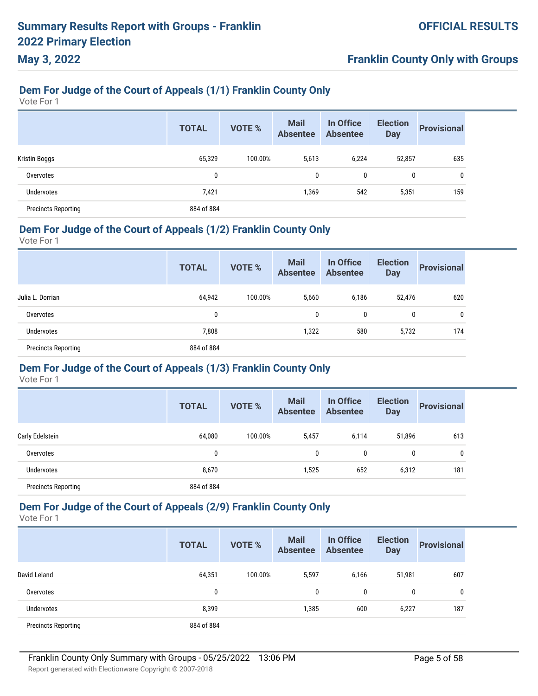# **Franklin County Only with Groups**

# **Dem For Judge of the Court of Appeals (1/1) Franklin County Only**

Vote For 1

|                            | <b>TOTAL</b> | <b>VOTE %</b> | <b>Mail</b><br><b>Absentee</b> | In Office<br><b>Absentee</b> | <b>Election</b><br><b>Day</b> | <b>Provisional</b> |
|----------------------------|--------------|---------------|--------------------------------|------------------------------|-------------------------------|--------------------|
| Kristin Boggs              | 65,329       | 100.00%       | 5,613                          | 6,224                        | 52,857                        | 635                |
| Overvotes                  | 0            |               | 0                              | $\mathbf{0}$                 | 0                             | 0                  |
| <b>Undervotes</b>          | 7,421        |               | 1,369                          | 542                          | 5,351                         | 159                |
| <b>Precincts Reporting</b> | 884 of 884   |               |                                |                              |                               |                    |

### **Dem For Judge of the Court of Appeals (1/2) Franklin County Only**

Vote For 1

|                            | <b>TOTAL</b> | <b>VOTE %</b> | <b>Mail</b><br><b>Absentee</b> | In Office<br><b>Absentee</b> | <b>Election</b><br><b>Day</b> | <b>Provisional</b> |
|----------------------------|--------------|---------------|--------------------------------|------------------------------|-------------------------------|--------------------|
| Julia L. Dorrian           | 64,942       | 100.00%       | 5,660                          | 6,186                        | 52,476                        | 620                |
| Overvotes                  | 0            |               | 0                              | 0                            | 0                             | 0                  |
| Undervotes                 | 7,808        |               | 1,322                          | 580                          | 5,732                         | 174                |
| <b>Precincts Reporting</b> | 884 of 884   |               |                                |                              |                               |                    |

#### **Dem For Judge of the Court of Appeals (1/3) Franklin County Only**

Vote For 1

|                            | <b>TOTAL</b> | <b>VOTE %</b> | <b>Mail</b><br><b>Absentee</b> | In Office<br><b>Absentee</b> | <b>Election</b><br><b>Day</b> | <b>Provisional</b> |
|----------------------------|--------------|---------------|--------------------------------|------------------------------|-------------------------------|--------------------|
| Carly Edelstein            | 64,080       | 100.00%       | 5,457                          | 6,114                        | 51,896                        | 613                |
| Overvotes                  | 0            |               | 0                              | 0                            | 0                             | 0                  |
| <b>Undervotes</b>          | 8,670        |               | 1,525                          | 652                          | 6,312                         | 181                |
| <b>Precincts Reporting</b> | 884 of 884   |               |                                |                              |                               |                    |

### **Dem For Judge of the Court of Appeals (2/9) Franklin County Only**

Vote For 1

|                            | <b>TOTAL</b> | <b>VOTE %</b> | <b>Mail</b><br><b>Absentee</b> | In Office<br><b>Absentee</b> | <b>Election</b><br><b>Day</b> | <b>Provisional</b> |
|----------------------------|--------------|---------------|--------------------------------|------------------------------|-------------------------------|--------------------|
| David Leland               | 64,351       | 100.00%       | 5,597                          | 6,166                        | 51,981                        | 607                |
| Overvotes                  | 0            |               | 0                              | 0                            | $\mathbf{0}$                  | 0                  |
| <b>Undervotes</b>          | 8,399        |               | 1,385                          | 600                          | 6,227                         | 187                |
| <b>Precincts Reporting</b> | 884 of 884   |               |                                |                              |                               |                    |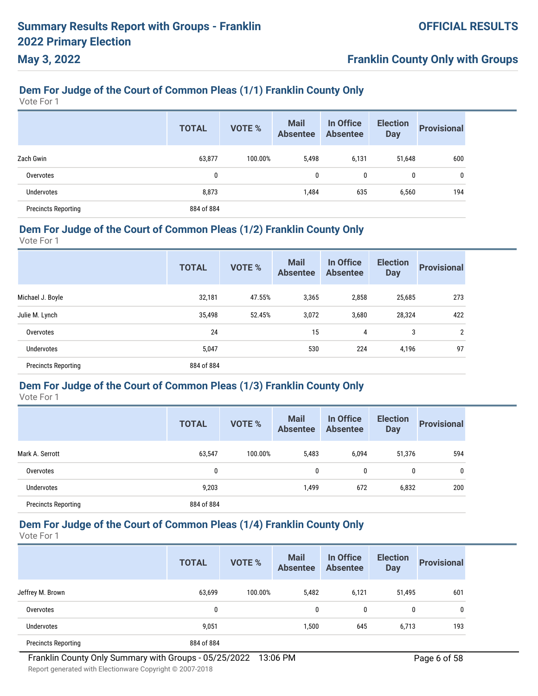# **Franklin County Only with Groups**

# **Dem For Judge of the Court of Common Pleas (1/1) Franklin County Only**

Vote For 1

|                            | <b>TOTAL</b> | <b>VOTE %</b> | <b>Mail</b><br><b>Absentee</b> | In Office<br><b>Absentee</b> | <b>Election</b><br><b>Day</b> | <b>Provisional</b> |
|----------------------------|--------------|---------------|--------------------------------|------------------------------|-------------------------------|--------------------|
| Zach Gwin                  | 63,877       | 100.00%       | 5,498                          | 6,131                        | 51,648                        | 600                |
| Overvotes                  | 0            |               | 0                              | 0                            | 0                             | 0                  |
| Undervotes                 | 8,873        |               | 1,484                          | 635                          | 6,560                         | 194                |
| <b>Precincts Reporting</b> | 884 of 884   |               |                                |                              |                               |                    |

### **Dem For Judge of the Court of Common Pleas (1/2) Franklin County Only**

Vote For 1

|                            | <b>TOTAL</b> | <b>VOTE %</b> | <b>Mail</b><br><b>Absentee</b> | In Office<br><b>Absentee</b> | <b>Election</b><br><b>Day</b> | <b>Provisional</b> |
|----------------------------|--------------|---------------|--------------------------------|------------------------------|-------------------------------|--------------------|
| Michael J. Boyle           | 32,181       | 47.55%        | 3,365                          | 2,858                        | 25,685                        | 273                |
| Julie M. Lynch             | 35,498       | 52.45%        | 3,072                          | 3,680                        | 28,324                        | 422                |
| Overvotes                  | 24           |               | 15                             | 4                            | 3                             | $\overline{2}$     |
| Undervotes                 | 5,047        |               | 530                            | 224                          | 4,196                         | 97                 |
| <b>Precincts Reporting</b> | 884 of 884   |               |                                |                              |                               |                    |
|                            |              |               |                                |                              |                               |                    |

#### **Dem For Judge of the Court of Common Pleas (1/3) Franklin County Only**

Vote For 1

|                            | <b>TOTAL</b> | <b>VOTE %</b> | <b>Mail</b><br><b>Absentee</b> | In Office<br><b>Absentee</b> | <b>Election</b><br><b>Day</b> | <b>Provisional</b> |
|----------------------------|--------------|---------------|--------------------------------|------------------------------|-------------------------------|--------------------|
| Mark A. Serrott            | 63,547       | 100.00%       | 5,483                          | 6,094                        | 51,376                        | 594                |
| Overvotes                  | 0            |               | 0                              | $\mathbf{0}$                 | 0                             | 0                  |
| Undervotes                 | 9,203        |               | 1,499                          | 672                          | 6,832                         | 200                |
| <b>Precincts Reporting</b> | 884 of 884   |               |                                |                              |                               |                    |

## **Dem For Judge of the Court of Common Pleas (1/4) Franklin County Only**

|                            | <b>TOTAL</b> | <b>VOTE %</b> | <b>Mail</b><br><b>Absentee</b> | In Office<br><b>Absentee</b> | <b>Election</b><br><b>Day</b> | <b>Provisional</b> |
|----------------------------|--------------|---------------|--------------------------------|------------------------------|-------------------------------|--------------------|
| Jeffrey M. Brown           | 63,699       | 100.00%       | 5,482                          | 6,121                        | 51,495                        | 601                |
| Overvotes                  | 0            |               | 0                              | 0                            | 0                             | 0                  |
| Undervotes                 | 9,051        |               | 1,500                          | 645                          | 6,713                         | 193                |
| <b>Precincts Reporting</b> | 884 of 884   |               |                                |                              |                               |                    |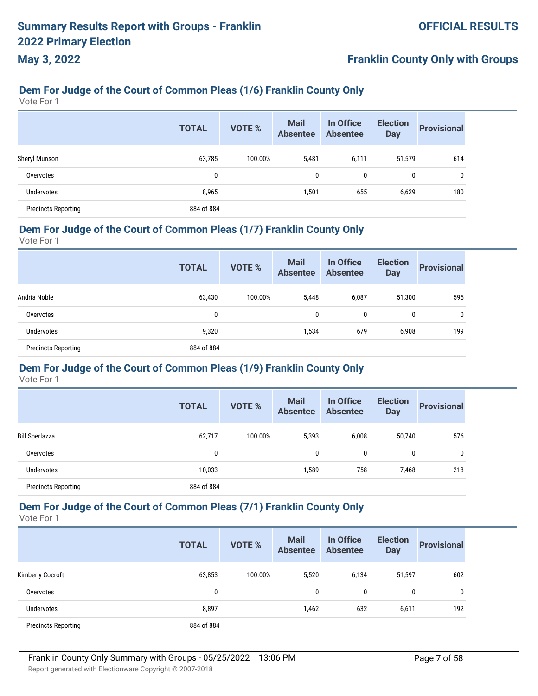# **Franklin County Only with Groups**

# **Dem For Judge of the Court of Common Pleas (1/6) Franklin County Only**

Vote For 1

|                            | <b>TOTAL</b> | <b>VOTE %</b> | <b>Mail</b><br><b>Absentee</b> | In Office<br><b>Absentee</b> | <b>Election</b><br><b>Day</b> | <b>Provisional</b> |
|----------------------------|--------------|---------------|--------------------------------|------------------------------|-------------------------------|--------------------|
| Sheryl Munson              | 63,785       | 100.00%       | 5,481                          | 6,111                        | 51,579                        | 614                |
| Overvotes                  | 0            |               | 0                              | 0                            | 0                             | 0                  |
| <b>Undervotes</b>          | 8,965        |               | 1,501                          | 655                          | 6,629                         | 180                |
| <b>Precincts Reporting</b> | 884 of 884   |               |                                |                              |                               |                    |

### **Dem For Judge of the Court of Common Pleas (1/7) Franklin County Only**

Vote For 1

|                            | <b>TOTAL</b> | <b>VOTE %</b> | <b>Mail</b><br><b>Absentee</b> | In Office<br><b>Absentee</b> | <b>Election</b><br><b>Day</b> | <b>Provisional</b> |
|----------------------------|--------------|---------------|--------------------------------|------------------------------|-------------------------------|--------------------|
| Andria Noble               | 63,430       | 100.00%       | 5,448                          | 6,087                        | 51,300                        | 595                |
| Overvotes                  | 0            |               | 0                              | 0                            | 0                             | 0                  |
| Undervotes                 | 9,320        |               | 1,534                          | 679                          | 6,908                         | 199                |
| <b>Precincts Reporting</b> | 884 of 884   |               |                                |                              |                               |                    |

#### **Dem For Judge of the Court of Common Pleas (1/9) Franklin County Only**

Vote For 1

|                            | <b>TOTAL</b> | <b>VOTE %</b> | <b>Mail</b><br><b>Absentee</b> | In Office<br><b>Absentee</b> | <b>Election</b><br><b>Day</b> | <b>Provisional</b> |
|----------------------------|--------------|---------------|--------------------------------|------------------------------|-------------------------------|--------------------|
| Bill Sperlazza             | 62,717       | 100.00%       | 5,393                          | 6,008                        | 50,740                        | 576                |
| Overvotes                  | 0            |               | 0                              | $\mathbf{0}$                 | 0                             | 0                  |
| <b>Undervotes</b>          | 10,033       |               | 1,589                          | 758                          | 7,468                         | 218                |
| <b>Precincts Reporting</b> | 884 of 884   |               |                                |                              |                               |                    |

# **Dem For Judge of the Court of Common Pleas (7/1) Franklin County Only**

Vote For 1

|                            | <b>TOTAL</b> | <b>VOTE %</b> | <b>Mail</b><br><b>Absentee</b> | In Office<br><b>Absentee</b> | <b>Election</b><br><b>Day</b> | <b>Provisional</b> |
|----------------------------|--------------|---------------|--------------------------------|------------------------------|-------------------------------|--------------------|
| <b>Kimberly Cocroft</b>    | 63,853       | 100.00%       | 5,520                          | 6,134                        | 51,597                        | 602                |
| Overvotes                  | 0            |               | 0                              | 0                            | 0                             | 0                  |
| <b>Undervotes</b>          | 8,897        |               | 1,462                          | 632                          | 6,611                         | 192                |
| <b>Precincts Reporting</b> | 884 of 884   |               |                                |                              |                               |                    |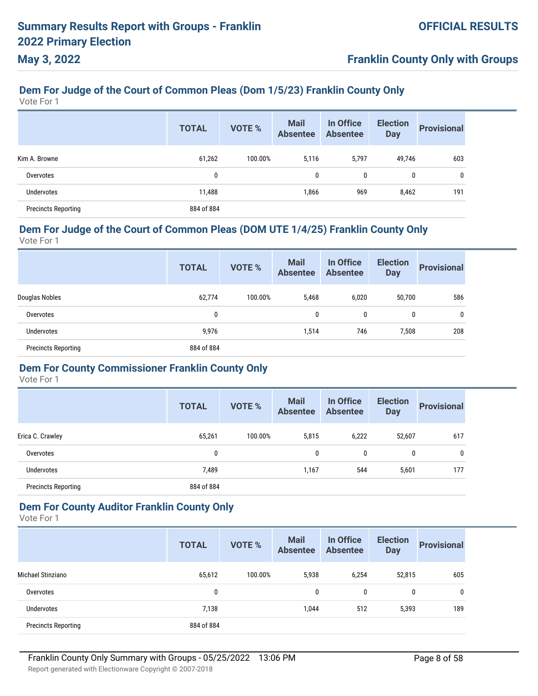# **Franklin County Only with Groups**

# **Dem For Judge of the Court of Common Pleas (Dom 1/5/23) Franklin County Only**

Vote For 1

|                            | <b>TOTAL</b> | <b>VOTE %</b> | <b>Mail</b><br><b>Absentee</b> | In Office<br><b>Absentee</b> | <b>Election</b><br><b>Day</b> | <b>Provisional</b> |
|----------------------------|--------------|---------------|--------------------------------|------------------------------|-------------------------------|--------------------|
| Kim A. Browne              | 61,262       | 100.00%       | 5,116                          | 5,797                        | 49,746                        | 603                |
| Overvotes                  | $\mathbf{0}$ |               | 0                              | 0                            | 0                             | 0                  |
| Undervotes                 | 11,488       |               | 1,866                          | 969                          | 8,462                         | 191                |
| <b>Precincts Reporting</b> | 884 of 884   |               |                                |                              |                               |                    |

### **Dem For Judge of the Court of Common Pleas (DOM UTE 1/4/25) Franklin County Only**

Vote For 1

|                            | <b>TOTAL</b> | <b>VOTE %</b> | <b>Mail</b><br><b>Absentee</b> | In Office<br><b>Absentee</b> | <b>Election</b><br><b>Day</b> | <b>Provisional</b> |
|----------------------------|--------------|---------------|--------------------------------|------------------------------|-------------------------------|--------------------|
| Douglas Nobles             | 62,774       | 100.00%       | 5,468                          | 6,020                        | 50,700                        | 586                |
| Overvotes                  | 0            |               | 0                              | 0                            | 0                             | 0                  |
| <b>Undervotes</b>          | 9,976        |               | 1,514                          | 746                          | 7,508                         | 208                |
| <b>Precincts Reporting</b> | 884 of 884   |               |                                |                              |                               |                    |

#### **Dem For County Commissioner Franklin County Only**

Vote For 1

|                            | <b>TOTAL</b> | <b>VOTE %</b> | <b>Mail</b><br><b>Absentee</b> | In Office<br><b>Absentee</b> | <b>Election</b><br><b>Day</b> | <b>Provisional</b> |
|----------------------------|--------------|---------------|--------------------------------|------------------------------|-------------------------------|--------------------|
| Erica C. Crawley           | 65,261       | 100.00%       | 5,815                          | 6,222                        | 52,607                        | 617                |
| Overvotes                  | 0            |               | 0                              | 0                            | 0                             | 0                  |
| Undervotes                 | 7,489        |               | 1,167                          | 544                          | 5,601                         | 177                |
| <b>Precincts Reporting</b> | 884 of 884   |               |                                |                              |                               |                    |

### **Dem For County Auditor Franklin County Only**

|                            | <b>TOTAL</b> | <b>VOTE %</b> | <b>Mail</b><br><b>Absentee</b> | In Office<br><b>Absentee</b> | <b>Election</b><br><b>Day</b> | <b>Provisional</b> |
|----------------------------|--------------|---------------|--------------------------------|------------------------------|-------------------------------|--------------------|
| Michael Stinziano          | 65,612       | 100.00%       | 5,938                          | 6,254                        | 52,815                        | 605                |
| Overvotes                  | 0            |               | 0                              | 0                            | 0                             | 0                  |
| <b>Undervotes</b>          | 7,138        |               | 1,044                          | 512                          | 5,393                         | 189                |
| <b>Precincts Reporting</b> | 884 of 884   |               |                                |                              |                               |                    |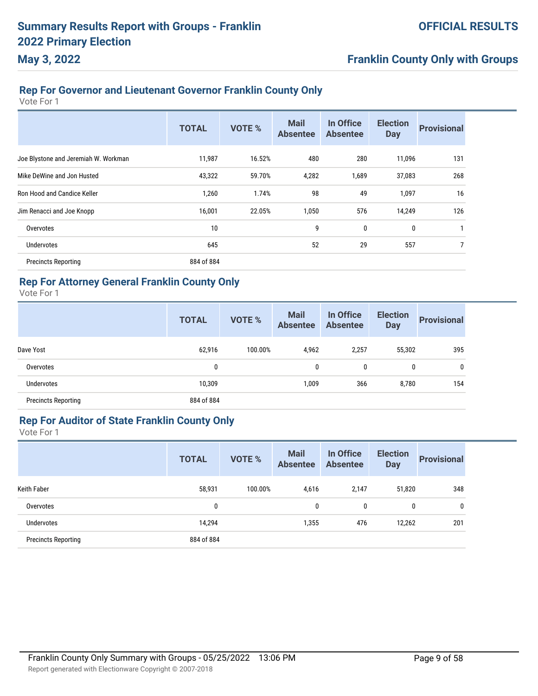# **Franklin County Only with Groups**

### **Rep For Governor and Lieutenant Governor Franklin County Only**

Vote For 1

|                                      | <b>TOTAL</b> | VOTE % | <b>Mail</b><br><b>Absentee</b> | In Office<br><b>Absentee</b> | <b>Election</b><br><b>Day</b> | <b>Provisional</b> |
|--------------------------------------|--------------|--------|--------------------------------|------------------------------|-------------------------------|--------------------|
| Joe Blystone and Jeremiah W. Workman | 11,987       | 16.52% | 480                            | 280                          | 11,096                        | 131                |
| Mike DeWine and Jon Husted           | 43,322       | 59.70% | 4,282                          | 1,689                        | 37,083                        | 268                |
| Ron Hood and Candice Keller          | 1,260        | 1.74%  | 98                             | 49                           | 1,097                         | 16                 |
| Jim Renacci and Joe Knopp            | 16,001       | 22.05% | 1,050                          | 576                          | 14,249                        | 126                |
| Overvotes                            | 10           |        | 9                              | 0                            | 0                             |                    |
| <b>Undervotes</b>                    | 645          |        | 52                             | 29                           | 557                           | 7                  |
| <b>Precincts Reporting</b>           | 884 of 884   |        |                                |                              |                               |                    |

### **Rep For Attorney General Franklin County Only**

Vote For 1

|                            | <b>TOTAL</b> | <b>VOTE %</b> | <b>Mail</b><br><b>Absentee</b> | In Office<br><b>Absentee</b> | <b>Election</b><br><b>Day</b> | <b>Provisional</b> |
|----------------------------|--------------|---------------|--------------------------------|------------------------------|-------------------------------|--------------------|
| Dave Yost                  | 62,916       | 100.00%       | 4,962                          | 2,257                        | 55,302                        | 395                |
| Overvotes                  | 0            |               | 0                              | 0                            | 0                             | $\mathbf{0}$       |
| <b>Undervotes</b>          | 10,309       |               | 1,009                          | 366                          | 8,780                         | 154                |
| <b>Precincts Reporting</b> | 884 of 884   |               |                                |                              |                               |                    |

### **Rep For Auditor of State Franklin County Only**

|                            | <b>TOTAL</b> | <b>VOTE %</b> | <b>Mail</b><br><b>Absentee</b> | In Office<br><b>Absentee</b> | <b>Election</b><br><b>Day</b> | <b>Provisional</b> |
|----------------------------|--------------|---------------|--------------------------------|------------------------------|-------------------------------|--------------------|
| <b>Keith Faber</b>         | 58,931       | 100.00%       | 4,616                          | 2,147                        | 51,820                        | 348                |
| Overvotes                  | 0            |               | 0                              | 0                            | 0                             | 0                  |
| Undervotes                 | 14,294       |               | 1,355                          | 476                          | 12,262                        | 201                |
| <b>Precincts Reporting</b> | 884 of 884   |               |                                |                              |                               |                    |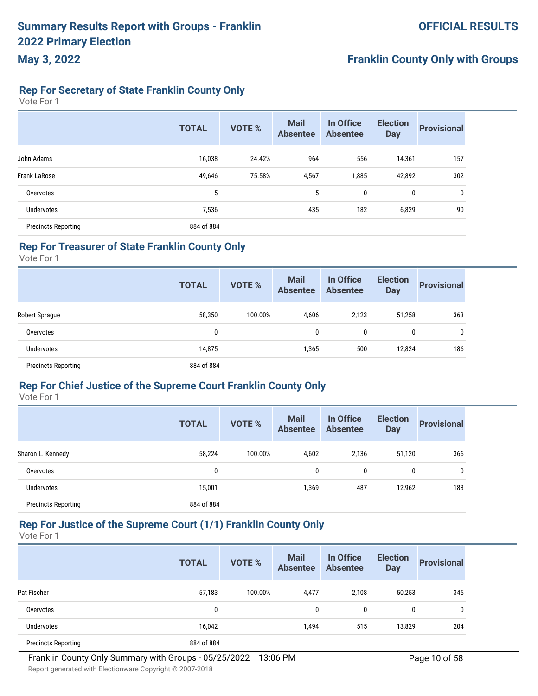### **Rep For Secretary of State Franklin County Only**

Vote For 1

**May 3, 2022**

|                            | <b>TOTAL</b> | <b>VOTE %</b> | <b>Mail</b><br><b>Absentee</b> | In Office<br><b>Absentee</b> | <b>Election</b><br><b>Day</b> | <b>Provisional</b> |
|----------------------------|--------------|---------------|--------------------------------|------------------------------|-------------------------------|--------------------|
| John Adams                 | 16,038       | 24.42%        | 964                            | 556                          | 14,361                        | 157                |
| Frank LaRose               | 49,646       | 75.58%        | 4,567                          | 1,885                        | 42,892                        | 302                |
| Overvotes                  | 5            |               | 5                              | 0                            | 0                             | 0                  |
| <b>Undervotes</b>          | 7,536        |               | 435                            | 182                          | 6,829                         | 90                 |
| <b>Precincts Reporting</b> | 884 of 884   |               |                                |                              |                               |                    |

#### **Rep For Treasurer of State Franklin County Only**

Vote For 1

|                            | <b>TOTAL</b> | <b>VOTE %</b> | <b>Mail</b><br><b>Absentee</b> | In Office<br><b>Absentee</b> | <b>Election</b><br><b>Day</b> | <b>Provisional</b> |
|----------------------------|--------------|---------------|--------------------------------|------------------------------|-------------------------------|--------------------|
| <b>Robert Sprague</b>      | 58,350       | 100.00%       | 4,606                          | 2,123                        | 51,258                        | 363                |
| Overvotes                  | 0            |               | 0                              | 0                            | 0                             | 0                  |
| <b>Undervotes</b>          | 14,875       |               | 1,365                          | 500                          | 12,824                        | 186                |
| <b>Precincts Reporting</b> | 884 of 884   |               |                                |                              |                               |                    |

#### **Rep For Chief Justice of the Supreme Court Franklin County Only**

Vote For 1

|                            | <b>TOTAL</b> | <b>VOTE %</b> | <b>Mail</b><br><b>Absentee</b> | In Office<br><b>Absentee</b> | <b>Election</b><br><b>Day</b> | <b>Provisional</b> |
|----------------------------|--------------|---------------|--------------------------------|------------------------------|-------------------------------|--------------------|
| Sharon L. Kennedy          | 58,224       | 100.00%       | 4,602                          | 2,136                        | 51,120                        | 366                |
| Overvotes                  | 0            |               | $\mathbf{0}$                   | 0                            | 0                             | 0                  |
| Undervotes                 | 15,001       |               | 1,369                          | 487                          | 12,962                        | 183                |
| <b>Precincts Reporting</b> | 884 of 884   |               |                                |                              |                               |                    |

### **Rep For Justice of the Supreme Court (1/1) Franklin County Only**

|                            | <b>TOTAL</b> | <b>VOTE %</b> | <b>Mail</b><br><b>Absentee</b> | In Office<br><b>Absentee</b> | <b>Election</b><br><b>Day</b> | <b>Provisional</b> |
|----------------------------|--------------|---------------|--------------------------------|------------------------------|-------------------------------|--------------------|
| Pat Fischer                | 57,183       | 100.00%       | 4,477                          | 2.108                        | 50,253                        | 345                |
| Overvotes                  | 0            |               | $\mathbf{0}$                   | 0                            | 0                             |                    |
| Undervotes                 | 16,042       |               | 1,494                          | 515                          | 13,829                        | 204                |
| <b>Precincts Reporting</b> | 884 of 884   |               |                                |                              |                               |                    |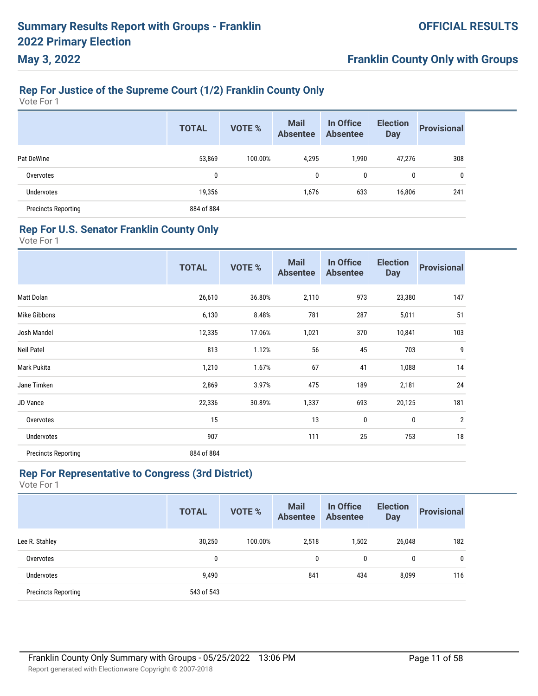# **Franklin County Only with Groups**

# **Rep For Justice of the Supreme Court (1/2) Franklin County Only**

Vote For 1

|                            | <b>TOTAL</b> | <b>VOTE %</b> | <b>Mail</b><br><b>Absentee</b> | In Office<br><b>Absentee</b> | <b>Election</b><br><b>Day</b> | <b>Provisional</b> |
|----------------------------|--------------|---------------|--------------------------------|------------------------------|-------------------------------|--------------------|
| Pat DeWine                 | 53,869       | 100.00%       | 4,295                          | 1,990                        | 47,276                        | 308                |
| Overvotes                  | 0            |               | 0                              | 0                            | 0                             | 0                  |
| Undervotes                 | 19,356       |               | 1,676                          | 633                          | 16,806                        | 241                |
| <b>Precincts Reporting</b> | 884 of 884   |               |                                |                              |                               |                    |

#### **Rep For U.S. Senator Franklin County Only**

Vote For 1

|                            | <b>TOTAL</b> | VOTE % | <b>Mail</b><br><b>Absentee</b> | In Office<br><b>Absentee</b> | <b>Election</b><br><b>Day</b> | <b>Provisional</b> |
|----------------------------|--------------|--------|--------------------------------|------------------------------|-------------------------------|--------------------|
| Matt Dolan                 | 26,610       | 36.80% | 2,110                          | 973                          | 23,380                        | 147                |
| Mike Gibbons               | 6,130        | 8.48%  | 781                            | 287                          | 5,011                         | 51                 |
| Josh Mandel                | 12,335       | 17.06% | 1,021                          | 370                          | 10,841                        | 103                |
| <b>Neil Patel</b>          | 813          | 1.12%  | 56                             | 45                           | 703                           | 9                  |
| Mark Pukita                | 1,210        | 1.67%  | 67                             | 41                           | 1,088                         | 14                 |
| Jane Timken                | 2,869        | 3.97%  | 475                            | 189                          | 2,181                         | 24                 |
| JD Vance                   | 22,336       | 30.89% | 1,337                          | 693                          | 20,125                        | 181                |
| Overvotes                  | 15           |        | 13                             | 0                            | 0                             | $\overline{2}$     |
| Undervotes                 | 907          |        | 111                            | 25                           | 753                           | 18                 |
| <b>Precincts Reporting</b> | 884 of 884   |        |                                |                              |                               |                    |

#### **Rep For Representative to Congress (3rd District)**

|                            | <b>TOTAL</b> | <b>VOTE %</b> | <b>Mail</b><br><b>Absentee</b> | In Office<br><b>Absentee</b> | <b>Election</b><br><b>Day</b> | <b>Provisional</b> |
|----------------------------|--------------|---------------|--------------------------------|------------------------------|-------------------------------|--------------------|
| Lee R. Stahley             | 30,250       | 100.00%       | 2,518                          | 1,502                        | 26,048                        | 182                |
| Overvotes                  | 0            |               | 0                              | 0                            | 0                             | 0                  |
| <b>Undervotes</b>          | 9,490        |               | 841                            | 434                          | 8,099                         | 116                |
| <b>Precincts Reporting</b> | 543 of 543   |               |                                |                              |                               |                    |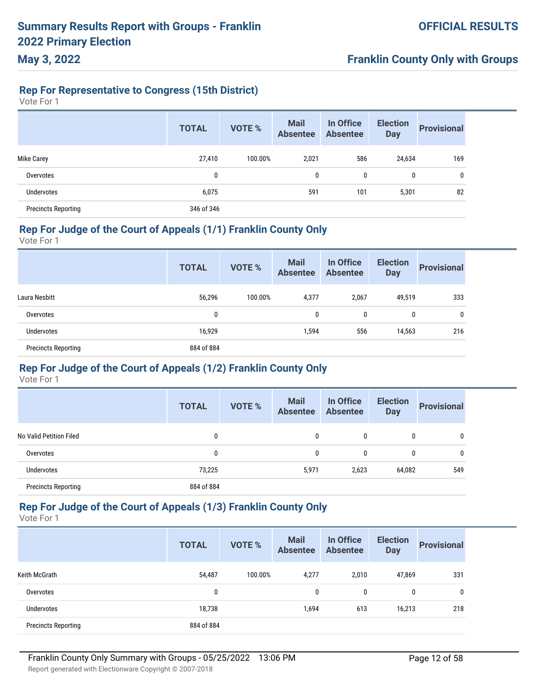#### **Rep For Representative to Congress (15th District)**

Vote For 1

**May 3, 2022**

|                            | <b>TOTAL</b> | <b>VOTE %</b> | <b>Mail</b><br><b>Absentee</b> | In Office<br><b>Absentee</b> | <b>Election</b><br><b>Day</b> | <b>Provisional</b> |
|----------------------------|--------------|---------------|--------------------------------|------------------------------|-------------------------------|--------------------|
| <b>Mike Carey</b>          | 27,410       | 100.00%       | 2,021                          | 586                          | 24,634                        | 169                |
| Overvotes                  | 0            |               | 0                              | 0                            | 0                             | 0                  |
| Undervotes                 | 6,075        |               | 591                            | 101                          | 5,301                         | 82                 |
| <b>Precincts Reporting</b> | 346 of 346   |               |                                |                              |                               |                    |

### **Rep For Judge of the Court of Appeals (1/1) Franklin County Only**

Vote For 1

|                            | <b>TOTAL</b> | <b>VOTE %</b> | <b>Mail</b><br><b>Absentee</b> | In Office<br><b>Absentee</b> | <b>Election</b><br><b>Day</b> | <b>Provisional</b> |
|----------------------------|--------------|---------------|--------------------------------|------------------------------|-------------------------------|--------------------|
| Laura Nesbitt              | 56,296       | 100.00%       | 4,377                          | 2,067                        | 49,519                        | 333                |
| Overvotes                  | 0            |               | 0                              | 0                            | 0                             | 0                  |
| Undervotes                 | 16,929       |               | 1,594                          | 556                          | 14,563                        | 216                |
| <b>Precincts Reporting</b> | 884 of 884   |               |                                |                              |                               |                    |

#### **Rep For Judge of the Court of Appeals (1/2) Franklin County Only**

Vote For 1

|                            | <b>TOTAL</b> | <b>VOTE %</b> | <b>Mail</b><br><b>Absentee</b> | In Office<br><b>Absentee</b> | <b>Election</b><br><b>Day</b> | <b>Provisional</b> |
|----------------------------|--------------|---------------|--------------------------------|------------------------------|-------------------------------|--------------------|
| No Valid Petition Filed    | 0            |               | 0                              | $\mathbf{0}$                 | $\mathbf{0}$                  | 0                  |
| Overvotes                  | 0            |               | 0                              | $\mathbf{0}$                 | $\mathbf{0}$                  | 0                  |
| <b>Undervotes</b>          | 73,225       |               | 5,971                          | 2,623                        | 64,082                        | 549                |
| <b>Precincts Reporting</b> | 884 of 884   |               |                                |                              |                               |                    |

### **Rep For Judge of the Court of Appeals (1/3) Franklin County Only**

|                            | <b>TOTAL</b> | <b>VOTE %</b> | <b>Mail</b><br><b>Absentee</b> | In Office<br><b>Absentee</b> | <b>Election</b><br><b>Day</b> | <b>Provisional</b> |
|----------------------------|--------------|---------------|--------------------------------|------------------------------|-------------------------------|--------------------|
| Keith McGrath              | 54,487       | 100.00%       | 4,277                          | 2,010                        | 47,869                        | 331                |
| Overvotes                  | 0            |               | 0                              | 0                            | 0                             | 0                  |
| Undervotes                 | 18,738       |               | 1,694                          | 613                          | 16,213                        | 218                |
| <b>Precincts Reporting</b> | 884 of 884   |               |                                |                              |                               |                    |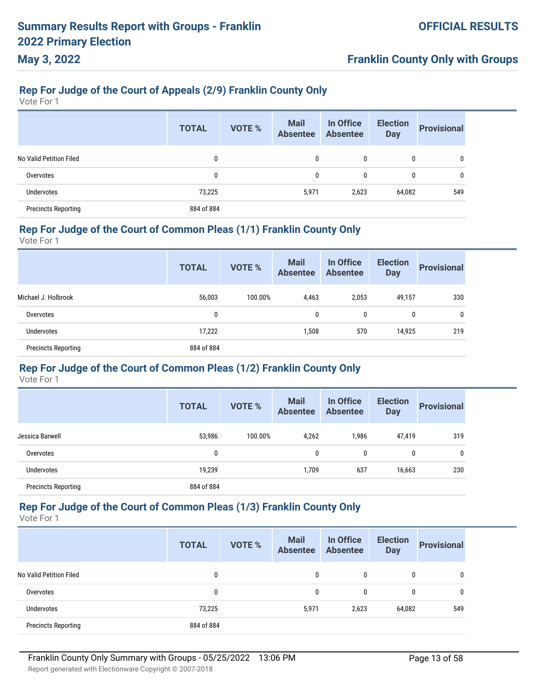## **Franklin County Only with Groups**

# **Rep For Judge of the Court of Appeals (2/9) Franklin County Only**

Vote For 1

|                            | <b>TOTAL</b> | <b>VOTE %</b> | <b>Mail</b><br><b>Absentee</b> | In Office<br><b>Absentee</b> | <b>Election</b><br><b>Day</b> | <b>Provisional</b> |
|----------------------------|--------------|---------------|--------------------------------|------------------------------|-------------------------------|--------------------|
| No Valid Petition Filed    | 0            |               | 0                              | $\mathbf{0}$                 | 0                             | 0                  |
| Overvotes                  | 0            |               | 0                              | 0                            | 0                             | 0                  |
| <b>Undervotes</b>          | 73,225       |               | 5,971                          | 2,623                        | 64,082                        | 549                |
| <b>Precincts Reporting</b> | 884 of 884   |               |                                |                              |                               |                    |

### **Rep For Judge of the Court of Common Pleas (1/1) Franklin County Only**

Vote For 1

|                            | <b>TOTAL</b> | <b>VOTE %</b> | <b>Mail</b><br><b>Absentee</b> | In Office<br><b>Absentee</b> | <b>Election</b><br><b>Day</b> | <b>Provisional</b> |
|----------------------------|--------------|---------------|--------------------------------|------------------------------|-------------------------------|--------------------|
| Michael J. Holbrook        | 56,003       | 100.00%       | 4,463                          | 2,053                        | 49,157                        | 330                |
| Overvotes                  | 0            |               | $\mathbf{0}$                   | 0                            | 0                             | $\mathbf{0}$       |
| <b>Undervotes</b>          | 17,222       |               | 1,508                          | 570                          | 14,925                        | 219                |
| <b>Precincts Reporting</b> | 884 of 884   |               |                                |                              |                               |                    |

### **Rep For Judge of the Court of Common Pleas (1/2) Franklin County Only**

Vote For 1

|                            | <b>TOTAL</b> | <b>VOTE %</b> | <b>Mail</b><br><b>Absentee</b> | In Office<br><b>Absentee</b> | <b>Election</b><br><b>Day</b> | <b>Provisional</b> |
|----------------------------|--------------|---------------|--------------------------------|------------------------------|-------------------------------|--------------------|
| Jessica Barwell            | 53,986       | 100.00%       | 4,262                          | 1,986                        | 47,419                        | 319                |
| Overvotes                  | 0            |               | 0                              | $\mathbf{0}$                 | 0                             | $\mathbf{0}$       |
| Undervotes                 | 19,239       |               | 1,709                          | 637                          | 16,663                        | 230                |
| <b>Precincts Reporting</b> | 884 of 884   |               |                                |                              |                               |                    |

# **Rep For Judge of the Court of Common Pleas (1/3) Franklin County Only**

|                            | <b>TOTAL</b> | <b>VOTE %</b> | <b>Mail</b><br><b>Absentee</b> | In Office<br><b>Absentee</b> | <b>Election</b><br><b>Day</b> | <b>Provisional</b> |
|----------------------------|--------------|---------------|--------------------------------|------------------------------|-------------------------------|--------------------|
| No Valid Petition Filed    | $\mathbf{0}$ |               | $\mathbf{0}$                   | $\mathbf{0}$                 | 0                             | 0                  |
| Overvotes                  | 0            |               | $\mathbf{0}$                   | $\mathbf{0}$                 | 0                             | 0                  |
| <b>Undervotes</b>          | 73,225       |               | 5,971                          | 2,623                        | 64,082                        | 549                |
| <b>Precincts Reporting</b> | 884 of 884   |               |                                |                              |                               |                    |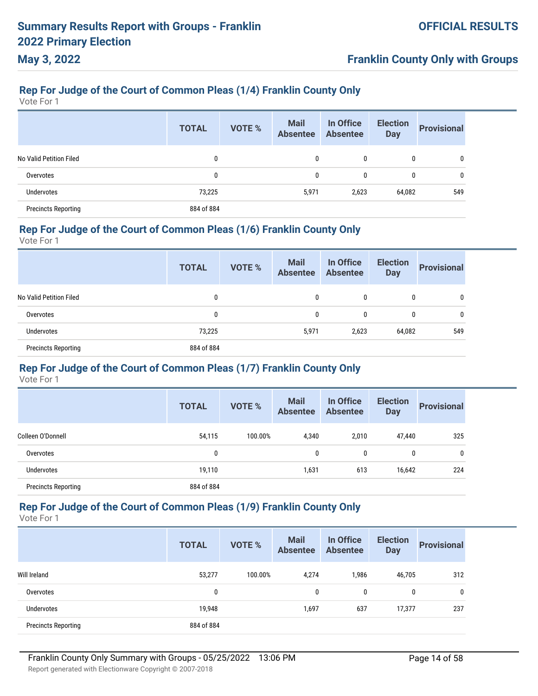## **Franklin County Only with Groups**

# **Rep For Judge of the Court of Common Pleas (1/4) Franklin County Only**

Vote For 1

|                            | <b>TOTAL</b> | <b>VOTE %</b> | <b>Mail</b><br><b>Absentee</b> | In Office<br><b>Absentee</b> | <b>Election</b><br><b>Day</b> | <b>Provisional</b> |
|----------------------------|--------------|---------------|--------------------------------|------------------------------|-------------------------------|--------------------|
| No Valid Petition Filed    | 0            |               | 0                              | 0                            | 0                             | $\mathbf{0}$       |
| Overvotes                  | 0            |               | 0                              | 0                            | 0                             | 0                  |
| Undervotes                 | 73,225       |               | 5,971                          | 2,623                        | 64,082                        | 549                |
| <b>Precincts Reporting</b> | 884 of 884   |               |                                |                              |                               |                    |

### **Rep For Judge of the Court of Common Pleas (1/6) Franklin County Only**

Vote For 1

|                            | <b>TOTAL</b> | VOTE % | <b>Mail</b><br><b>Absentee</b> | In Office<br><b>Absentee</b> | <b>Election</b><br><b>Day</b> | <b>Provisional</b> |
|----------------------------|--------------|--------|--------------------------------|------------------------------|-------------------------------|--------------------|
| No Valid Petition Filed    | 0            |        | 0                              | 0                            | 0                             | 0                  |
| Overvotes                  | 0            |        | 0                              | 0                            | 0                             | 0                  |
| <b>Undervotes</b>          | 73,225       |        | 5,971                          | 2,623                        | 64,082                        | 549                |
| <b>Precincts Reporting</b> | 884 of 884   |        |                                |                              |                               |                    |

### **Rep For Judge of the Court of Common Pleas (1/7) Franklin County Only**

Vote For 1

|                            | <b>TOTAL</b> | <b>VOTE %</b> | <b>Mail</b><br><b>Absentee</b> | In Office<br><b>Absentee</b> | <b>Election</b><br><b>Day</b> | <b>Provisional</b> |
|----------------------------|--------------|---------------|--------------------------------|------------------------------|-------------------------------|--------------------|
| Colleen O'Donnell          | 54,115       | 100.00%       | 4,340                          | 2,010                        | 47,440                        | 325                |
| Overvotes                  | 0            |               | 0                              | $\mathbf{0}$                 | 0                             | 0                  |
| <b>Undervotes</b>          | 19,110       |               | 1,631                          | 613                          | 16,642                        | 224                |
| <b>Precincts Reporting</b> | 884 of 884   |               |                                |                              |                               |                    |

# **Rep For Judge of the Court of Common Pleas (1/9) Franklin County Only**

|                            | <b>TOTAL</b> | <b>VOTE %</b> | <b>Mail</b><br><b>Absentee</b> | In Office<br><b>Absentee</b> | <b>Election</b><br><b>Day</b> | <b>Provisional</b> |
|----------------------------|--------------|---------------|--------------------------------|------------------------------|-------------------------------|--------------------|
| Will Ireland               | 53,277       | 100.00%       | 4,274                          | 1,986                        | 46,705                        | 312                |
| Overvotes                  | 0            |               | 0                              | 0                            | 0                             | 0                  |
| <b>Undervotes</b>          | 19,948       |               | 1,697                          | 637                          | 17,377                        | 237                |
| <b>Precincts Reporting</b> | 884 of 884   |               |                                |                              |                               |                    |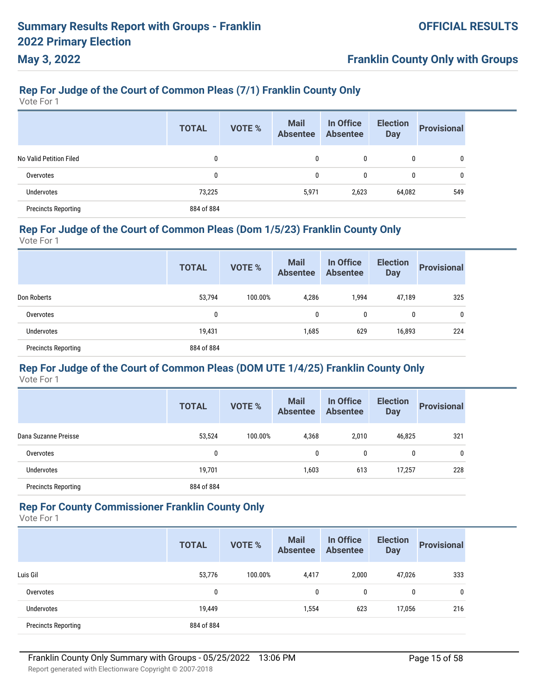## **Franklin County Only with Groups**

# **Rep For Judge of the Court of Common Pleas (7/1) Franklin County Only**

Vote For 1

|                            | <b>TOTAL</b> | <b>VOTE %</b> | <b>Mail</b><br><b>Absentee</b> | In Office<br><b>Absentee</b> | <b>Election</b><br><b>Day</b> | <b>Provisional</b> |
|----------------------------|--------------|---------------|--------------------------------|------------------------------|-------------------------------|--------------------|
| No Valid Petition Filed    | 0            |               | 0                              | 0                            | 0                             | 0                  |
| Overvotes                  | 0            |               | 0                              | 0                            | 0                             | 0                  |
| Undervotes                 | 73,225       |               | 5,971                          | 2,623                        | 64,082                        | 549                |
| <b>Precincts Reporting</b> | 884 of 884   |               |                                |                              |                               |                    |

#### **Rep For Judge of the Court of Common Pleas (Dom 1/5/23) Franklin County Only**

Vote For 1

|                            | <b>TOTAL</b> | <b>VOTE %</b> | <b>Mail</b><br><b>Absentee</b> | In Office<br><b>Absentee</b> | <b>Election</b><br><b>Day</b> | <b>Provisional</b> |
|----------------------------|--------------|---------------|--------------------------------|------------------------------|-------------------------------|--------------------|
| Don Roberts                | 53,794       | 100.00%       | 4,286                          | 1,994                        | 47,189                        | 325                |
| Overvotes                  | 0            |               | $\mathbf{0}$                   | 0                            | $\mathbf{0}$                  | $\mathbf{0}$       |
| Undervotes                 | 19,431       |               | 1,685                          | 629                          | 16,893                        | 224                |
| <b>Precincts Reporting</b> | 884 of 884   |               |                                |                              |                               |                    |

#### **Rep For Judge of the Court of Common Pleas (DOM UTE 1/4/25) Franklin County Only** Vote For 1

|                            | <b>TOTAL</b> | <b>VOTE %</b> | <b>Mail</b><br><b>Absentee</b> | In Office<br><b>Absentee</b> | <b>Election</b><br><b>Day</b> | <b>Provisional</b> |
|----------------------------|--------------|---------------|--------------------------------|------------------------------|-------------------------------|--------------------|
| Dana Suzanne Preisse       | 53,524       | 100.00%       | 4,368                          | 2.010                        | 46,825                        | 321                |
| Overvotes                  | 0            |               | 0                              | $\mathbf{0}$                 | 0                             | 0                  |
| <b>Undervotes</b>          | 19,701       |               | 1,603                          | 613                          | 17,257                        | 228                |
| <b>Precincts Reporting</b> | 884 of 884   |               |                                |                              |                               |                    |

#### **Rep For County Commissioner Franklin County Only**

Vote For 1

|                            | <b>TOTAL</b> | <b>VOTE %</b> | <b>Mail</b><br><b>Absentee</b> | In Office<br><b>Absentee</b> | <b>Election</b><br><b>Day</b> | <b>Provisional</b> |
|----------------------------|--------------|---------------|--------------------------------|------------------------------|-------------------------------|--------------------|
| Luis Gil                   | 53,776       | 100.00%       | 4,417                          | 2,000                        | 47,026                        | 333                |
| Overvotes                  | 0            |               | 0                              | 0                            | 0                             | 0                  |
| Undervotes                 | 19,449       |               | 1,554                          | 623                          | 17,056                        | 216                |
| <b>Precincts Reporting</b> | 884 of 884   |               |                                |                              |                               |                    |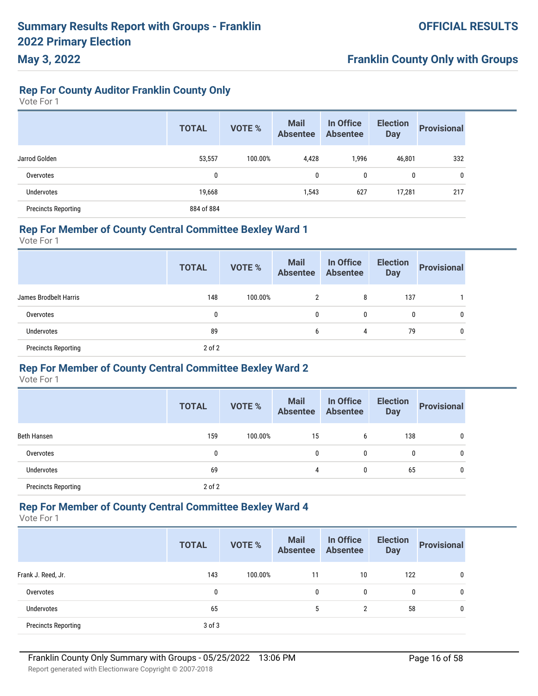### **Rep For County Auditor Franklin County Only**

Vote For 1

**May 3, 2022**

|                            | <b>TOTAL</b> | <b>VOTE %</b> | <b>Mail</b><br><b>Absentee</b> | In Office<br><b>Absentee</b> | <b>Election</b><br><b>Day</b> | <b>Provisional</b> |
|----------------------------|--------------|---------------|--------------------------------|------------------------------|-------------------------------|--------------------|
| Jarrod Golden              | 53,557       | 100.00%       | 4,428                          | 1,996                        | 46,801                        | 332                |
| Overvotes                  | 0            |               | 0                              | 0                            | 0                             | 0                  |
| <b>Undervotes</b>          | 19,668       |               | 1,543                          | 627                          | 17,281                        | 217                |
| <b>Precincts Reporting</b> | 884 of 884   |               |                                |                              |                               |                    |

#### **Rep For Member of County Central Committee Bexley Ward 1**

Vote For 1

|                            | <b>TOTAL</b> | VOTE %  | <b>Mail</b><br>Absentee | In Office<br>Absentee | <b>Election</b><br><b>Day</b> | <b>Provisional</b> |
|----------------------------|--------------|---------|-------------------------|-----------------------|-------------------------------|--------------------|
| James Brodbelt Harris      | 148          | 100.00% | 2                       | 8                     | 137                           |                    |
| Overvotes                  | 0            |         | 0                       | 0                     | 0                             | 0                  |
| Undervotes                 | 89           |         | 6                       | 4                     | 79                            | $\mathbf{0}$       |
| <b>Precincts Reporting</b> | $2$ of $2$   |         |                         |                       |                               |                    |

### **Rep For Member of County Central Committee Bexley Ward 2**

Vote For 1

|                            | <b>TOTAL</b> | <b>VOTE %</b> | <b>Mail</b><br><b>Absentee</b> | In Office<br><b>Absentee</b> | <b>Election</b><br><b>Day</b> | <b>Provisional</b> |
|----------------------------|--------------|---------------|--------------------------------|------------------------------|-------------------------------|--------------------|
| Beth Hansen                | 159          | 100.00%       | 15                             | 6                            | 138                           | 0                  |
| Overvotes                  | 0            |               | 0                              | 0                            | 0                             | 0                  |
| <b>Undervotes</b>          | 69           |               | 4                              | 0                            | 65                            | 0                  |
| <b>Precincts Reporting</b> | $2$ of $2$   |               |                                |                              |                               |                    |

#### **Rep For Member of County Central Committee Bexley Ward 4**

Vote For 1

|                            | <b>TOTAL</b> | <b>VOTE %</b> | <b>Mail</b><br><b>Absentee</b> | In Office<br><b>Absentee</b> | <b>Election</b><br><b>Day</b> | <b>Provisional</b> |
|----------------------------|--------------|---------------|--------------------------------|------------------------------|-------------------------------|--------------------|
| Frank J. Reed, Jr.         | 143          | 100.00%       | 11                             | 10                           | 122                           | 0                  |
| Overvotes                  | 0            |               | 0                              | 0                            | 0                             | 0                  |
| <b>Undervotes</b>          | 65           |               | 5                              | $\overline{2}$               | 58                            | 0                  |
| <b>Precincts Reporting</b> | $3$ of $3$   |               |                                |                              |                               |                    |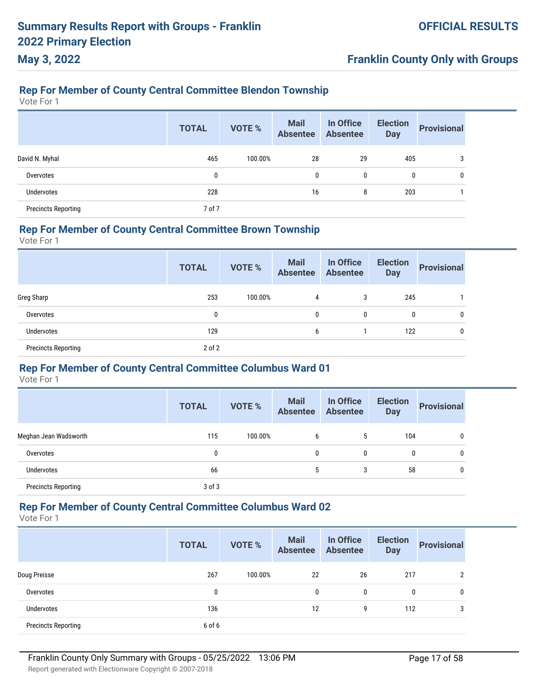# **Franklin County Only with Groups**

# **Rep For Member of County Central Committee Blendon Township**

Vote For 1

|                            | <b>TOTAL</b> | <b>VOTE %</b> | <b>Mail</b><br><b>Absentee</b> | In Office<br><b>Absentee</b> | <b>Election</b><br><b>Day</b> | <b>Provisional</b> |
|----------------------------|--------------|---------------|--------------------------------|------------------------------|-------------------------------|--------------------|
| David N. Myhal             | 465          | 100.00%       | 28                             | 29                           | 405                           |                    |
| Overvotes                  | $\mathbf{0}$ |               | 0                              | 0                            | 0                             | 0                  |
| <b>Undervotes</b>          | 228          |               | 16                             | 8                            | 203                           |                    |
| <b>Precincts Reporting</b> | 7 of 7       |               |                                |                              |                               |                    |

#### **Rep For Member of County Central Committee Brown Township**

Vote For 1

|                            | <b>TOTAL</b> | <b>VOTE %</b> | <b>Mail</b><br><b>Absentee</b> | In Office<br><b>Absentee</b> | <b>Election</b><br><b>Day</b> | <b>Provisional</b> |
|----------------------------|--------------|---------------|--------------------------------|------------------------------|-------------------------------|--------------------|
| Greg Sharp                 | 253          | 100.00%       | 4                              | 3                            | 245                           |                    |
| Overvotes                  | 0            |               | 0                              | 0                            | 0                             | $\mathbf{0}$       |
| Undervotes                 | 129          |               | 6                              |                              | 122                           | 0                  |
| <b>Precincts Reporting</b> | $2$ of $2$   |               |                                |                              |                               |                    |

#### **Rep For Member of County Central Committee Columbus Ward 01**

Vote For 1

|                            | <b>TOTAL</b> | <b>VOTE %</b> | <b>Mail</b><br><b>Absentee</b> | In Office<br><b>Absentee</b> | <b>Election</b><br><b>Day</b> | <b>Provisional</b> |
|----------------------------|--------------|---------------|--------------------------------|------------------------------|-------------------------------|--------------------|
| Meghan Jean Wadsworth      | 115          | 100.00%       | 6                              | 5                            | 104                           | 0                  |
| Overvotes                  | 0            |               | 0                              | 0                            | 0                             | 0                  |
| <b>Undervotes</b>          | 66           |               | 5                              | 3                            | 58                            | 0                  |
| <b>Precincts Reporting</b> | $3$ of $3$   |               |                                |                              |                               |                    |

Vote For 1

|                            | <b>TOTAL</b> | <b>VOTE %</b> | <b>Mail</b><br><b>Absentee</b> | In Office<br><b>Absentee</b> | <b>Election</b><br><b>Day</b> | <b>Provisional</b> |
|----------------------------|--------------|---------------|--------------------------------|------------------------------|-------------------------------|--------------------|
| Doug Preisse               | 267          | 100.00%       | 22                             | 26                           | 217                           | $\overline{2}$     |
| Overvotes                  | 0            |               | 0                              | $\mathbf{0}$                 | 0                             | 0                  |
| Undervotes                 | 136          |               | 12                             | 9                            | 112                           | 3                  |
| <b>Precincts Reporting</b> | 6 of 6       |               |                                |                              |                               |                    |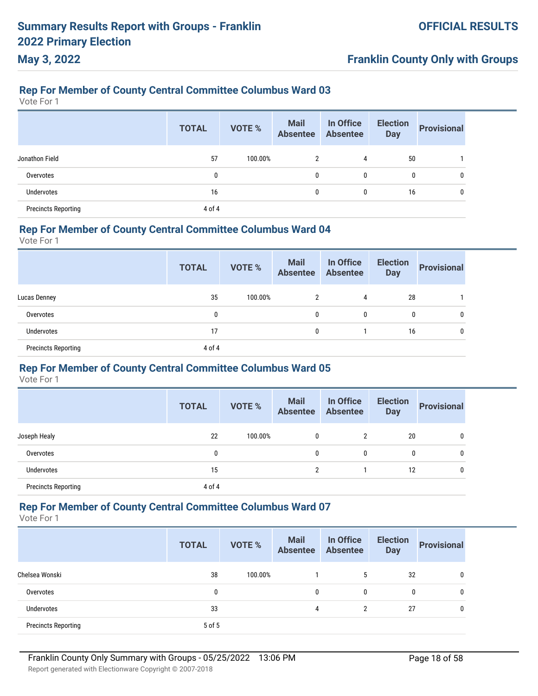# **Franklin County Only with Groups**

### **Rep For Member of County Central Committee Columbus Ward 03**

Vote For 1

|                            | <b>TOTAL</b> | <b>VOTE %</b> | <b>Mail</b><br>Absentee | In Office<br><b>Absentee</b> | <b>Election</b><br><b>Day</b> | <b>Provisional</b> |
|----------------------------|--------------|---------------|-------------------------|------------------------------|-------------------------------|--------------------|
| Jonathon Field             | 57           | 100.00%       | 2                       | 4                            | 50                            |                    |
| Overvotes                  | 0            |               | 0                       | 0                            | 0                             | 0                  |
| Undervotes                 | 16           |               | 0                       | 0                            | 16                            | 0                  |
| <b>Precincts Reporting</b> | 4 of 4       |               |                         |                              |                               |                    |

### **Rep For Member of County Central Committee Columbus Ward 04**

Vote For 1

|                            | <b>TOTAL</b> | VOTE %  | <b>Mail</b><br>Absentee Absentee | In Office | <b>Election</b><br><b>Day</b> | <b>Provisional</b> |
|----------------------------|--------------|---------|----------------------------------|-----------|-------------------------------|--------------------|
| Lucas Denney               | 35           | 100.00% | 2                                | 4         | 28                            |                    |
| Overvotes                  | 0            |         | 0                                | 0         | 0                             | 0                  |
| <b>Undervotes</b>          | 17           |         | 0                                |           | 16                            | 0                  |
| <b>Precincts Reporting</b> | 4 of 4       |         |                                  |           |                               |                    |

#### **Rep For Member of County Central Committee Columbus Ward 05**

Vote For 1

|                            | <b>TOTAL</b> | <b>VOTE %</b> | <b>Mail</b><br><b>Absentee</b> | In Office<br><b>Absentee</b> | <b>Election</b><br><b>Day</b> | <b>Provisional</b> |
|----------------------------|--------------|---------------|--------------------------------|------------------------------|-------------------------------|--------------------|
| Joseph Healy               | 22           | 100.00%       | $\mathbf{0}$                   | $\overline{2}$               | 20                            | 0                  |
| Overvotes                  | 0            |               | 0                              | 0                            | 0                             | 0                  |
| Undervotes                 | 15           |               | 2                              |                              | 12                            | 0                  |
| <b>Precincts Reporting</b> | 4 of 4       |               |                                |                              |                               |                    |

Vote For 1

|                            | <b>TOTAL</b> | <b>VOTE %</b> | <b>Mail</b><br><b>Absentee</b> | In Office<br><b>Absentee</b> | <b>Election</b><br><b>Day</b> | <b>Provisional</b> |
|----------------------------|--------------|---------------|--------------------------------|------------------------------|-------------------------------|--------------------|
| Chelsea Wonski             | 38           | 100.00%       |                                | 5                            | 32                            | 0                  |
| Overvotes                  | 0            |               | $\mathbf{0}$                   | 0                            | 0                             | $\mathbf 0$        |
| Undervotes                 | 33           |               | 4                              | $\overline{2}$               | 27                            | 0                  |
| <b>Precincts Reporting</b> | 5 of 5       |               |                                |                              |                               |                    |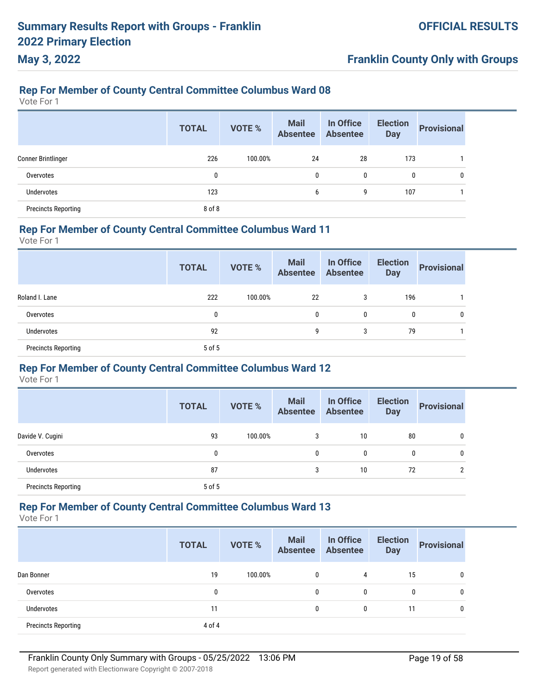# **Franklin County Only with Groups**

### **Rep For Member of County Central Committee Columbus Ward 08**

Vote For 1

|                            | <b>TOTAL</b> | <b>VOTE %</b> | <b>Mail</b><br>Absentee | In Office<br><b>Absentee</b> | <b>Election</b><br><b>Day</b> | <b>Provisional</b> |
|----------------------------|--------------|---------------|-------------------------|------------------------------|-------------------------------|--------------------|
| <b>Conner Brintlinger</b>  | 226          | 100.00%       | 24                      | 28                           | 173                           |                    |
| Overvotes                  | $\mathbf{0}$ |               | 0                       | 0                            | 0                             |                    |
| <b>Undervotes</b>          | 123          |               | 6                       | 9                            | 107                           |                    |
| <b>Precincts Reporting</b> | 8 of 8       |               |                         |                              |                               |                    |

### **Rep For Member of County Central Committee Columbus Ward 11**

Vote For 1

|                            | <b>TOTAL</b> | VOTE %  | <b>Mail</b><br>Absentee | In Office<br>Absentee | <b>Election</b><br><b>Day</b> | <b>Provisional</b> |
|----------------------------|--------------|---------|-------------------------|-----------------------|-------------------------------|--------------------|
| Roland I. Lane             | 222          | 100.00% | 22                      | 3                     | 196                           |                    |
| Overvotes                  | 0            |         | 0                       | 0                     | $\mathbf{0}$                  | 0                  |
| Undervotes                 | 92           |         | 9                       | 3                     | 79                            |                    |
| <b>Precincts Reporting</b> | 5 of 5       |         |                         |                       |                               |                    |

#### **Rep For Member of County Central Committee Columbus Ward 12**

Vote For 1

|                            | <b>TOTAL</b> | <b>VOTE %</b> | <b>Mail</b><br><b>Absentee</b> | In Office<br><b>Absentee</b> | <b>Election</b><br><b>Day</b> | <b>Provisional</b> |
|----------------------------|--------------|---------------|--------------------------------|------------------------------|-------------------------------|--------------------|
| Davide V. Cugini           | 93           | 100.00%       | 3                              | 10                           | 80                            | 0                  |
| Overvotes                  | 0            |               | $\mathbf{0}$                   | 0                            | 0                             | 0                  |
| Undervotes                 | 87           |               | 3                              | 10                           | 72                            | $\overline{2}$     |
| <b>Precincts Reporting</b> | 5 of 5       |               |                                |                              |                               |                    |

Vote For 1

|                            | <b>TOTAL</b> | <b>VOTE %</b> | <b>Mail</b><br><b>Absentee</b> | In Office<br><b>Absentee</b> | <b>Election</b><br><b>Day</b> | <b>Provisional</b> |
|----------------------------|--------------|---------------|--------------------------------|------------------------------|-------------------------------|--------------------|
| Dan Bonner                 | 19           | 100.00%       | 0                              | 4                            | 15                            | 0                  |
| Overvotes                  |              |               | 0                              | $\mathbf{0}$                 | 0                             | 0                  |
| <b>Undervotes</b>          | 11           |               | 0                              | $\mathbf{0}$                 | 11                            | 0                  |
| <b>Precincts Reporting</b> | 4 of 4       |               |                                |                              |                               |                    |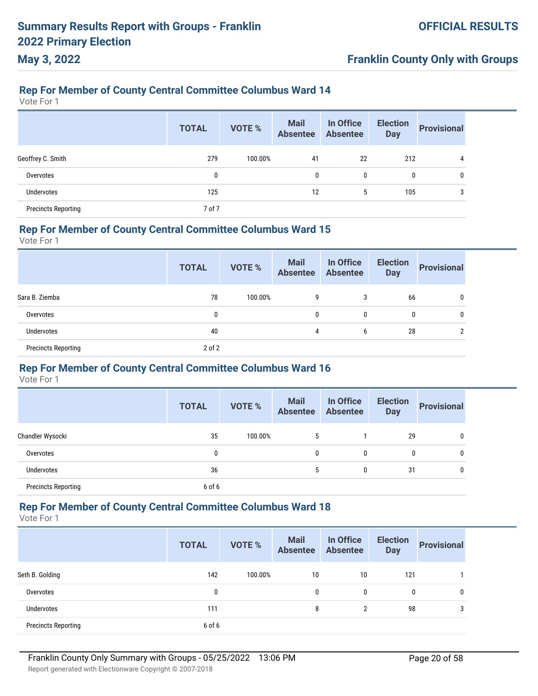# **Franklin County Only with Groups**

### **Rep For Member of County Central Committee Columbus Ward 14**

Vote For 1

|                            | <b>TOTAL</b> | <b>VOTE %</b> | <b>Mail</b><br>Absentee | In Office<br><b>Absentee</b> | <b>Election</b><br><b>Day</b> | <b>Provisional</b> |
|----------------------------|--------------|---------------|-------------------------|------------------------------|-------------------------------|--------------------|
| Geoffrey C. Smith          | 279          | 100.00%       | 41                      | 22                           | 212                           | 4                  |
| Overvotes                  |              |               | 0                       | 0                            | $\mathbf{0}$                  | 0                  |
| <b>Undervotes</b>          | 125          |               | 12                      | 5                            | 105                           | 3                  |
| <b>Precincts Reporting</b> | 7 of 7       |               |                         |                              |                               |                    |

### **Rep For Member of County Central Committee Columbus Ward 15**

Vote For 1

|                            | <b>TOTAL</b> | VOTE %  | <b>Mail</b><br><b>Absentee</b> | In Office<br><b>Absentee</b> | <b>Election</b><br><b>Day</b> | <b>Provisional</b> |
|----------------------------|--------------|---------|--------------------------------|------------------------------|-------------------------------|--------------------|
| Sara B. Ziemba             | 78           | 100.00% | 9                              | 3                            | 66                            | $\mathbf{0}$       |
| Overvotes                  | 0            |         | $\mathbf{0}$                   | 0                            | 0                             | $\mathbf{0}$       |
| <b>Undervotes</b>          | 40           |         | 4                              | 6                            | 28                            | ົ                  |
| <b>Precincts Reporting</b> | $2$ of $2$   |         |                                |                              |                               |                    |

#### **Rep For Member of County Central Committee Columbus Ward 16**

Vote For 1

|                            | <b>TOTAL</b> | <b>VOTE %</b> | <b>Mail</b><br><b>Absentee</b> | In Office<br><b>Absentee</b> | <b>Election</b><br><b>Day</b> | <b>Provisional</b> |
|----------------------------|--------------|---------------|--------------------------------|------------------------------|-------------------------------|--------------------|
| Chandler Wysocki           | 35           | 100.00%       | 5                              |                              | 29                            | 0                  |
| Overvotes                  | 0            |               | $\mathbf{0}$                   | 0                            | 0                             | 0                  |
| Undervotes                 | 36           |               | 5                              | 0                            | 31                            | 0                  |
| <b>Precincts Reporting</b> | 6 of 6       |               |                                |                              |                               |                    |

Vote For 1

|                            | <b>TOTAL</b> | <b>VOTE %</b> | <b>Mail</b><br><b>Absentee</b> | In Office<br><b>Absentee</b> | <b>Election</b><br><b>Day</b> | <b>Provisional</b> |
|----------------------------|--------------|---------------|--------------------------------|------------------------------|-------------------------------|--------------------|
| Seth B. Golding            | 142          | 100.00%       | 10                             | 10                           | 121                           |                    |
| Overvotes                  | 0            |               | 0                              | $\mathbf{0}$                 | 0                             | 0                  |
| Undervotes                 | 111          |               | 8                              | 2                            | 98                            | 3                  |
| <b>Precincts Reporting</b> | 6 of 6       |               |                                |                              |                               |                    |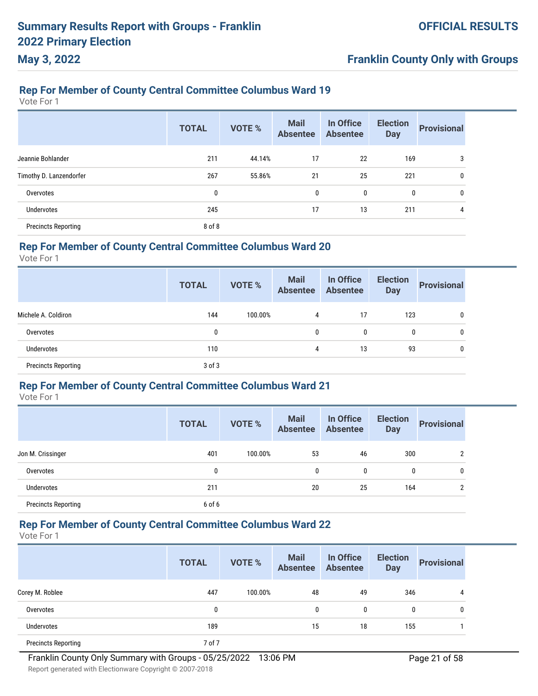# **Franklin County Only with Groups**

### **Rep For Member of County Central Committee Columbus Ward 19**

Vote For 1

|                            | <b>TOTAL</b> | <b>VOTE %</b> | <b>Mail</b><br><b>Absentee</b> | In Office<br><b>Absentee</b> | <b>Election</b><br><b>Day</b> | <b>Provisional</b> |
|----------------------------|--------------|---------------|--------------------------------|------------------------------|-------------------------------|--------------------|
| Jeannie Bohlander          | 211          | 44.14%        | 17                             | 22                           | 169                           | 3                  |
| Timothy D. Lanzendorfer    | 267          | 55.86%        | 21                             | 25                           | 221                           | 0                  |
| Overvotes                  | 0            |               | 0                              | 0                            | 0                             | 0                  |
| Undervotes                 | 245          |               | 17                             | 13                           | 211                           | 4                  |
| <b>Precincts Reporting</b> | 8 of 8       |               |                                |                              |                               |                    |

#### **Rep For Member of County Central Committee Columbus Ward 20**

Vote For 1

|                            | <b>TOTAL</b> | <b>VOTE %</b> | <b>Mail</b><br><b>Absentee</b> | In Office<br><b>Absentee</b> | <b>Election</b><br><b>Day</b> | <b>Provisional</b> |
|----------------------------|--------------|---------------|--------------------------------|------------------------------|-------------------------------|--------------------|
| Michele A. Coldiron        | 144          | 100.00%       | 4                              | 17                           | 123                           |                    |
| Overvotes                  | 0            |               | 0                              | $\mathbf{0}$                 | 0                             |                    |
| Undervotes                 | 110          |               | 4                              | 13                           | 93                            |                    |
| <b>Precincts Reporting</b> | $3$ of $3$   |               |                                |                              |                               |                    |

#### **Rep For Member of County Central Committee Columbus Ward 21**

Vote For 1

|                            | <b>TOTAL</b> | <b>VOTE %</b> | <b>Mail</b><br><b>Absentee</b> | In Office<br><b>Absentee</b> | <b>Election</b><br><b>Day</b> | <b>Provisional</b> |
|----------------------------|--------------|---------------|--------------------------------|------------------------------|-------------------------------|--------------------|
| Jon M. Crissinger          | 401          | 100.00%       | 53                             | 46                           | 300                           | ↑                  |
| Overvotes                  | $\mathbf{0}$ |               | $\mathbf{0}$                   | 0                            | 0                             | 0                  |
| Undervotes                 | 211          |               | 20                             | 25                           | 164                           | ↑                  |
| <b>Precincts Reporting</b> | 6 of 6       |               |                                |                              |                               |                    |

### **Rep For Member of County Central Committee Columbus Ward 22**

|                            | <b>TOTAL</b> | <b>VOTE %</b> | <b>Mail</b><br><b>Absentee</b> | In Office<br><b>Absentee</b> | <b>Election</b><br><b>Day</b> | <b>Provisional</b> |
|----------------------------|--------------|---------------|--------------------------------|------------------------------|-------------------------------|--------------------|
| Corey M. Roblee            | 447          | 100.00%       | 48                             | 49                           | 346                           | 4                  |
| Overvotes                  | 0            |               | 0                              | $\mathbf{0}$                 | $\mathbf{0}$                  | $\mathbf{0}$       |
| Undervotes                 | 189          |               | 15                             | 18                           | 155                           |                    |
| <b>Precincts Reporting</b> | 7 of 7       |               |                                |                              |                               |                    |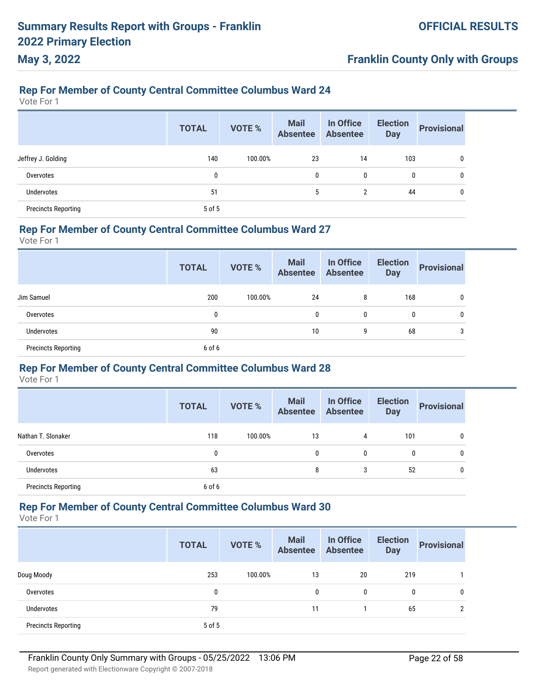# **Franklin County Only with Groups**

### **Rep For Member of County Central Committee Columbus Ward 24**

Vote For 1

|                            | <b>TOTAL</b> | <b>VOTE %</b> | <b>Mail</b><br>Absentee | In Office<br><b>Absentee</b> | <b>Election</b><br><b>Day</b> | <b>Provisional</b> |
|----------------------------|--------------|---------------|-------------------------|------------------------------|-------------------------------|--------------------|
| Jeffrey J. Golding         | 140          | 100.00%       | 23                      | 14                           | 103                           |                    |
| Overvotes                  | $\mathbf{0}$ |               | 0                       | 0                            | 0                             |                    |
| <b>Undervotes</b>          | 51           |               | 5                       | 2                            | 44                            |                    |
| <b>Precincts Reporting</b> | 5 of 5       |               |                         |                              |                               |                    |

#### **Rep For Member of County Central Committee Columbus Ward 27**

Vote For 1

|                            | <b>TOTAL</b> | VOTE %  | <b>Mail</b><br>Absentee Absentee | In Office | <b>Election</b><br><b>Day</b> | <b>Provisional</b> |
|----------------------------|--------------|---------|----------------------------------|-----------|-------------------------------|--------------------|
| Jim Samuel                 | 200          | 100.00% | 24                               | 8         | 168                           | 0                  |
| Overvotes                  | 0            |         | 0                                | 0         | 0                             | 0                  |
| <b>Undervotes</b>          | 90           |         | 10                               | 9         | 68                            | 3                  |
| <b>Precincts Reporting</b> | 6 of 6       |         |                                  |           |                               |                    |

#### **Rep For Member of County Central Committee Columbus Ward 28**

Vote For 1

|                            | <b>TOTAL</b> | <b>VOTE %</b> | <b>Mail</b><br><b>Absentee</b> | In Office<br><b>Absentee</b> | <b>Election</b><br><b>Day</b> | <b>Provisional</b> |
|----------------------------|--------------|---------------|--------------------------------|------------------------------|-------------------------------|--------------------|
| Nathan T. Slonaker         | 118          | 100.00%       | 13                             | 4                            | 101                           | 0                  |
| Overvotes                  | 0            |               | 0                              | 0                            | 0                             | 0                  |
| <b>Undervotes</b>          | 63           |               | 8                              | 3                            | 52                            | 0                  |
| <b>Precincts Reporting</b> | 6 of 6       |               |                                |                              |                               |                    |

Vote For 1

|                            | <b>TOTAL</b> | <b>VOTE %</b> | <b>Mail</b><br><b>Absentee</b> | In Office<br><b>Absentee</b> | <b>Election</b><br><b>Day</b> | <b>Provisional</b> |
|----------------------------|--------------|---------------|--------------------------------|------------------------------|-------------------------------|--------------------|
| Doug Moody                 | 253          | 100.00%       | 13                             | 20                           | 219                           |                    |
| Overvotes                  | 0            |               | 0                              | 0                            | 0                             | 0                  |
| Undervotes                 | 79           |               | 11                             |                              | 65                            | 2                  |
| <b>Precincts Reporting</b> | 5 of 5       |               |                                |                              |                               |                    |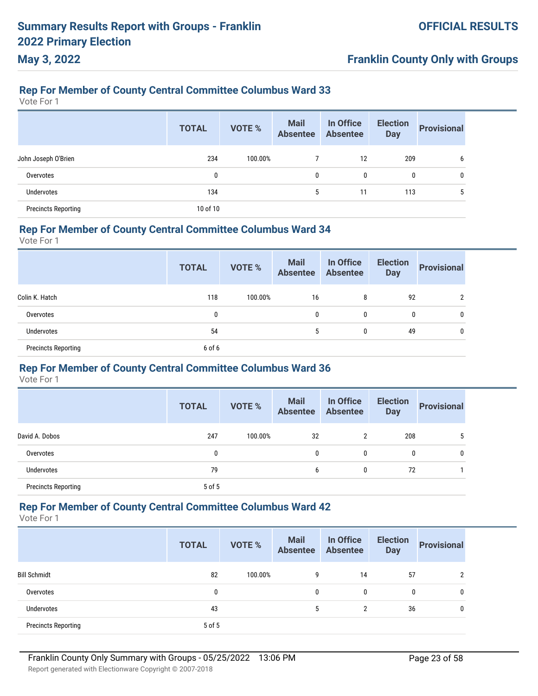# **Franklin County Only with Groups**

### **Rep For Member of County Central Committee Columbus Ward 33**

Vote For 1

|                            | <b>TOTAL</b> | <b>VOTE %</b> | <b>Mail</b><br><b>Absentee</b> | In Office<br><b>Absentee</b> | <b>Election</b><br><b>Day</b> | <b>Provisional</b> |
|----------------------------|--------------|---------------|--------------------------------|------------------------------|-------------------------------|--------------------|
| John Joseph O'Brien        | 234          | 100.00%       |                                | 12                           | 209                           | b                  |
| Overvotes                  | 0            |               | $\mathbf{0}$                   | 0                            | 0                             | 0                  |
| <b>Undervotes</b>          | 134          |               | 5                              | 11                           | 113                           | 5                  |
| <b>Precincts Reporting</b> | 10 of 10     |               |                                |                              |                               |                    |

### **Rep For Member of County Central Committee Columbus Ward 34**

Vote For 1

|                            | <b>TOTAL</b> | <b>VOTE %</b> | <b>Mail</b><br>Absentee | In Office<br>Absentee | <b>Election</b><br><b>Day</b> | <b>Provisional</b> |
|----------------------------|--------------|---------------|-------------------------|-----------------------|-------------------------------|--------------------|
| Colin K. Hatch             | 118          | 100.00%       | 16                      | 8                     | 92                            | 2                  |
| Overvotes                  | 0            |               | $\mathbf{0}$            | 0                     | 0                             | $\mathbf{0}$       |
| Undervotes                 | 54           |               | 5                       | 0                     | 49                            | $\mathbf{0}$       |
| <b>Precincts Reporting</b> | 6 of 6       |               |                         |                       |                               |                    |

#### **Rep For Member of County Central Committee Columbus Ward 36**

Vote For 1

|                            | <b>TOTAL</b> | <b>VOTE %</b> | <b>Mail</b><br><b>Absentee</b> | In Office<br><b>Absentee</b> | <b>Election</b><br><b>Day</b> | <b>Provisional</b> |
|----------------------------|--------------|---------------|--------------------------------|------------------------------|-------------------------------|--------------------|
| David A. Dobos             | 247          | 100.00%       | 32                             | $\overline{2}$               | 208                           | 5                  |
| Overvotes                  | 0            |               | 0                              | 0                            | 0                             | 0                  |
| Undervotes                 | 79           |               | 6                              | 0                            | 72                            |                    |
| <b>Precincts Reporting</b> | 5 of 5       |               |                                |                              |                               |                    |

Vote For 1

|                            | <b>TOTAL</b> | <b>VOTE %</b> | <b>Mail</b><br><b>Absentee</b> | In Office<br>Absentee | <b>Election</b><br><b>Day</b> | <b>Provisional</b> |
|----------------------------|--------------|---------------|--------------------------------|-----------------------|-------------------------------|--------------------|
| <b>Bill Schmidt</b>        | 82           | 100.00%       | 9                              | 14                    | 57                            | າ                  |
| Overvotes                  | 0            |               | 0                              | $\mathbf{0}$          | $\mathbf{0}$                  | 0                  |
| <b>Undervotes</b>          | 43           |               | 5                              | 2                     | 36                            | 0                  |
| <b>Precincts Reporting</b> | 5 of 5       |               |                                |                       |                               |                    |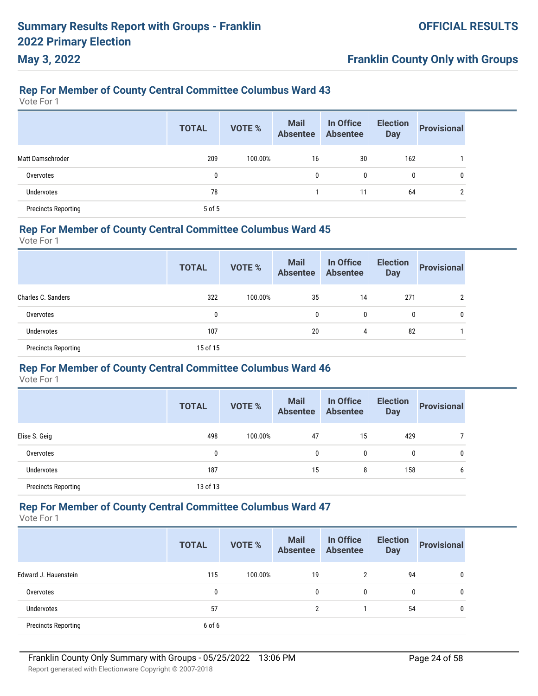# **Franklin County Only with Groups**

#### **Rep For Member of County Central Committee Columbus Ward 43**

Vote For 1

|                            | <b>TOTAL</b> | <b>VOTE %</b> | <b>Mail</b><br>Absentee | In Office<br><b>Absentee</b> | <b>Election</b><br><b>Day</b> | <b>Provisional</b> |
|----------------------------|--------------|---------------|-------------------------|------------------------------|-------------------------------|--------------------|
| Matt Damschroder           | 209          | 100.00%       | 16                      | 30                           | 162                           |                    |
| Overvotes                  | 0            |               | 0                       | 0                            | 0                             | 0                  |
| <b>Undervotes</b>          | 78           |               |                         | 11                           | 64                            | ົ                  |
| <b>Precincts Reporting</b> | 5 of 5       |               |                         |                              |                               |                    |

#### **Rep For Member of County Central Committee Columbus Ward 45**

Vote For 1

|                            | <b>TOTAL</b> | VOTE %  | <b>Mail</b><br><b>Absentee</b> | In Office<br>Absentee | <b>Election</b><br><b>Day</b> | <b>Provisional</b> |
|----------------------------|--------------|---------|--------------------------------|-----------------------|-------------------------------|--------------------|
| Charles C. Sanders         | 322          | 100.00% | 35                             | 14                    | 271                           | 2                  |
| Overvotes                  | 0            |         | 0                              | 0                     | 0                             | 0                  |
| Undervotes                 | 107          |         | 20                             | 4                     | 82                            |                    |
| <b>Precincts Reporting</b> | 15 of 15     |         |                                |                       |                               |                    |

#### **Rep For Member of County Central Committee Columbus Ward 46**

Vote For 1

|                            | <b>TOTAL</b> | <b>VOTE %</b> | <b>Mail</b><br><b>Absentee</b> | In Office<br><b>Absentee</b> | <b>Election</b><br><b>Day</b> | <b>Provisional</b> |
|----------------------------|--------------|---------------|--------------------------------|------------------------------|-------------------------------|--------------------|
| Elise S. Geig              | 498          | 100.00%       | 47                             | 15                           | 429                           |                    |
| Overvotes                  | 0            |               | 0                              | 0                            | 0                             | 0                  |
| <b>Undervotes</b>          | 187          |               | 15                             | 8                            | 158                           | 6                  |
| <b>Precincts Reporting</b> | 13 of 13     |               |                                |                              |                               |                    |

Vote For 1

|                            | <b>TOTAL</b> | <b>VOTE %</b> | <b>Mail</b><br><b>Absentee</b> | In Office<br><b>Absentee</b> | <b>Election</b><br><b>Day</b> | <b>Provisional</b> |
|----------------------------|--------------|---------------|--------------------------------|------------------------------|-------------------------------|--------------------|
| Edward J. Hauenstein       | 115          | 100.00%       | 19                             | 2                            | 94                            | 0                  |
| Overvotes                  | 0            |               | 0                              | $\mathbf{0}$                 | 0                             | 0                  |
| Undervotes                 | 57           |               | C                              |                              | 54                            | 0                  |
| <b>Precincts Reporting</b> | 6 of 6       |               |                                |                              |                               |                    |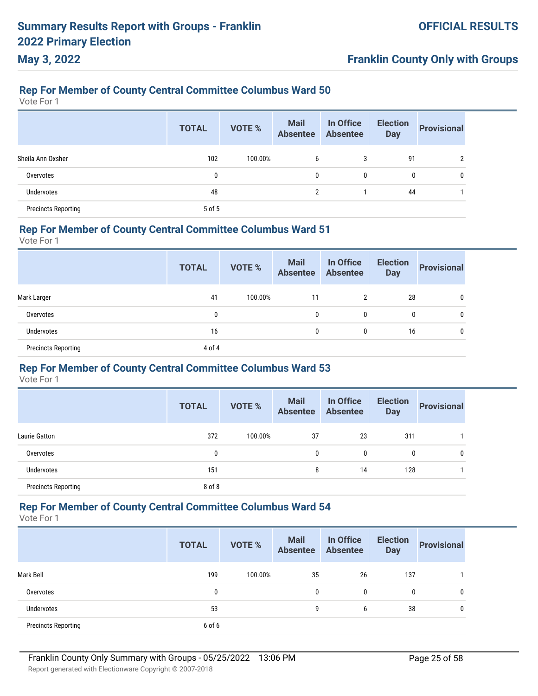# **Franklin County Only with Groups**

### **Rep For Member of County Central Committee Columbus Ward 50**

Vote For 1

|                            | <b>TOTAL</b> | <b>VOTE %</b> | <b>Mail</b><br><b>Absentee</b> | In Office<br><b>Absentee</b> | <b>Election</b><br><b>Day</b> | <b>Provisional</b> |
|----------------------------|--------------|---------------|--------------------------------|------------------------------|-------------------------------|--------------------|
| Sheila Ann Oxsher          | 102          | 100.00%       | 6                              | 3                            | 91                            |                    |
| Overvotes                  | 0            |               | $\mathbf{0}$                   | 0                            | 0                             | 0                  |
| Undervotes                 | 48           |               | $\overline{2}$                 |                              | 44                            |                    |
| <b>Precincts Reporting</b> | 5 of 5       |               |                                |                              |                               |                    |

### **Rep For Member of County Central Committee Columbus Ward 51**

Vote For 1

|                            | <b>TOTAL</b> | <b>VOTE %</b> | <b>Mail</b><br><b>Absentee</b> | In Office<br>Absentee | <b>Election</b><br><b>Day</b> | <b>Provisional</b> |
|----------------------------|--------------|---------------|--------------------------------|-----------------------|-------------------------------|--------------------|
| Mark Larger                | 41           | 100.00%       | 11                             | 2                     | 28                            | 0                  |
| Overvotes                  | 0            |               | $\mathbf{0}$                   | 0                     | 0                             | 0                  |
| <b>Undervotes</b>          | 16           |               | $\mathbf{0}$                   | 0                     | 16                            | 0                  |
| <b>Precincts Reporting</b> | 4 of 4       |               |                                |                       |                               |                    |

#### **Rep For Member of County Central Committee Columbus Ward 53**

Vote For 1

|                            | <b>TOTAL</b> | <b>VOTE %</b> | <b>Mail</b><br><b>Absentee</b> | In Office<br><b>Absentee</b> | <b>Election</b><br><b>Day</b> | <b>Provisional</b> |
|----------------------------|--------------|---------------|--------------------------------|------------------------------|-------------------------------|--------------------|
| <b>Laurie Gatton</b>       | 372          | 100.00%       | 37                             | 23                           | 311                           |                    |
| Overvotes                  | 0            |               | $\mathbf{0}$                   | 0                            | 0                             | 0                  |
| Undervotes                 | 151          |               | 8                              | 14                           | 128                           |                    |
| <b>Precincts Reporting</b> | 8 of 8       |               |                                |                              |                               |                    |

Vote For 1

|                            | <b>TOTAL</b> | <b>VOTE %</b> | <b>Mail</b><br>Absentee | In Office<br><b>Absentee</b> | <b>Election</b><br><b>Day</b> | <b>Provisional</b> |
|----------------------------|--------------|---------------|-------------------------|------------------------------|-------------------------------|--------------------|
| Mark Bell                  | 199          | 100.00%       | 35                      | 26                           | 137                           |                    |
| Overvotes                  | 0            |               | 0                       | 0                            | 0                             | 0                  |
| Undervotes                 | 53           |               | 9                       | 6                            | 38                            | 0                  |
| <b>Precincts Reporting</b> | 6 of 6       |               |                         |                              |                               |                    |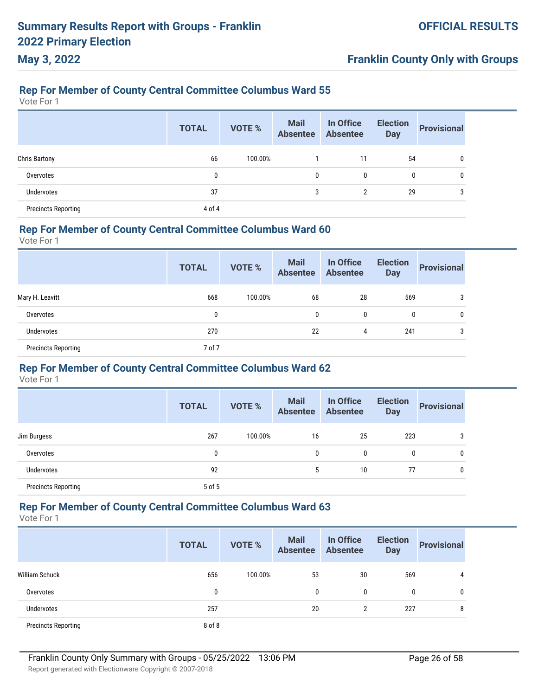# **Franklin County Only with Groups**

### **Rep For Member of County Central Committee Columbus Ward 55**

Vote For 1

|                            | <b>TOTAL</b> | <b>VOTE %</b> | <b>Mail</b><br><b>Absentee</b> | In Office<br><b>Absentee</b> | <b>Election</b><br><b>Day</b> | <b>Provisional</b> |
|----------------------------|--------------|---------------|--------------------------------|------------------------------|-------------------------------|--------------------|
| <b>Chris Bartony</b>       | 66           | 100.00%       |                                | 11                           | 54                            | 0                  |
| Overvotes                  | 0            |               | 0                              | 0                            | 0                             | 0                  |
| <b>Undervotes</b>          | 37           |               | 3                              | $\overline{2}$               | 29                            | 3                  |
| <b>Precincts Reporting</b> | 4 of 4       |               |                                |                              |                               |                    |

### **Rep For Member of County Central Committee Columbus Ward 60**

Vote For 1

|                            | <b>TOTAL</b> | VOTE %  | <b>Mail</b><br>Absentee Absentee | In Office | <b>Election</b><br><b>Day</b> | <b>Provisional</b> |
|----------------------------|--------------|---------|----------------------------------|-----------|-------------------------------|--------------------|
| Mary H. Leavitt            | 668          | 100.00% | 68                               | 28        | 569                           | 3                  |
| Overvotes                  | 0            |         | 0                                | 0         | 0                             | 0                  |
| Undervotes                 | 270          |         | 22                               | 4         | 241                           | 3                  |
| <b>Precincts Reporting</b> | 7 of 7       |         |                                  |           |                               |                    |

#### **Rep For Member of County Central Committee Columbus Ward 62**

Vote For 1

|                            | <b>TOTAL</b> | <b>VOTE %</b> | <b>Mail</b><br><b>Absentee</b> | In Office<br><b>Absentee</b> | <b>Election</b><br><b>Day</b> | <b>Provisional</b> |
|----------------------------|--------------|---------------|--------------------------------|------------------------------|-------------------------------|--------------------|
| Jim Burgess                | 267          | 100.00%       | 16                             | 25                           | 223                           | 3                  |
| Overvotes                  | 0            |               | $\mathbf{0}$                   | 0                            | 0                             | 0                  |
| Undervotes                 | 92           |               | 5                              | 10                           | 77                            | 0                  |
| <b>Precincts Reporting</b> | 5 of 5       |               |                                |                              |                               |                    |

Vote For 1

|                            | <b>TOTAL</b> | <b>VOTE %</b> | <b>Mail</b><br><b>Absentee</b> | In Office<br><b>Absentee</b> | <b>Election</b><br><b>Day</b> | <b>Provisional</b> |
|----------------------------|--------------|---------------|--------------------------------|------------------------------|-------------------------------|--------------------|
| William Schuck             | 656          | 100.00%       | 53                             | 30                           | 569                           | 4                  |
| Overvotes                  | 0            |               | 0                              | 0                            | 0                             | 0                  |
| <b>Undervotes</b>          | 257          |               | 20                             | 2                            | 227                           | 8                  |
| <b>Precincts Reporting</b> | 8 of 8       |               |                                |                              |                               |                    |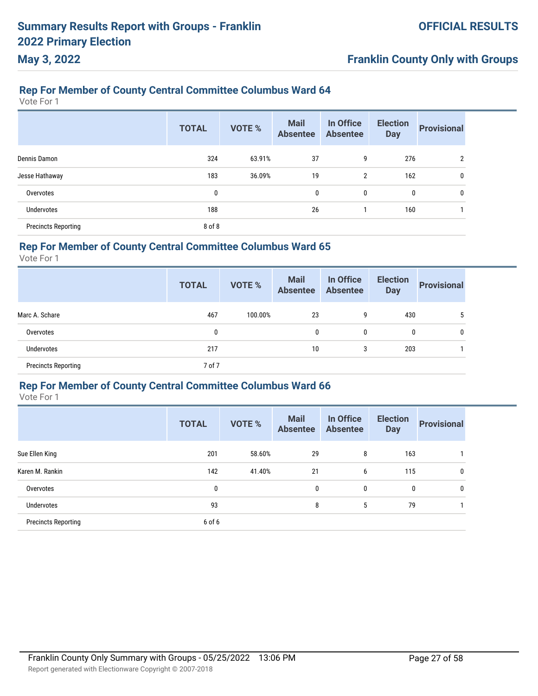# **Rep For Member of County Central Committee Columbus Ward 64**

Vote For 1

**May 3, 2022**

|                            | <b>TOTAL</b> | <b>VOTE %</b> | <b>Mail</b><br><b>Absentee</b> | In Office<br><b>Absentee</b> | <b>Election</b><br><b>Day</b> | <b>Provisional</b> |
|----------------------------|--------------|---------------|--------------------------------|------------------------------|-------------------------------|--------------------|
| Dennis Damon               | 324          | 63.91%        | 37                             | 9                            | 276                           | $\overline{2}$     |
| Jesse Hathaway             | 183          | 36.09%        | 19                             | 2                            | 162                           | 0                  |
| Overvotes                  | 0            |               | $\mathbf{0}$                   | 0                            | 0                             | 0                  |
| <b>Undervotes</b>          | 188          |               | 26                             |                              | 160                           |                    |
| <b>Precincts Reporting</b> | 8 of 8       |               |                                |                              |                               |                    |

#### **Rep For Member of County Central Committee Columbus Ward 65**

Vote For 1

|                            | <b>TOTAL</b> | <b>VOTE %</b> | <b>Mail</b><br><b>Absentee</b> | In Office<br><b>Absentee</b> | <b>Election</b><br><b>Day</b> | <b>Provisional</b> |
|----------------------------|--------------|---------------|--------------------------------|------------------------------|-------------------------------|--------------------|
| Marc A. Schare             | 467          | 100.00%       | 23                             | 9                            | 430                           | 5                  |
| Overvotes                  | 0            |               | 0                              | 0                            | 0                             | 0                  |
| Undervotes                 | 217          |               | 10                             | 3                            | 203                           |                    |
| <b>Precincts Reporting</b> | 7 of 7       |               |                                |                              |                               |                    |

#### **Rep For Member of County Central Committee Columbus Ward 66**

|                            | <b>TOTAL</b> | <b>VOTE %</b> | <b>Mail</b><br><b>Absentee</b> | In Office<br><b>Absentee</b> | <b>Election</b><br><b>Day</b> | <b>Provisional</b> |
|----------------------------|--------------|---------------|--------------------------------|------------------------------|-------------------------------|--------------------|
| Sue Ellen King             | 201          | 58.60%        | 29                             | 8                            | 163                           |                    |
| Karen M. Rankin            | 142          | 41.40%        | 21                             | 6                            | 115                           | 0                  |
| Overvotes                  | 0            |               | 0                              | 0                            | 0                             | 0                  |
| Undervotes                 | 93           |               | 8                              | 5                            | 79                            |                    |
| <b>Precincts Reporting</b> | 6 of 6       |               |                                |                              |                               |                    |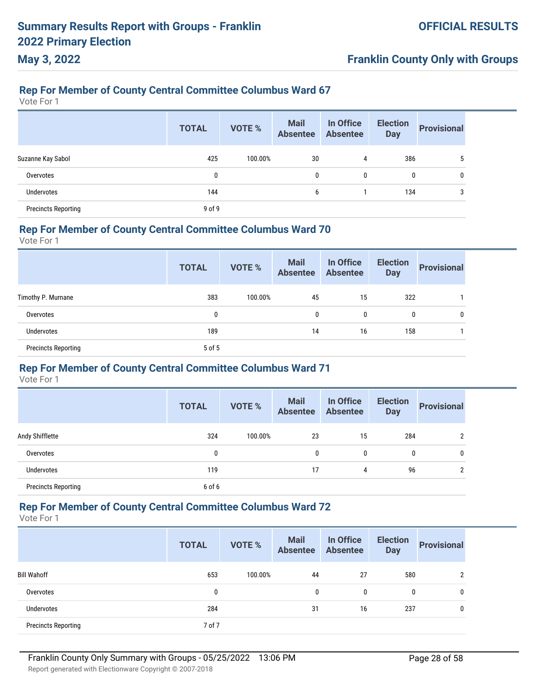# **Franklin County Only with Groups**

#### **Rep For Member of County Central Committee Columbus Ward 67**

Vote For 1

|                            | <b>TOTAL</b> | <b>VOTE %</b> | <b>Mail</b><br>Absentee | In Office<br><b>Absentee</b> | <b>Election</b><br><b>Day</b> | <b>Provisional</b> |
|----------------------------|--------------|---------------|-------------------------|------------------------------|-------------------------------|--------------------|
| Suzanne Kay Sabol          | 425          | 100.00%       | 30                      | 4                            | 386                           |                    |
| Overvotes                  | 0            |               | 0                       | 0                            | $\mathbf{0}$                  |                    |
| <b>Undervotes</b>          | 144          |               | 6                       |                              | 134                           |                    |
| <b>Precincts Reporting</b> | $9$ of $9$   |               |                         |                              |                               |                    |

#### **Rep For Member of County Central Committee Columbus Ward 70**

Vote For 1

|                            | <b>TOTAL</b> | <b>VOTE %</b> | <b>Mail</b><br>Absentee Absentee | In Office | <b>Election</b><br><b>Day</b> | <b>Provisional</b> |
|----------------------------|--------------|---------------|----------------------------------|-----------|-------------------------------|--------------------|
| Timothy P. Murnane         | 383          | 100.00%       | 45                               | 15        | 322                           |                    |
| Overvotes                  | 0            |               | 0                                | 0         | 0                             | 0                  |
| Undervotes                 | 189          |               | 14                               | 16        | 158                           |                    |
| <b>Precincts Reporting</b> | 5 of 5       |               |                                  |           |                               |                    |

#### **Rep For Member of County Central Committee Columbus Ward 71**

Vote For 1

|                            | <b>TOTAL</b> | <b>VOTE %</b> | <b>Mail</b><br><b>Absentee</b> | In Office<br><b>Absentee</b> | <b>Election</b><br><b>Day</b> | <b>Provisional</b> |
|----------------------------|--------------|---------------|--------------------------------|------------------------------|-------------------------------|--------------------|
| Andy Shifflette            | 324          | 100.00%       | 23                             | 15                           | 284                           | 2                  |
| Overvotes                  | 0            |               | 0                              | 0                            | 0                             | 0                  |
| Undervotes                 | 119          |               | 17                             | 4                            | 96                            | 2                  |
| <b>Precincts Reporting</b> | 6 of 6       |               |                                |                              |                               |                    |

Vote For 1

|                            | <b>TOTAL</b> | <b>VOTE %</b> | <b>Mail</b><br><b>Absentee</b> | In Office<br><b>Absentee</b> | <b>Election</b><br><b>Day</b> | <b>Provisional</b> |
|----------------------------|--------------|---------------|--------------------------------|------------------------------|-------------------------------|--------------------|
| <b>Bill Wahoff</b>         | 653          | 100.00%       | 44                             | 27                           | 580                           | 2                  |
| Overvotes                  | 0            |               | 0                              | $\mathbf{0}$                 | 0                             | 0                  |
| <b>Undervotes</b>          | 284          |               | 31                             | 16                           | 237                           | 0                  |
| <b>Precincts Reporting</b> | 7 of 7       |               |                                |                              |                               |                    |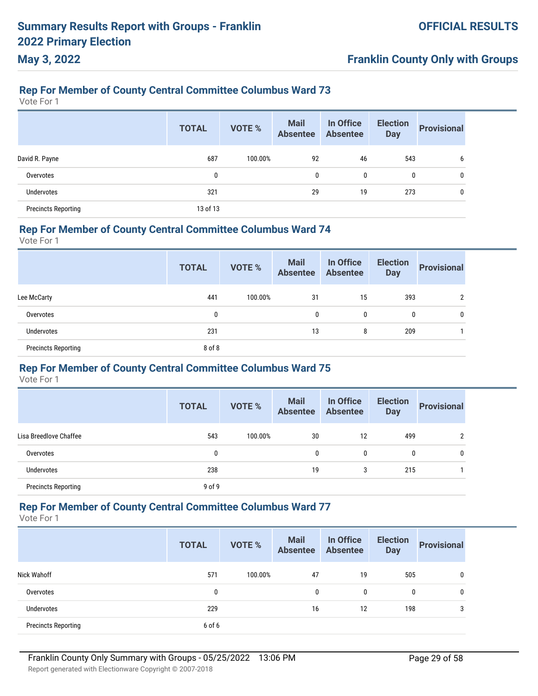# **Franklin County Only with Groups**

### **Rep For Member of County Central Committee Columbus Ward 73**

Vote For 1

|                            | <b>TOTAL</b> | <b>VOTE %</b> | <b>Mail</b><br>Absentee | In Office<br><b>Absentee</b> | <b>Election</b><br><b>Day</b> | <b>Provisional</b> |
|----------------------------|--------------|---------------|-------------------------|------------------------------|-------------------------------|--------------------|
| David R. Payne             | 687          | 100.00%       | 92                      | 46                           | 543                           | b                  |
| Overvotes                  | 0            |               | 0                       | 0                            | 0                             | 0                  |
| <b>Undervotes</b>          | 321          |               | 29                      | 19                           | 273                           | $\mathbf{0}$       |
| <b>Precincts Reporting</b> | 13 of 13     |               |                         |                              |                               |                    |

#### **Rep For Member of County Central Committee Columbus Ward 74**

Vote For 1

|                            | <b>TOTAL</b> | VOTE %  | <b>Mail</b><br><b>Absentee</b> | In Office<br><b>Absentee</b> | <b>Election</b><br><b>Day</b> | <b>Provisional</b> |
|----------------------------|--------------|---------|--------------------------------|------------------------------|-------------------------------|--------------------|
| Lee McCarty                | 441          | 100.00% | 31                             | 15                           | 393                           | C                  |
| Overvotes                  | 0            |         | 0                              | 0                            | $\mathbf{0}$                  | 0                  |
| <b>Undervotes</b>          | 231          |         | 13                             | 8                            | 209                           |                    |
| <b>Precincts Reporting</b> | 8 of 8       |         |                                |                              |                               |                    |

#### **Rep For Member of County Central Committee Columbus Ward 75**

Vote For 1

|                            | <b>TOTAL</b> | <b>VOTE %</b> | <b>Mail</b><br><b>Absentee</b> | In Office<br><b>Absentee</b> | <b>Election</b><br><b>Day</b> | <b>Provisional</b> |
|----------------------------|--------------|---------------|--------------------------------|------------------------------|-------------------------------|--------------------|
| Lisa Breedlove Chaffee     | 543          | 100.00%       | 30                             | 12                           | 499                           | $\overline{2}$     |
| Overvotes                  | 0            |               | $\mathbf{0}$                   | 0                            | 0                             | 0                  |
| Undervotes                 | 238          |               | 19                             | 3                            | 215                           |                    |
| <b>Precincts Reporting</b> | $9$ of $9$   |               |                                |                              |                               |                    |

Vote For 1

|                            | <b>TOTAL</b> | <b>VOTE %</b> | <b>Mail</b><br><b>Absentee</b> | In Office<br><b>Absentee</b> | <b>Election</b><br><b>Day</b> | <b>Provisional</b> |
|----------------------------|--------------|---------------|--------------------------------|------------------------------|-------------------------------|--------------------|
| Nick Wahoff                | 571          | 100.00%       | 47                             | 19                           | 505                           | 0                  |
| Overvotes                  | 0            |               | 0                              | 0                            | $\mathbf{0}$                  | 0                  |
| <b>Undervotes</b>          | 229          |               | 16                             | 12                           | 198                           | 3                  |
| <b>Precincts Reporting</b> | 6 of 6       |               |                                |                              |                               |                    |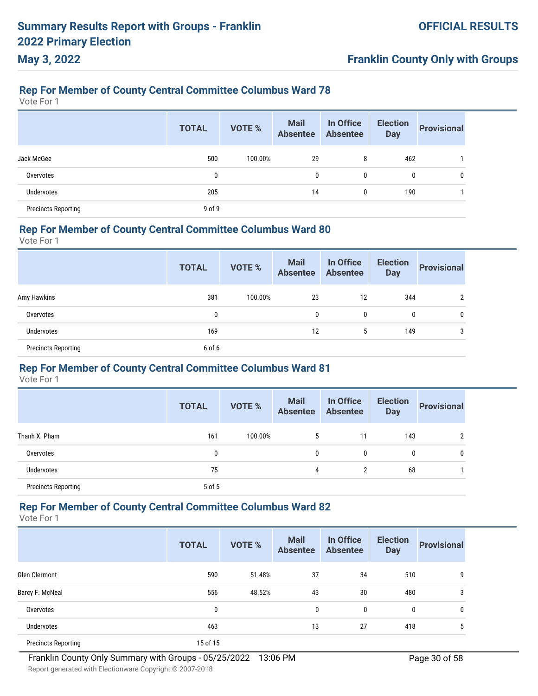# **Franklin County Only with Groups**

### **Rep For Member of County Central Committee Columbus Ward 78**

Vote For 1

|                            | <b>TOTAL</b> | <b>VOTE %</b> | <b>Mail</b><br>Absentee | In Office<br><b>Absentee</b> | <b>Election</b><br><b>Day</b> | <b>Provisional</b> |
|----------------------------|--------------|---------------|-------------------------|------------------------------|-------------------------------|--------------------|
| Jack McGee                 | 500          | 100.00%       | 29                      | 8                            | 462                           |                    |
| Overvotes                  | 0            |               | 0                       | 0                            | 0                             | 0                  |
| <b>Undervotes</b>          | 205          |               | 14                      | 0                            | 190                           |                    |
| <b>Precincts Reporting</b> | 9 of 9       |               |                         |                              |                               |                    |

### **Rep For Member of County Central Committee Columbus Ward 80**

Vote For 1

|                            | <b>TOTAL</b> | VOTE %  | <b>Mail</b><br>Absentee Absentee | In Office | <b>Election</b><br><b>Day</b> | <b>Provisional</b> |
|----------------------------|--------------|---------|----------------------------------|-----------|-------------------------------|--------------------|
| Amy Hawkins                | 381          | 100.00% | 23                               | 12        | 344                           | $\overline{2}$     |
| Overvotes                  | 0            |         | 0                                | 0         | 0                             | 0                  |
| <b>Undervotes</b>          | 169          |         | 12                               | 5         | 149                           | 3                  |
| <b>Precincts Reporting</b> | 6 of 6       |         |                                  |           |                               |                    |

#### **Rep For Member of County Central Committee Columbus Ward 81**

Vote For 1

|                            | <b>TOTAL</b> | <b>VOTE %</b> | <b>Mail</b><br><b>Absentee</b> | In Office<br><b>Absentee</b> | <b>Election</b><br><b>Day</b> | <b>Provisional</b> |
|----------------------------|--------------|---------------|--------------------------------|------------------------------|-------------------------------|--------------------|
| Thanh X. Pham              | 161          | 100.00%       | 5                              | 11                           | 143                           | റ                  |
| Overvotes                  | 0            |               | 0                              | 0                            | 0                             | 0                  |
| <b>Undervotes</b>          | 75           |               | 4                              | $\overline{2}$               | 68                            |                    |
| <b>Precincts Reporting</b> | 5 of 5       |               |                                |                              |                               |                    |

Vote For 1

|                            | <b>TOTAL</b> | <b>VOTE %</b> | <b>Mail</b><br><b>Absentee</b> | In Office<br><b>Absentee</b> | <b>Election</b><br><b>Day</b> | <b>Provisional</b> |
|----------------------------|--------------|---------------|--------------------------------|------------------------------|-------------------------------|--------------------|
| <b>Glen Clermont</b>       | 590          | 51.48%        | 37                             | 34                           | 510                           | 9                  |
| Barcy F. McNeal            | 556          | 48.52%        | 43                             | 30                           | 480                           | 3                  |
| Overvotes                  | 0            |               | 0                              | 0                            | $\mathbf{0}$                  | 0                  |
| Undervotes                 | 463          |               | 13                             | 27                           | 418                           | 5                  |
| <b>Precincts Reporting</b> | 15 of 15     |               |                                |                              |                               |                    |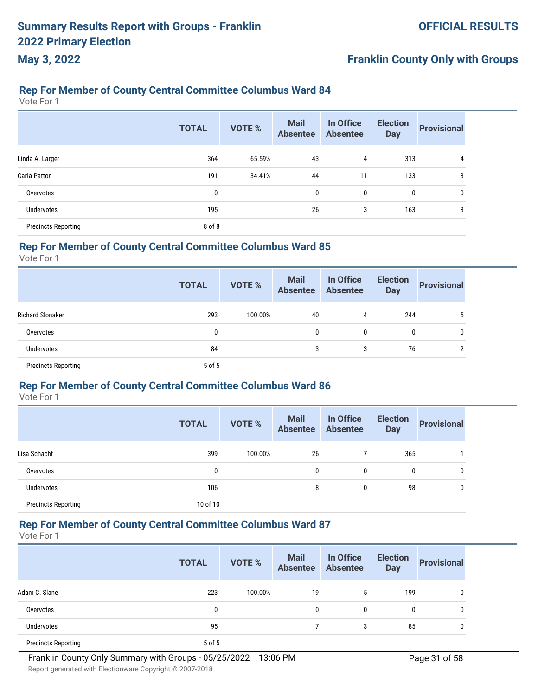# **Franklin County Only with Groups**

#### **Rep For Member of County Central Committee Columbus Ward 84**

Vote For 1

|                            | <b>TOTAL</b> | <b>VOTE %</b> | <b>Mail</b><br><b>Absentee</b> | In Office<br><b>Absentee</b> | <b>Election</b><br><b>Day</b> | <b>Provisional</b> |
|----------------------------|--------------|---------------|--------------------------------|------------------------------|-------------------------------|--------------------|
| Linda A. Larger            | 364          | 65.59%        | 43                             | 4                            | 313                           | 4                  |
| Carla Patton               | 191          | 34.41%        | 44                             | 11                           | 133                           | 3                  |
| Overvotes                  | 0            |               | 0                              | 0                            | 0                             | 0                  |
| <b>Undervotes</b>          | 195          |               | 26                             | 3                            | 163                           | 3                  |
| <b>Precincts Reporting</b> | 8 of 8       |               |                                |                              |                               |                    |

#### **Rep For Member of County Central Committee Columbus Ward 85**

Vote For 1

|                            | <b>TOTAL</b> | <b>VOTE %</b> | <b>Mail</b><br><b>Absentee</b> | In Office<br><b>Absentee</b> | <b>Election</b><br><b>Day</b> | <b>Provisional</b> |
|----------------------------|--------------|---------------|--------------------------------|------------------------------|-------------------------------|--------------------|
| <b>Richard Slonaker</b>    | 293          | 100.00%       | 40                             | 4                            | 244                           |                    |
| Overvotes                  | 0            |               | 0                              | 0                            | 0                             |                    |
| Undervotes                 | 84           |               | 3                              | 3                            | 76                            |                    |
| <b>Precincts Reporting</b> | 5 of 5       |               |                                |                              |                               |                    |

#### **Rep For Member of County Central Committee Columbus Ward 86**

Vote For 1

|                            | <b>TOTAL</b> | <b>VOTE %</b> | <b>Mail</b><br><b>Absentee</b> | In Office<br><b>Absentee</b> | <b>Election</b><br><b>Day</b> | <b>Provisional</b> |
|----------------------------|--------------|---------------|--------------------------------|------------------------------|-------------------------------|--------------------|
| Lisa Schacht               | 399          | 100.00%       | 26                             |                              | 365                           |                    |
| Overvotes                  | 0            |               | 0                              | 0                            | 0                             | 0                  |
| <b>Undervotes</b>          | 106          |               | 8                              | 0                            | 98                            | 0                  |
| <b>Precincts Reporting</b> | 10 of 10     |               |                                |                              |                               |                    |

## **Rep For Member of County Central Committee Columbus Ward 87**

|                            | <b>TOTAL</b> | <b>VOTE %</b> | <b>Mail</b><br><b>Absentee</b> | In Office<br>Absentee | <b>Election</b><br><b>Day</b> | <b>Provisional</b> |
|----------------------------|--------------|---------------|--------------------------------|-----------------------|-------------------------------|--------------------|
| Adam C. Slane              | 223          | 100.00%       | 19                             | 5                     | 199                           | 0                  |
| Overvotes                  | 0            |               | 0                              | 0                     | $\mathbf{0}$                  | 0                  |
| Undervotes                 | 95           |               |                                | 3                     | 85                            | 0                  |
| <b>Precincts Reporting</b> | 5 of 5       |               |                                |                       |                               |                    |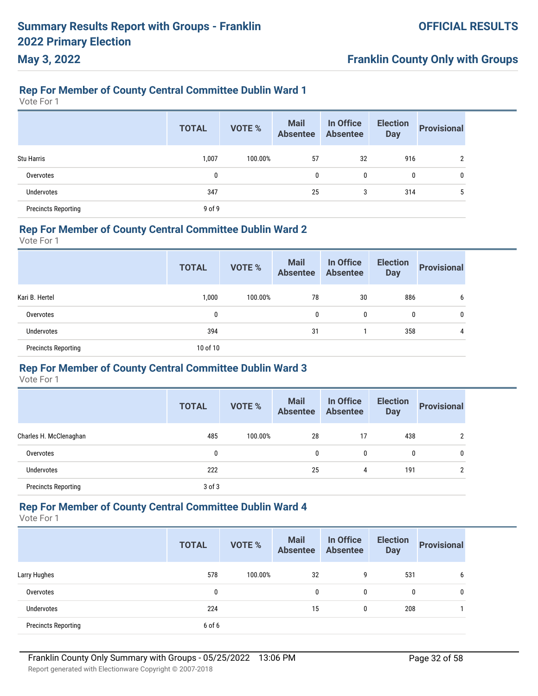#### **Rep For Member of County Central Committee Dublin Ward 1**

Vote For 1

**May 3, 2022**

|                            | <b>TOTAL</b> | <b>VOTE %</b> | <b>Mail</b><br><b>Absentee</b> | In Office<br><b>Absentee</b> | <b>Election</b><br><b>Day</b> | <b>Provisional</b> |
|----------------------------|--------------|---------------|--------------------------------|------------------------------|-------------------------------|--------------------|
| <b>Stu Harris</b>          | 1,007        | 100.00%       | 57                             | 32                           | 916                           |                    |
| Overvotes                  | 0            |               | 0                              | 0                            | 0                             | 0                  |
| Undervotes                 | 347          |               | 25                             | 3                            | 314                           | h                  |
| <b>Precincts Reporting</b> | $9$ of $9$   |               |                                |                              |                               |                    |

#### **Rep For Member of County Central Committee Dublin Ward 2**

Vote For 1

|                            | <b>TOTAL</b> | <b>VOTE %</b> | <b>Mail</b><br><b>Absentee</b> | In Office<br><b>Absentee</b> | <b>Election</b><br><b>Day</b> | <b>Provisional</b> |
|----------------------------|--------------|---------------|--------------------------------|------------------------------|-------------------------------|--------------------|
| Kari B. Hertel             | 1,000        | 100.00%       | 78                             | 30                           | 886                           | b                  |
| Overvotes                  | 0            |               | $\mathbf{0}$                   | 0                            | 0                             | $\mathbf{0}$       |
| Undervotes                 | 394          |               | 31                             |                              | 358                           | 4                  |
| <b>Precincts Reporting</b> | 10 of 10     |               |                                |                              |                               |                    |

#### **Rep For Member of County Central Committee Dublin Ward 3**

Vote For 1

|                            | <b>TOTAL</b> | <b>VOTE %</b> | <b>Mail</b><br><b>Absentee</b> | In Office<br><b>Absentee</b> | <b>Election</b><br><b>Day</b> | <b>Provisional</b> |
|----------------------------|--------------|---------------|--------------------------------|------------------------------|-------------------------------|--------------------|
| Charles H. McClenaghan     | 485          | 100.00%       | 28                             | 17                           | 438                           | ົ                  |
| Overvotes                  | 0            |               | 0                              | 0                            | 0                             | 0                  |
| <b>Undervotes</b>          | 222          |               | 25                             | 4                            | 191                           | ົ                  |
| <b>Precincts Reporting</b> | $3$ of $3$   |               |                                |                              |                               |                    |

Vote For 1

|                            | <b>TOTAL</b> | <b>VOTE %</b> | <b>Mail</b><br><b>Absentee</b> | In Office<br><b>Absentee</b> | <b>Election</b><br><b>Day</b> | <b>Provisional</b> |
|----------------------------|--------------|---------------|--------------------------------|------------------------------|-------------------------------|--------------------|
| Larry Hughes               | 578          | 100.00%       | 32                             | 9                            | 531                           | 6                  |
| Overvotes                  | $\mathbf{0}$ |               | 0                              | 0                            | 0                             | 0                  |
| <b>Undervotes</b>          | 224          |               | 15                             | 0                            | 208                           |                    |
| <b>Precincts Reporting</b> | 6 of 6       |               |                                |                              |                               |                    |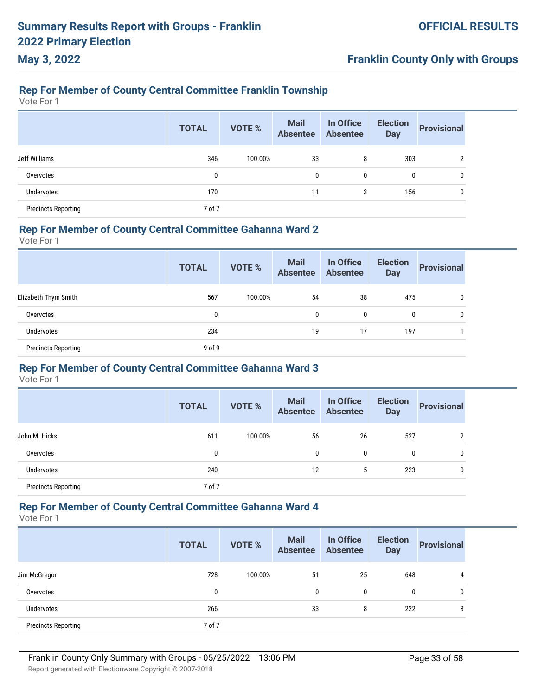# **Franklin County Only with Groups**

# **Rep For Member of County Central Committee Franklin Township**

Vote For 1

|                            | <b>TOTAL</b> | <b>VOTE %</b> | <b>Mail</b><br><b>Absentee</b> | In Office<br><b>Absentee</b> | <b>Election</b><br><b>Day</b> | <b>Provisional</b> |
|----------------------------|--------------|---------------|--------------------------------|------------------------------|-------------------------------|--------------------|
| Jeff Williams              | 346          | 100.00%       | 33                             | 8                            | 303                           | າ                  |
| Overvotes                  | 0            |               | 0                              | 0                            | 0                             | 0                  |
| <b>Undervotes</b>          | 170          |               | 11                             | 3                            | 156                           | 0                  |
| <b>Precincts Reporting</b> | 7 of 7       |               |                                |                              |                               |                    |

### **Rep For Member of County Central Committee Gahanna Ward 2**

Vote For 1

|                            | <b>TOTAL</b> | <b>VOTE %</b> | <b>Mail</b><br><b>Absentee</b> | In Office<br><b>Absentee</b> | <b>Election</b><br><b>Day</b> | <b>Provisional</b> |
|----------------------------|--------------|---------------|--------------------------------|------------------------------|-------------------------------|--------------------|
| Elizabeth Thym Smith       | 567          | 100.00%       | 54                             | 38                           | 475                           | 0                  |
| Overvotes                  | 0            |               | 0                              | $\mathbf{0}$                 | $\mathbf{0}$                  | $\mathbf{0}$       |
| Undervotes                 | 234          |               | 19                             | 17                           | 197                           |                    |
| <b>Precincts Reporting</b> | 9 of 9       |               |                                |                              |                               |                    |

#### **Rep For Member of County Central Committee Gahanna Ward 3**

Vote For 1

|                            | <b>TOTAL</b> | <b>VOTE %</b> | <b>Mail</b><br><b>Absentee</b> | In Office<br><b>Absentee</b> | <b>Election</b><br><b>Day</b> | <b>Provisional</b> |
|----------------------------|--------------|---------------|--------------------------------|------------------------------|-------------------------------|--------------------|
| John M. Hicks              | 611          | 100.00%       | 56                             | 26                           | 527                           | 2                  |
| Overvotes                  | 0            |               | 0                              | 0                            | 0                             | 0                  |
| Undervotes                 | 240          |               | 12                             | 5                            | 223                           | 0                  |
| <b>Precincts Reporting</b> | 7 of 7       |               |                                |                              |                               |                    |

#### **Rep For Member of County Central Committee Gahanna Ward 4**

Vote For 1

|                            | <b>TOTAL</b> | <b>VOTE %</b> | <b>Mail</b><br><b>Absentee</b> | In Office<br><b>Absentee</b> | <b>Election</b><br><b>Day</b> | <b>Provisional</b> |
|----------------------------|--------------|---------------|--------------------------------|------------------------------|-------------------------------|--------------------|
| Jim McGregor               | 728          | 100.00%       | 51                             | 25                           | 648                           | 4                  |
| Overvotes                  | 0            |               | 0                              | $\mathbf{0}$                 | 0                             | 0                  |
| Undervotes                 | 266          |               | 33                             | 8                            | 222                           | 3                  |
| <b>Precincts Reporting</b> | 7 of 7       |               |                                |                              |                               |                    |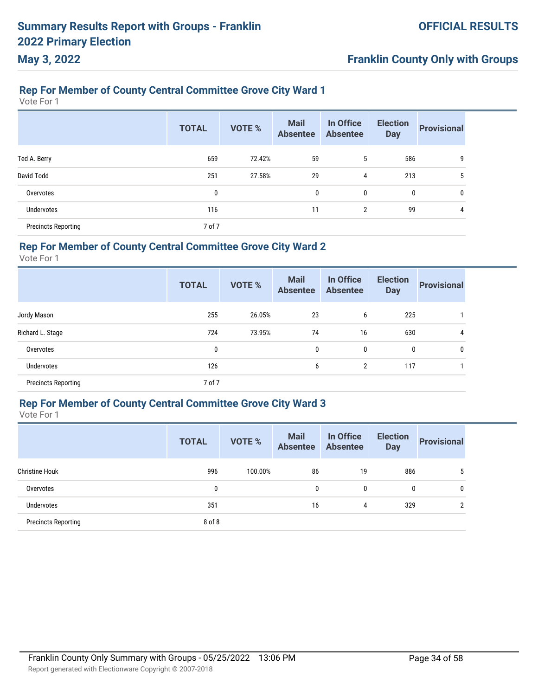# **Franklin County Only with Groups**

# **Rep For Member of County Central Committee Grove City Ward 1**

Vote For 1

|                            | <b>TOTAL</b> | <b>VOTE %</b> | <b>Mail</b><br><b>Absentee</b> | In Office<br><b>Absentee</b> | <b>Election</b><br><b>Day</b> | <b>Provisional</b> |
|----------------------------|--------------|---------------|--------------------------------|------------------------------|-------------------------------|--------------------|
| Ted A. Berry               | 659          | 72.42%        | 59                             | 5                            | 586                           | 9                  |
| David Todd                 | 251          | 27.58%        | 29                             | 4                            | 213                           | 5                  |
| Overvotes                  | $\bf{0}$     |               | 0                              | 0                            | $\bf{0}$                      | $\mathbf 0$        |
| <b>Undervotes</b>          | 116          |               | 11                             | $\overline{2}$               | 99                            | 4                  |
| <b>Precincts Reporting</b> | 7 of 7       |               |                                |                              |                               |                    |

#### **Rep For Member of County Central Committee Grove City Ward 2**

Vote For 1

|                            | <b>TOTAL</b> | <b>VOTE %</b> | <b>Mail</b><br><b>Absentee</b> | In Office<br><b>Absentee</b> | <b>Election</b><br><b>Day</b> | <b>Provisional</b> |
|----------------------------|--------------|---------------|--------------------------------|------------------------------|-------------------------------|--------------------|
| Jordy Mason                | 255          | 26.05%        | 23                             | 6                            | 225                           |                    |
| Richard L. Stage           | 724          | 73.95%        | 74                             | 16                           | 630                           | 4                  |
| Overvotes                  | 0            |               | 0                              | 0                            | 0                             | 0                  |
| Undervotes                 | 126          |               | 6                              | 2                            | 117                           |                    |
| <b>Precincts Reporting</b> | 7 of 7       |               |                                |                              |                               |                    |

#### **Rep For Member of County Central Committee Grove City Ward 3**

|                            | <b>TOTAL</b> | <b>VOTE %</b> | <b>Mail</b><br><b>Absentee</b> | In Office<br><b>Absentee</b> | <b>Election</b><br><b>Day</b> | <b>Provisional</b> |
|----------------------------|--------------|---------------|--------------------------------|------------------------------|-------------------------------|--------------------|
| <b>Christine Houk</b>      | 996          | 100.00%       | 86                             | 19                           | 886                           | 5                  |
| Overvotes                  | 0            |               | 0                              | 0                            | 0                             | 0                  |
| Undervotes                 | 351          |               | 16                             | 4                            | 329                           |                    |
| <b>Precincts Reporting</b> | 8 of 8       |               |                                |                              |                               |                    |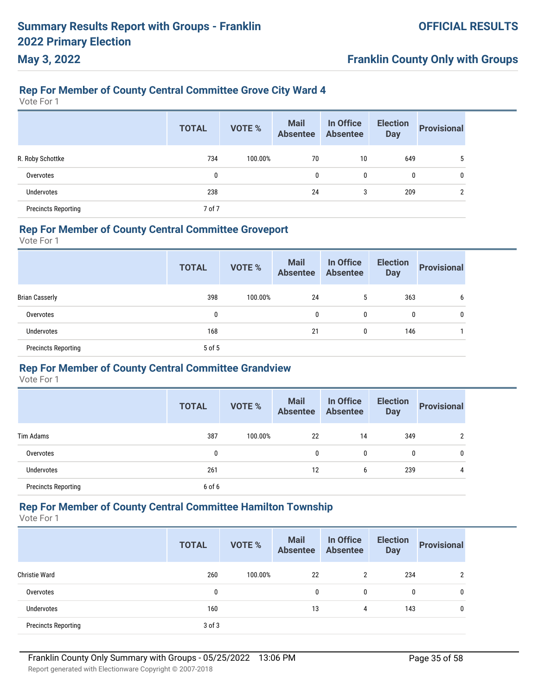# **Franklin County Only with Groups**

# **Rep For Member of County Central Committee Grove City Ward 4**

Vote For 1

|                            | <b>TOTAL</b> | <b>VOTE %</b> | <b>Mail</b><br><b>Absentee</b> | In Office<br><b>Absentee</b> | <b>Election</b><br><b>Day</b> | <b>Provisional</b> |
|----------------------------|--------------|---------------|--------------------------------|------------------------------|-------------------------------|--------------------|
| R. Roby Schottke           | 734          | 100.00%       | 70                             | 10                           | 649                           | 5                  |
| Overvotes                  | 0            |               | 0                              | 0                            | 0                             | 0                  |
| Undervotes                 | 238          |               | 24                             | 3                            | 209                           | 2                  |
| <b>Precincts Reporting</b> | 7 of 7       |               |                                |                              |                               |                    |

#### **Rep For Member of County Central Committee Groveport**

Vote For 1

|                            | <b>TOTAL</b> | VOTE %  | <b>Mail</b><br><b>Absentee</b> | In Office<br>Absentee | <b>Election</b><br><b>Day</b> | <b>Provisional</b> |
|----------------------------|--------------|---------|--------------------------------|-----------------------|-------------------------------|--------------------|
| <b>Brian Casserly</b>      | 398          | 100.00% | 24                             | <sub>5</sub>          | 363                           | b                  |
| Overvotes                  | 0            |         | 0                              | 0                     | 0                             | 0                  |
| Undervotes                 | 168          |         | 21                             | 0                     | 146                           |                    |
| <b>Precincts Reporting</b> | 5 of 5       |         |                                |                       |                               |                    |

#### **Rep For Member of County Central Committee Grandview**

Vote For 1

|                            | <b>TOTAL</b> | <b>VOTE %</b> | <b>Mail</b><br><b>Absentee</b> | In Office<br><b>Absentee</b> | <b>Election</b><br><b>Day</b> | <b>Provisional</b> |
|----------------------------|--------------|---------------|--------------------------------|------------------------------|-------------------------------|--------------------|
| Tim Adams                  | 387          | 100.00%       | 22                             | 14                           | 349                           | 2                  |
| Overvotes                  | 0            |               | 0                              | 0                            | 0                             | 0                  |
| <b>Undervotes</b>          | 261          |               | 12                             | 6                            | 239                           | 4                  |
| <b>Precincts Reporting</b> | 6 of 6       |               |                                |                              |                               |                    |

#### **Rep For Member of County Central Committee Hamilton Township**

Vote For 1

|                            | <b>TOTAL</b> | <b>VOTE %</b> | <b>Mail</b><br><b>Absentee</b> | In Office<br><b>Absentee</b> | <b>Election</b><br><b>Day</b> | <b>Provisional</b> |
|----------------------------|--------------|---------------|--------------------------------|------------------------------|-------------------------------|--------------------|
| <b>Christie Ward</b>       | 260          | 100.00%       | 22                             | $\overline{2}$               | 234                           | $\overline{2}$     |
| Overvotes                  | 0            |               | 0                              | 0                            | 0                             | 0                  |
| Undervotes                 | 160          |               | 13                             | 4                            | 143                           | 0                  |
| <b>Precincts Reporting</b> | $3$ of $3$   |               |                                |                              |                               |                    |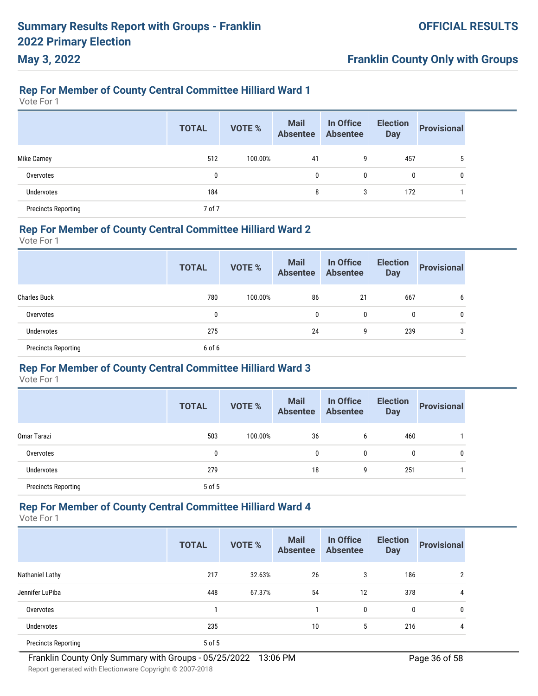#### **Rep For Member of County Central Committee Hilliard Ward 1**

Vote For 1

**May 3, 2022**

|                            | <b>TOTAL</b> | <b>VOTE %</b> | <b>Mail</b><br><b>Absentee</b> | In Office<br><b>Absentee</b> | <b>Election</b><br><b>Day</b> | <b>Provisional</b> |
|----------------------------|--------------|---------------|--------------------------------|------------------------------|-------------------------------|--------------------|
| <b>Mike Carney</b>         | 512          | 100.00%       | 41                             | 9                            | 457                           |                    |
| Overvotes                  | 0            |               | $\mathbf{0}$                   | 0                            | 0                             | 0                  |
| <b>Undervotes</b>          | 184          |               | 8                              | 3                            | 172                           |                    |
| <b>Precincts Reporting</b> | 7 of 7       |               |                                |                              |                               |                    |

#### **Rep For Member of County Central Committee Hilliard Ward 2**

Vote For 1

|                            | <b>TOTAL</b> | <b>VOTE %</b> | <b>Mail</b><br><b>Absentee</b> | In Office<br><b>Absentee</b> | <b>Election</b><br><b>Day</b> | <b>Provisional</b> |
|----------------------------|--------------|---------------|--------------------------------|------------------------------|-------------------------------|--------------------|
| <b>Charles Buck</b>        | 780          | 100.00%       | 86                             | 21                           | 667                           | b                  |
| Overvotes                  | 0            |               | $\mathbf{0}$                   | 0                            | 0                             | $\mathbf{0}$       |
| Undervotes                 | 275          |               | 24                             | 9                            | 239                           |                    |
| <b>Precincts Reporting</b> | 6 of 6       |               |                                |                              |                               |                    |

### **Rep For Member of County Central Committee Hilliard Ward 3**

Vote For 1

|                            | <b>TOTAL</b> | <b>VOTE %</b> | <b>Mail</b><br><b>Absentee</b> | In Office<br><b>Absentee</b> | <b>Election</b><br><b>Day</b> | <b>Provisional</b> |
|----------------------------|--------------|---------------|--------------------------------|------------------------------|-------------------------------|--------------------|
| Omar Tarazi                | 503          | 100.00%       | 36                             | 6                            | 460                           |                    |
| Overvotes                  | 0            |               | 0                              | 0                            | 0                             | 0                  |
| Undervotes                 | 279          |               | 18                             | 9                            | 251                           |                    |
| <b>Precincts Reporting</b> | 5 of 5       |               |                                |                              |                               |                    |

#### **Rep For Member of County Central Committee Hilliard Ward 4**

Vote For 1

|                            | <b>TOTAL</b> | <b>VOTE %</b> | <b>Mail</b><br><b>Absentee</b> | In Office<br><b>Absentee</b> | <b>Election</b><br><b>Day</b> | <b>Provisional</b> |
|----------------------------|--------------|---------------|--------------------------------|------------------------------|-------------------------------|--------------------|
| Nathaniel Lathy            | 217          | 32.63%        | 26                             | 3                            | 186                           | 2                  |
| Jennifer LuPiba            | 448          | 67.37%        | 54                             | 12                           | 378                           | 4                  |
| Overvotes                  |              |               |                                | $\mathbf{0}$                 | 0                             | 0                  |
| <b>Undervotes</b>          | 235          |               | 10                             | 5                            | 216                           | 4                  |
| <b>Precincts Reporting</b> | 5 of 5       |               |                                |                              |                               |                    |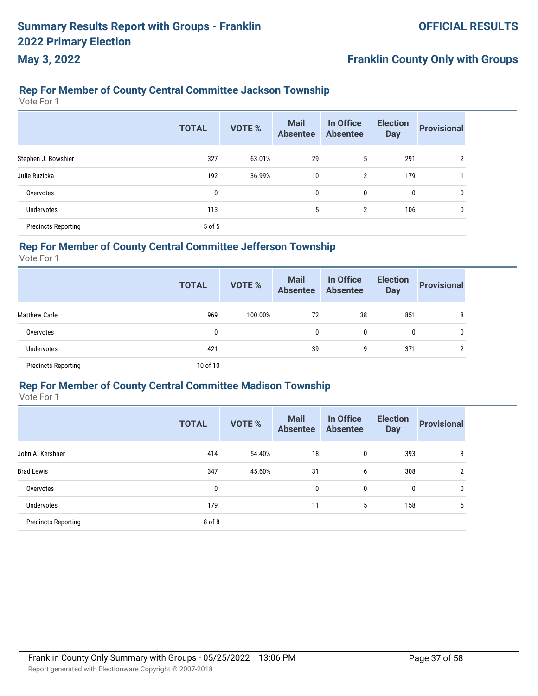# **Franklin County Only with Groups**

## **Rep For Member of County Central Committee Jackson Township**

Vote For 1

|                            | <b>TOTAL</b> | <b>VOTE %</b> | <b>Mail</b><br><b>Absentee</b> | In Office<br><b>Absentee</b> | <b>Election</b><br><b>Day</b> | <b>Provisional</b> |
|----------------------------|--------------|---------------|--------------------------------|------------------------------|-------------------------------|--------------------|
| Stephen J. Bowshier        | 327          | 63.01%        | 29                             | 5                            | 291                           | $\overline{2}$     |
| Julie Ruzicka              | 192          | 36.99%        | 10                             | $\overline{2}$               | 179                           |                    |
| Overvotes                  | 0            |               | 0                              | 0                            | 0                             | 0                  |
| <b>Undervotes</b>          | 113          |               | 5                              | $\overline{2}$               | 106                           | 0                  |
| <b>Precincts Reporting</b> | 5 of 5       |               |                                |                              |                               |                    |

#### **Rep For Member of County Central Committee Jefferson Township**

Vote For 1

|                            | <b>TOTAL</b> | <b>VOTE %</b> | <b>Mail</b><br><b>Absentee</b> | In Office<br><b>Absentee</b> | <b>Election</b><br><b>Day</b> | <b>Provisional</b> |
|----------------------------|--------------|---------------|--------------------------------|------------------------------|-------------------------------|--------------------|
| <b>Matthew Carle</b>       | 969          | 100.00%       | 72                             | 38                           | 851                           | 8                  |
| Overvotes                  | 0            |               | 0                              | 0                            | 0                             | 0                  |
| Undervotes                 | 421          |               | 39                             | 9                            | 371                           | C                  |
| <b>Precincts Reporting</b> | 10 of 10     |               |                                |                              |                               |                    |

#### **Rep For Member of County Central Committee Madison Township**

|                            | <b>TOTAL</b> | <b>VOTE %</b> | <b>Mail</b><br><b>Absentee</b> | In Office<br><b>Absentee</b> | <b>Election</b><br><b>Day</b> | <b>Provisional</b> |
|----------------------------|--------------|---------------|--------------------------------|------------------------------|-------------------------------|--------------------|
| John A. Kershner           | 414          | 54.40%        | 18                             | 0                            | 393                           | 3                  |
| <b>Brad Lewis</b>          | 347          | 45.60%        | 31                             | 6                            | 308                           | $\overline{2}$     |
| Overvotes                  | 0            |               | 0                              | 0                            | 0                             | 0                  |
| <b>Undervotes</b>          | 179          |               | 11                             | 5                            | 158                           | 5                  |
| <b>Precincts Reporting</b> | 8 of 8       |               |                                |                              |                               |                    |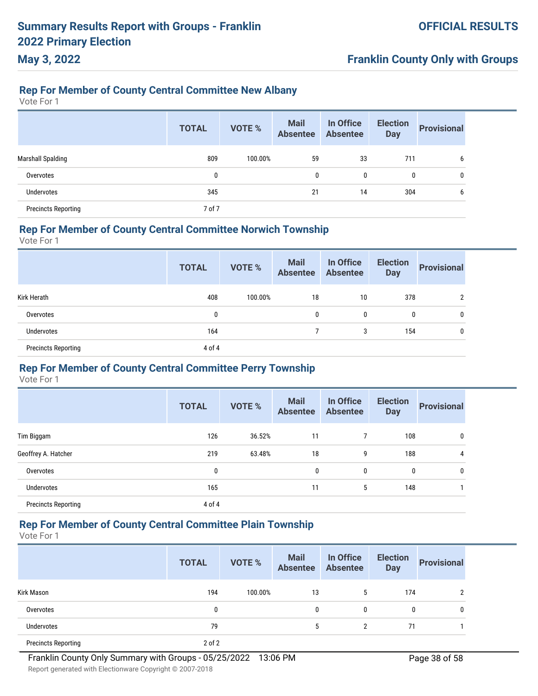#### **Rep For Member of County Central Committee New Albany**

Vote For 1

**May 3, 2022**

|                            | <b>TOTAL</b> | <b>VOTE %</b> | <b>Mail</b><br><b>Absentee</b> | In Office<br><b>Absentee</b> | <b>Election</b><br><b>Day</b> | <b>Provisional</b> |
|----------------------------|--------------|---------------|--------------------------------|------------------------------|-------------------------------|--------------------|
| <b>Marshall Spalding</b>   | 809          | 100.00%       | 59                             | 33                           | 711                           | 6                  |
| Overvotes                  | 0            |               | 0                              | 0                            | 0                             | 0                  |
| <b>Undervotes</b>          | 345          |               | 21                             | 14                           | 304                           | b                  |
| <b>Precincts Reporting</b> | 7 of 7       |               |                                |                              |                               |                    |

### **Rep For Member of County Central Committee Norwich Township**

Vote For 1

|                            | <b>TOTAL</b> | <b>VOTE %</b> | <b>Mail</b><br><b>Absentee</b> | In Office<br><b>Absentee</b> | <b>Election</b><br><b>Day</b> | <b>Provisional</b> |
|----------------------------|--------------|---------------|--------------------------------|------------------------------|-------------------------------|--------------------|
| Kirk Herath                | 408          | 100.00%       | 18                             | 10                           | 378                           | 2                  |
| Overvotes                  | 0            |               | $\mathbf{0}$                   | $\mathbf{0}$                 | $\mathbf 0$                   | 0                  |
| <b>Undervotes</b>          | 164          |               |                                | 3                            | 154                           | 0                  |
| <b>Precincts Reporting</b> | 4 of 4       |               |                                |                              |                               |                    |

#### **Rep For Member of County Central Committee Perry Township**

Vote For 1

|                            | <b>TOTAL</b> | <b>VOTE %</b> | <b>Mail</b><br><b>Absentee</b> | In Office<br><b>Absentee</b> | <b>Election</b><br><b>Day</b> | <b>Provisional</b> |
|----------------------------|--------------|---------------|--------------------------------|------------------------------|-------------------------------|--------------------|
| Tim Biggam                 | 126          | 36.52%        | 11                             | 7                            | 108                           | 0                  |
| Geoffrey A. Hatcher        | 219          | 63.48%        | 18                             | 9                            | 188                           | 4                  |
| Overvotes                  | 0            |               | 0                              | 0                            | 0                             | 0                  |
| <b>Undervotes</b>          | 165          |               | 11                             | 5                            | 148                           |                    |
| <b>Precincts Reporting</b> | 4 of 4       |               |                                |                              |                               |                    |

### **Rep For Member of County Central Committee Plain Township**

|                            | <b>TOTAL</b> | <b>VOTE %</b> | <b>Mail</b><br>Absentee | In Office<br>Absentee | <b>Election</b><br><b>Day</b> | <b>Provisional</b> |
|----------------------------|--------------|---------------|-------------------------|-----------------------|-------------------------------|--------------------|
| Kirk Mason                 | 194          | 100.00%       | 13                      | 5                     | 174                           | າ                  |
| Overvotes                  | 0            |               | 0                       | 0                     | 0                             | $\mathbf{0}$       |
| <b>Undervotes</b>          | 79           |               | 5                       | 2                     | 71                            |                    |
| <b>Precincts Reporting</b> | $2$ of $2$   |               |                         |                       |                               |                    |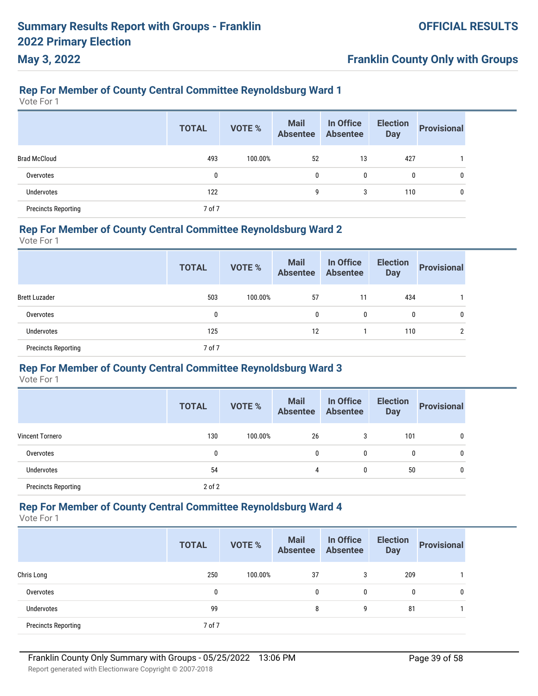# **Franklin County Only with Groups**

### **Rep For Member of County Central Committee Reynoldsburg Ward 1**

Vote For 1

|                            | <b>TOTAL</b> | <b>VOTE %</b> | <b>Mail</b><br><b>Absentee</b> | In Office<br><b>Absentee</b> | <b>Election</b><br><b>Day</b> | <b>Provisional</b> |
|----------------------------|--------------|---------------|--------------------------------|------------------------------|-------------------------------|--------------------|
| <b>Brad McCloud</b>        | 493          | 100.00%       | 52                             | 13                           | 427                           |                    |
| Overvotes                  | 0            |               | 0                              | 0                            | $\mathbf{0}$                  | 0                  |
| Undervotes                 | 122          |               | 9                              | 3                            | 110                           | 0                  |
| <b>Precincts Reporting</b> | 7 of 7       |               |                                |                              |                               |                    |

#### **Rep For Member of County Central Committee Reynoldsburg Ward 2**

Vote For 1

|                            | <b>TOTAL</b> | VOTE %  | <b>Mail</b><br>Absentee | In Office<br>Absentee | <b>Election</b><br><b>Day</b> | <b>Provisional</b> |
|----------------------------|--------------|---------|-------------------------|-----------------------|-------------------------------|--------------------|
| <b>Brett Luzader</b>       | 503          | 100.00% | 57                      | 11                    | 434                           |                    |
| Overvotes                  | 0            |         | $\mathbf{0}$            | 0                     | $\mathbf 0$                   | 0                  |
| Undervotes                 | 125          |         | 12                      |                       | 110                           | າ                  |
| <b>Precincts Reporting</b> | 7 of 7       |         |                         |                       |                               |                    |

#### **Rep For Member of County Central Committee Reynoldsburg Ward 3**

Vote For 1

|                            | <b>TOTAL</b> | <b>VOTE %</b> | <b>Mail</b><br><b>Absentee</b> | In Office<br><b>Absentee</b> | <b>Election</b><br><b>Day</b> | <b>Provisional</b> |
|----------------------------|--------------|---------------|--------------------------------|------------------------------|-------------------------------|--------------------|
| <b>Vincent Tornero</b>     | 130          | 100.00%       | 26                             | 3                            | 101                           | 0                  |
| Overvotes                  | 0            |               | 0                              | 0                            | 0                             | 0                  |
| Undervotes                 | 54           |               | 4                              | 0                            | 50                            | 0                  |
| <b>Precincts Reporting</b> | $2$ of $2$   |               |                                |                              |                               |                    |

#### **Rep For Member of County Central Committee Reynoldsburg Ward 4**

Vote For 1

|                            | <b>TOTAL</b> | <b>VOTE %</b> | <b>Mail</b><br><b>Absentee</b> | In Office<br><b>Absentee</b> | <b>Election</b><br><b>Day</b> | <b>Provisional</b> |
|----------------------------|--------------|---------------|--------------------------------|------------------------------|-------------------------------|--------------------|
| Chris Long                 | 250          | 100.00%       | 37                             | 3                            | 209                           |                    |
| Overvotes                  | 0            |               | 0                              | 0                            | 0                             | 0                  |
| Undervotes                 | 99           |               | 8                              | 9                            | 81                            |                    |
| <b>Precincts Reporting</b> | 7 of 7       |               |                                |                              |                               |                    |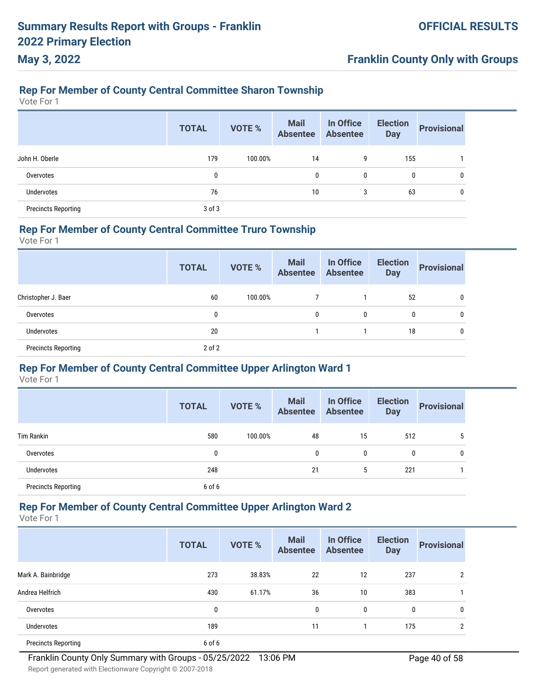# **Franklin County Only with Groups**

# **Rep For Member of County Central Committee Sharon Township**

Vote For 1

|                            | <b>TOTAL</b> | <b>VOTE %</b> | <b>Mail</b><br><b>Absentee</b> | In Office<br><b>Absentee</b> | <b>Election</b><br><b>Day</b> | <b>Provisional</b> |
|----------------------------|--------------|---------------|--------------------------------|------------------------------|-------------------------------|--------------------|
| John H. Oberle             | 179          | 100.00%       | 14                             | 9                            | 155                           |                    |
| Overvotes                  | 0            |               | 0                              | 0                            | 0                             | 0                  |
| Undervotes                 | 76           |               | 10                             | 3                            | 63                            | 0                  |
| <b>Precincts Reporting</b> | $3$ of $3$   |               |                                |                              |                               |                    |

#### **Rep For Member of County Central Committee Truro Township**

Vote For 1

|                            | <b>TOTAL</b> | <b>VOTE %</b> | <b>Mail</b><br>Absentee | In Office<br><b>Absentee</b> | <b>Election</b><br><b>Day</b> | <b>Provisional</b> |
|----------------------------|--------------|---------------|-------------------------|------------------------------|-------------------------------|--------------------|
| Christopher J. Baer        | 60           | 100.00%       |                         |                              | 52                            | $\mathbf{0}$       |
| Overvotes                  | 0            |               | $\mathbf{0}$            | 0                            | 0                             | $\mathbf{0}$       |
| Undervotes                 | 20           |               |                         |                              | 18                            |                    |
| <b>Precincts Reporting</b> | $2$ of $2$   |               |                         |                              |                               |                    |

#### **Rep For Member of County Central Committee Upper Arlington Ward 1**

Vote For 1

|                            | <b>TOTAL</b> | <b>VOTE %</b> | <b>Mail</b><br><b>Absentee</b> | In Office<br><b>Absentee</b> | <b>Election</b><br><b>Day</b> | <b>Provisional</b> |
|----------------------------|--------------|---------------|--------------------------------|------------------------------|-------------------------------|--------------------|
| Tim Rankin                 | 580          | 100.00%       | 48                             | 15                           | 512                           | 5                  |
| Overvotes                  | 0            |               | 0                              | 0                            | 0                             | 0                  |
| Undervotes                 | 248          |               | 21                             | 5                            | 221                           |                    |
| <b>Precincts Reporting</b> | 6 of 6       |               |                                |                              |                               |                    |

#### **Rep For Member of County Central Committee Upper Arlington Ward 2**

Vote For 1

|                            | <b>TOTAL</b> | <b>VOTE %</b> | <b>Mail</b><br><b>Absentee</b> | In Office<br><b>Absentee</b> | <b>Election</b><br><b>Day</b> | <b>Provisional</b> |
|----------------------------|--------------|---------------|--------------------------------|------------------------------|-------------------------------|--------------------|
| Mark A. Bainbridge         | 273          | 38.83%        | 22                             | 12                           | 237                           | $\overline{2}$     |
| Andrea Helfrich            | 430          | 61.17%        | 36                             | 10                           | 383                           |                    |
| Overvotes                  | 0            |               | $\mathbf{0}$                   | 0                            | 0                             | 0                  |
| <b>Undervotes</b>          | 189          |               | 11                             |                              | 175                           | $\overline{2}$     |
| <b>Precincts Reporting</b> | 6 of 6       |               |                                |                              |                               |                    |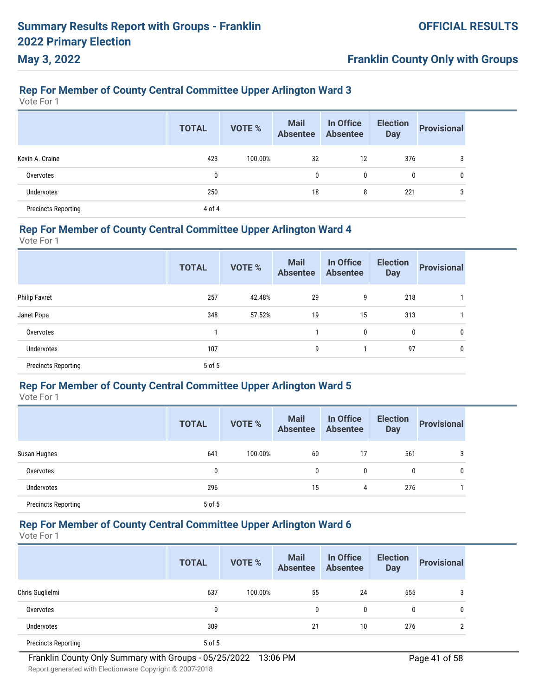# **Franklin County Only with Groups**

# **Rep For Member of County Central Committee Upper Arlington Ward 3**

Vote For 1

|                            | <b>TOTAL</b> | <b>VOTE %</b> | <b>Mail</b><br><b>Absentee</b> | In Office<br><b>Absentee</b> | <b>Election</b><br><b>Day</b> | <b>Provisional</b> |
|----------------------------|--------------|---------------|--------------------------------|------------------------------|-------------------------------|--------------------|
| Kevin A. Craine            | 423          | 100.00%       | 32                             | 12                           | 376                           | 3                  |
| Overvotes                  | 0            |               | 0                              | 0                            | 0                             | 0                  |
| <b>Undervotes</b>          | 250          |               | 18                             | 8                            | 221                           | 3                  |
| <b>Precincts Reporting</b> | 4 of 4       |               |                                |                              |                               |                    |

#### **Rep For Member of County Central Committee Upper Arlington Ward 4**

Vote For 1

| <b>TOTAL</b> | <b>VOTE %</b> | <b>Mail</b><br><b>Absentee</b> | In Office<br><b>Absentee</b> | <b>Election</b><br><b>Day</b> | <b>Provisional</b> |
|--------------|---------------|--------------------------------|------------------------------|-------------------------------|--------------------|
| 257          | 42.48%        | 29                             | 9                            | 218                           |                    |
| 348          | 57.52%        | 19                             | 15                           | 313                           |                    |
|              |               |                                | 0                            | 0                             | 0                  |
| 107          |               | 9                              |                              | 97                            | 0                  |
|              |               |                                |                              |                               |                    |
|              |               | 5 of 5                         |                              |                               |                    |

#### **Rep For Member of County Central Committee Upper Arlington Ward 5**

Vote For 1

|                            | <b>TOTAL</b> | <b>VOTE %</b> | <b>Mail</b><br><b>Absentee</b> | In Office<br><b>Absentee</b> | <b>Election</b><br><b>Day</b> | <b>Provisional</b> |
|----------------------------|--------------|---------------|--------------------------------|------------------------------|-------------------------------|--------------------|
| Susan Hughes               | 641          | 100.00%       | 60                             | 17                           | 561                           | 3                  |
| Overvotes                  | 0            |               | 0                              | 0                            | 0                             | 0                  |
| <b>Undervotes</b>          | 296          |               | 15                             | 4                            | 276                           |                    |
| <b>Precincts Reporting</b> | 5 of 5       |               |                                |                              |                               |                    |

# **Rep For Member of County Central Committee Upper Arlington Ward 6**

|                            | <b>TOTAL</b> | <b>VOTE %</b> | Mail<br>Absentee | In Office<br><b>Absentee</b> | <b>Election</b><br><b>Day</b> | <b>Provisional</b> |
|----------------------------|--------------|---------------|------------------|------------------------------|-------------------------------|--------------------|
| Chris Guglielmi            | 637          | 100.00%       | 55               | 24                           | 555                           | 3                  |
| Overvotes                  | 0            |               | 0                | $\mathbf{0}$                 | 0                             | 0                  |
| <b>Undervotes</b>          | 309          |               | 21               | 10                           | 276                           | 2                  |
| <b>Precincts Reporting</b> | 5 of 5       |               |                  |                              |                               |                    |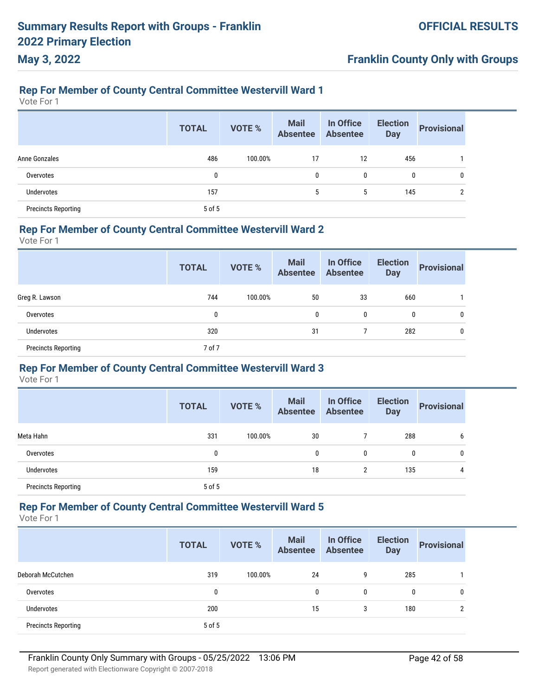### **Rep For Member of County Central Committee Westervill Ward 1**

Vote For 1

**May 3, 2022**

|                            | <b>TOTAL</b> | <b>VOTE %</b> | <b>Mail</b><br><b>Absentee</b> | In Office<br><b>Absentee</b> | <b>Election</b><br><b>Day</b> | <b>Provisional</b> |
|----------------------------|--------------|---------------|--------------------------------|------------------------------|-------------------------------|--------------------|
| Anne Gonzales              | 486          | 100.00%       | 17                             | 12                           | 456                           |                    |
| Overvotes                  | 0            |               | 0                              | 0                            | 0                             | 0                  |
| <b>Undervotes</b>          | 157          |               | 5                              | 5                            | 145                           | ↑                  |
| <b>Precincts Reporting</b> | 5 of 5       |               |                                |                              |                               |                    |

#### **Rep For Member of County Central Committee Westervill Ward 2**

Vote For 1

|                            | <b>TOTAL</b> | <b>VOTE %</b> | <b>Mail</b><br>Absentee | In Office<br>Absentee | <b>Election</b><br><b>Day</b> | <b>Provisional</b> |
|----------------------------|--------------|---------------|-------------------------|-----------------------|-------------------------------|--------------------|
| Greg R. Lawson             | 744          | 100.00%       | 50                      | 33                    | 660                           |                    |
| Overvotes                  | 0            |               | 0                       | 0                     | $\mathbf 0$                   | 0                  |
| <b>Undervotes</b>          | 320          |               | 31                      |                       | 282                           | 0                  |
| <b>Precincts Reporting</b> | 7 of 7       |               |                         |                       |                               |                    |

#### **Rep For Member of County Central Committee Westervill Ward 3**

Vote For 1

|                            | <b>TOTAL</b> | <b>VOTE %</b> | <b>Mail</b><br><b>Absentee</b> | In Office<br><b>Absentee</b> | <b>Election</b><br><b>Day</b> | <b>Provisional</b> |
|----------------------------|--------------|---------------|--------------------------------|------------------------------|-------------------------------|--------------------|
| Meta Hahn                  | 331          | 100.00%       | 30                             |                              | 288                           | 6                  |
| Overvotes                  | 0            |               | 0                              | 0                            | 0                             | 0                  |
| Undervotes                 | 159          |               | 18                             | $\overline{2}$               | 135                           | 4                  |
| <b>Precincts Reporting</b> | 5 of 5       |               |                                |                              |                               |                    |

#### **Rep For Member of County Central Committee Westervill Ward 5**

Vote For 1

|                            | <b>TOTAL</b> | <b>VOTE %</b> | <b>Mail</b><br><b>Absentee</b> | In Office<br><b>Absentee</b> | <b>Election</b><br><b>Day</b> | <b>Provisional</b> |
|----------------------------|--------------|---------------|--------------------------------|------------------------------|-------------------------------|--------------------|
| Deborah McCutchen          | 319          | 100.00%       | 24                             | 9                            | 285                           |                    |
| Overvotes                  | 0            |               | 0                              | 0                            | 0                             | 0                  |
| <b>Undervotes</b>          | 200          |               | 15                             | 3                            | 180                           | ŋ                  |
| <b>Precincts Reporting</b> | 5 of 5       |               |                                |                              |                               |                    |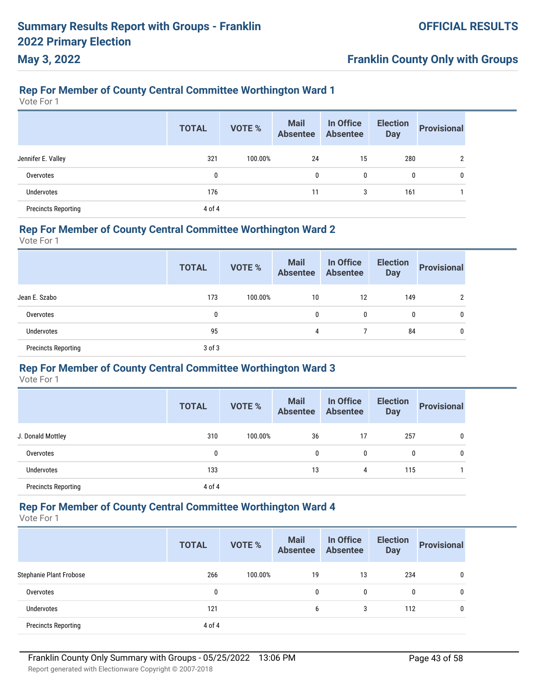## **Franklin County Only with Groups**

### **Rep For Member of County Central Committee Worthington Ward 1**

Vote For 1

|                            | <b>TOTAL</b> | <b>VOTE %</b> | <b>Mail</b><br><b>Absentee</b> | In Office<br><b>Absentee</b> | <b>Election</b><br><b>Day</b> | <b>Provisional</b> |
|----------------------------|--------------|---------------|--------------------------------|------------------------------|-------------------------------|--------------------|
| Jennifer E. Valley         | 321          | 100.00%       | 24                             | 15                           | 280                           | 2                  |
| Overvotes                  | 0            |               | 0                              | 0                            | 0                             | 0                  |
| Undervotes                 | 176          |               | 11                             | 3                            | 161                           |                    |
| <b>Precincts Reporting</b> | 4 of 4       |               |                                |                              |                               |                    |

### **Rep For Member of County Central Committee Worthington Ward 2**

Vote For 1

|                            | <b>TOTAL</b> | <b>VOTE %</b> | <b>Mail</b><br>Absentee Absentee | In Office | <b>Election</b><br><b>Day</b> | <b>Provisional</b> |
|----------------------------|--------------|---------------|----------------------------------|-----------|-------------------------------|--------------------|
| Jean E. Szabo              | 173          | 100.00%       | 10                               | 12        | 149                           | 2                  |
| Overvotes                  | 0            |               | 0                                | 0         | 0                             | 0                  |
| Undervotes                 | 95           |               | 4                                |           | 84                            | 0                  |
| <b>Precincts Reporting</b> | $3$ of $3$   |               |                                  |           |                               |                    |

#### **Rep For Member of County Central Committee Worthington Ward 3**

Vote For 1

|                            | <b>TOTAL</b> | <b>VOTE %</b> | <b>Mail</b><br><b>Absentee</b> | In Office<br><b>Absentee</b> | <b>Election</b><br><b>Day</b> | <b>Provisional</b> |
|----------------------------|--------------|---------------|--------------------------------|------------------------------|-------------------------------|--------------------|
| J. Donald Mottley          | 310          | 100.00%       | 36                             | 17                           | 257                           | 0                  |
| Overvotes                  | 0            |               | 0                              | 0                            | 0                             | 0                  |
| <b>Undervotes</b>          | 133          |               | 13                             | 4                            | 115                           |                    |
| <b>Precincts Reporting</b> | 4 of 4       |               |                                |                              |                               |                    |

#### **Rep For Member of County Central Committee Worthington Ward 4**

Vote For 1

|                            | <b>TOTAL</b> | <b>VOTE %</b> | <b>Mail</b><br><b>Absentee</b> | In Office<br><b>Absentee</b> | <b>Election</b><br><b>Day</b> | <b>Provisional</b> |
|----------------------------|--------------|---------------|--------------------------------|------------------------------|-------------------------------|--------------------|
| Stephanie Plant Frobose    | 266          | 100.00%       | 19                             | 13                           | 234                           | 0                  |
| Overvotes                  | 0            |               | 0                              | 0                            | 0                             | 0                  |
| <b>Undervotes</b>          | 121          |               | 6                              | 3                            | 112                           | 0                  |
| <b>Precincts Reporting</b> | 4 of 4       |               |                                |                              |                               |                    |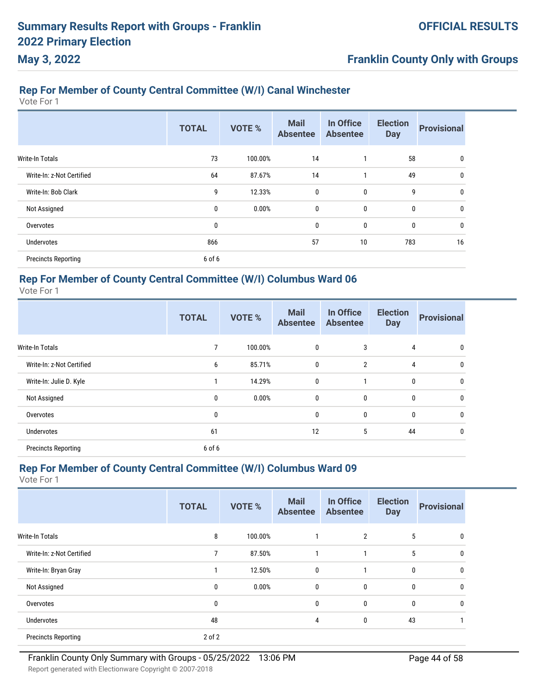# **Franklin County Only with Groups**

# **Rep For Member of County Central Committee (W/I) Canal Winchester**

Vote For 1

|                            | <b>TOTAL</b> | <b>VOTE %</b> | <b>Mail</b><br><b>Absentee</b> | In Office<br><b>Absentee</b> | <b>Election</b><br><b>Day</b> | <b>Provisional</b> |
|----------------------------|--------------|---------------|--------------------------------|------------------------------|-------------------------------|--------------------|
| Write-In Totals            | 73           | 100.00%       | 14                             |                              | 58                            | 0                  |
| Write-In: z-Not Certified  | 64           | 87.67%        | 14                             | 1                            | 49                            | 0                  |
| Write-In: Bob Clark        | 9            | 12.33%        | $\mathbf 0$                    | $\mathbf{0}$                 | 9                             | 0                  |
| Not Assigned               | 0            | 0.00%         | $\mathbf 0$                    | $\mathbf{0}$                 | 0                             | 0                  |
| Overvotes                  | 0            |               | 0                              | 0                            | 0                             | 0                  |
| <b>Undervotes</b>          | 866          |               | 57                             | 10                           | 783                           | 16                 |
| <b>Precincts Reporting</b> | 6 of 6       |               |                                |                              |                               |                    |

### **Rep For Member of County Central Committee (W/I) Columbus Ward 06**

Vote For 1

|                            | <b>TOTAL</b> | <b>VOTE %</b> | <b>Mail</b><br><b>Absentee</b> | In Office<br><b>Absentee</b> | <b>Election</b><br><b>Day</b> | <b>Provisional</b> |
|----------------------------|--------------|---------------|--------------------------------|------------------------------|-------------------------------|--------------------|
| <b>Write-In Totals</b>     | 7            | 100.00%       | $\mathbf 0$                    | 3                            | 4                             | 0                  |
| Write-In: z-Not Certified  | 6            | 85.71%        | $\mathbf 0$                    | $\overline{2}$               | $\overline{4}$                | 0                  |
| Write-In: Julie D. Kyle    |              | 14.29%        | $\mathbf{0}$                   | 1                            | $\mathbf 0$                   | 0                  |
| Not Assigned               | 0            | 0.00%         | $\mathbf 0$                    | $\mathbf 0$                  | $\bf{0}$                      | 0                  |
| Overvotes                  | $\mathbf 0$  |               | $\mathbf{0}$                   | $\bf{0}$                     | $\bf{0}$                      | 0                  |
| <b>Undervotes</b>          | 61           |               | 12                             | 5                            | 44                            | 0                  |
| <b>Precincts Reporting</b> | 6 of 6       |               |                                |                              |                               |                    |

#### **Rep For Member of County Central Committee (W/I) Columbus Ward 09**

|                            | <b>TOTAL</b> | <b>VOTE %</b> | <b>Mail</b><br><b>Absentee</b> | In Office<br><b>Absentee</b> | <b>Election</b><br><b>Day</b> | <b>Provisional</b> |
|----------------------------|--------------|---------------|--------------------------------|------------------------------|-------------------------------|--------------------|
| <b>Write-In Totals</b>     | 8            | 100.00%       |                                | 2                            | 5                             | 0                  |
| Write-In: z-Not Certified  | 7            | 87.50%        |                                |                              | 5                             | 0                  |
| Write-In: Bryan Gray       |              | 12.50%        | $\mathbf 0$                    |                              | $\mathbf 0$                   | 0                  |
| Not Assigned               | 0            | 0.00%         | $\mathbf 0$                    | 0                            | $\mathbf 0$                   | 0                  |
| Overvotes                  | 0            |               | $\mathbf 0$                    | 0                            | $\mathbf 0$                   | 0                  |
| <b>Undervotes</b>          | 48           |               | 4                              | 0                            | 43                            |                    |
| <b>Precincts Reporting</b> | $2$ of $2$   |               |                                |                              |                               |                    |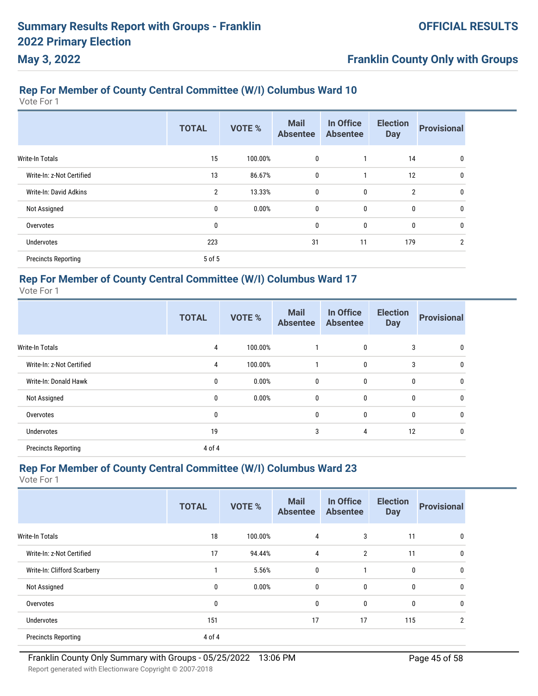# **Rep For Member of County Central Committee (W/I) Columbus Ward 10**

Vote For 1

**May 3, 2022**

|                            | <b>TOTAL</b>   | <b>VOTE %</b> | <b>Mail</b><br><b>Absentee</b> | In Office<br><b>Absentee</b> | <b>Election</b><br><b>Day</b> | <b>Provisional</b> |
|----------------------------|----------------|---------------|--------------------------------|------------------------------|-------------------------------|--------------------|
| Write-In Totals            | 15             | 100.00%       | 0                              |                              | 14                            | 0                  |
| Write-In: z-Not Certified  | 13             | 86.67%        | 0                              |                              | 12                            | $\mathbf{0}$       |
| Write-In: David Adkins     | $\overline{2}$ | 13.33%        | 0                              | 0                            | $\overline{2}$                | 0                  |
| Not Assigned               | 0              | 0.00%         | 0                              | 0                            | 0                             | 0                  |
| Overvotes                  | 0              |               | 0                              | 0                            | 0                             | 0                  |
| <b>Undervotes</b>          | 223            |               | 31                             | 11                           | 179                           | $\overline{2}$     |
| <b>Precincts Reporting</b> | 5 of 5         |               |                                |                              |                               |                    |

### **Rep For Member of County Central Committee (W/I) Columbus Ward 17**

Vote For 1

|                            | <b>TOTAL</b> | <b>VOTE %</b> | <b>Mail</b><br><b>Absentee</b> | In Office<br><b>Absentee</b> | <b>Election</b><br><b>Day</b> | <b>Provisional</b> |
|----------------------------|--------------|---------------|--------------------------------|------------------------------|-------------------------------|--------------------|
| <b>Write-In Totals</b>     | 4            | 100.00%       |                                | 0                            | 3                             | $\mathbf{0}$       |
| Write-In: z-Not Certified  | 4            | 100.00%       | 1                              | $\mathbf 0$                  | 3                             | 0                  |
| Write-In: Donald Hawk      | $\mathbf{0}$ | 0.00%         | 0                              | $\mathbf{0}$                 | $\mathbf{0}$                  | $\mathbf{0}$       |
| Not Assigned               | $\mathbf{0}$ | 0.00%         | 0                              | 0                            | 0                             | 0                  |
| Overvotes                  | 0            |               | $\mathbf{0}$                   | $\mathbf 0$                  | $\mathbf{0}$                  | $\mathbf{0}$       |
| <b>Undervotes</b>          | 19           |               | 3                              | 4                            | 12                            | $\mathbf{0}$       |
| <b>Precincts Reporting</b> | 4 of 4       |               |                                |                              |                               |                    |

#### **Rep For Member of County Central Committee (W/I) Columbus Ward 23**

|                              | <b>TOTAL</b> | <b>VOTE %</b> | <b>Mail</b><br><b>Absentee</b> | In Office<br><b>Absentee</b> | <b>Election</b><br><b>Day</b> | <b>Provisional</b> |
|------------------------------|--------------|---------------|--------------------------------|------------------------------|-------------------------------|--------------------|
| Write-In Totals              | 18           | 100.00%       | 4                              | 3                            | 11                            | $\Omega$           |
| Write-In: z-Not Certified    | 17           | 94.44%        | $\overline{4}$                 | $\overline{2}$               | 11                            | $\Omega$           |
| Write-In: Clifford Scarberry |              | 5.56%         | $\mathbf{0}$                   |                              | 0                             | $\Omega$           |
| Not Assigned                 | $\bf{0}$     | 0.00%         | $\mathbf{0}$                   | 0                            | $\mathbf{0}$                  | $\Omega$           |
| Overvotes                    | 0            |               | $\mathbf{0}$                   | 0                            | $\mathbf{0}$                  | $\mathbf{0}$       |
| <b>Undervotes</b>            | 151          |               | 17                             | 17                           | 115                           | റ                  |
| <b>Precincts Reporting</b>   | 4 of 4       |               |                                |                              |                               |                    |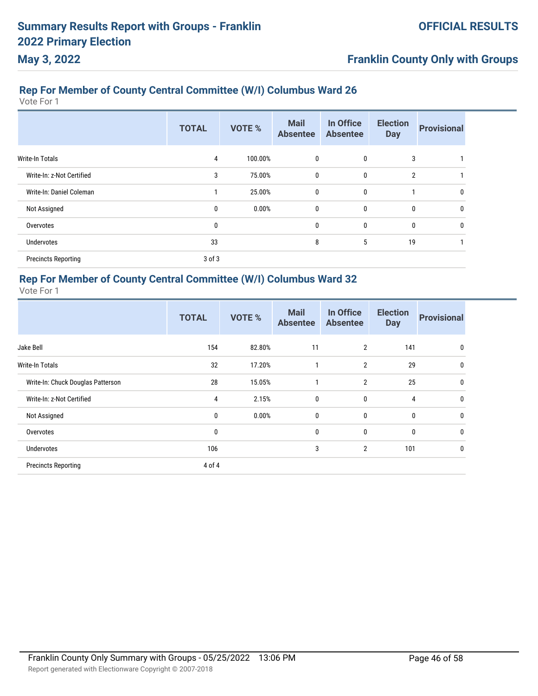# **Franklin County Only with Groups**

# **Rep For Member of County Central Committee (W/I) Columbus Ward 26**

Vote For 1

|                            | <b>TOTAL</b> | <b>VOTE %</b> | <b>Mail</b><br><b>Absentee</b> | In Office<br><b>Absentee</b> | <b>Election</b><br><b>Day</b> | <b>Provisional</b> |
|----------------------------|--------------|---------------|--------------------------------|------------------------------|-------------------------------|--------------------|
| Write-In Totals            | 4            | 100.00%       | 0                              | 0                            | 3                             |                    |
| Write-In: z-Not Certified  | 3            | 75.00%        | 0                              | 0                            | $\overline{2}$                |                    |
| Write-In: Daniel Coleman   |              | 25.00%        | 0                              | 0                            |                               | 0                  |
| Not Assigned               | 0            | 0.00%         | 0                              | 0                            | 0                             | 0                  |
| Overvotes                  | 0            |               | 0                              | 0                            | 0                             | 0                  |
| Undervotes                 | 33           |               | 8                              | 5                            | 19                            |                    |
| <b>Precincts Reporting</b> | $3$ of $3$   |               |                                |                              |                               |                    |

### **Rep For Member of County Central Committee (W/I) Columbus Ward 32**

|                                   | <b>TOTAL</b> | <b>VOTE %</b> | <b>Mail</b><br><b>Absentee</b> | In Office<br><b>Absentee</b> | <b>Election</b><br><b>Day</b> | <b>Provisional</b> |
|-----------------------------------|--------------|---------------|--------------------------------|------------------------------|-------------------------------|--------------------|
| Jake Bell                         | 154          | 82.80%        | 11                             | $\overline{2}$               | 141                           | 0                  |
| <b>Write-In Totals</b>            | 32           | 17.20%        | 1                              | $\overline{2}$               | 29                            | 0                  |
| Write-In: Chuck Douglas Patterson | 28           | 15.05%        | 1                              | $\overline{2}$               | 25                            | 0                  |
| Write-In: z-Not Certified         | 4            | 2.15%         | $\mathbf 0$                    | $\mathbf 0$                  | 4                             | 0                  |
| Not Assigned                      | 0            | 0.00%         | $\mathbf 0$                    | $\mathbf 0$                  | 0                             | $\mathbf{0}$       |
| Overvotes                         | $\mathbf 0$  |               | $\mathbf 0$                    | $\mathbf 0$                  | 0                             | 0                  |
| <b>Undervotes</b>                 | 106          |               | 3                              | $\overline{2}$               | 101                           | 0                  |
| <b>Precincts Reporting</b>        | 4 of 4       |               |                                |                              |                               |                    |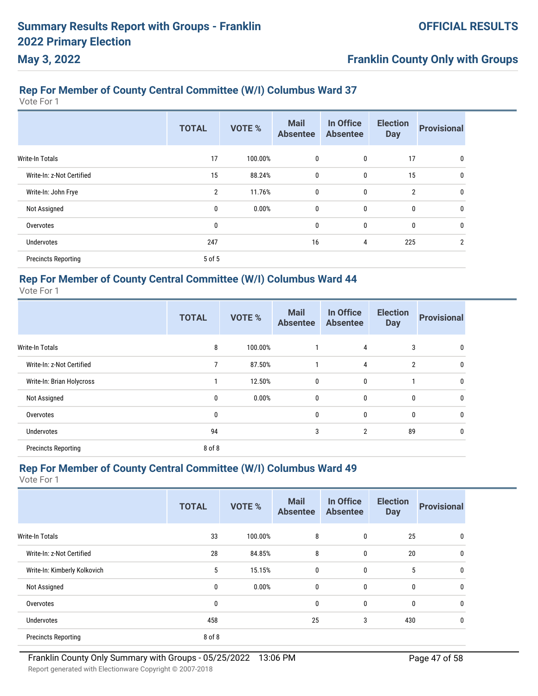# **Rep For Member of County Central Committee (W/I) Columbus Ward 37**

Vote For 1

**May 3, 2022**

|                            | <b>TOTAL</b>   | <b>VOTE %</b> | <b>Mail</b><br><b>Absentee</b> | In Office<br><b>Absentee</b> | <b>Election</b><br><b>Day</b> | <b>Provisional</b> |
|----------------------------|----------------|---------------|--------------------------------|------------------------------|-------------------------------|--------------------|
| Write-In Totals            | 17             | 100.00%       | 0                              | 0                            | 17                            | 0                  |
| Write-In: z-Not Certified  | 15             | 88.24%        | 0                              | $\mathbf 0$                  | 15                            | 0                  |
| Write-In: John Frye        | $\overline{2}$ | 11.76%        | 0                              | $\mathbf 0$                  | $\overline{2}$                | 0                  |
| Not Assigned               | 0              | 0.00%         | 0                              | $\mathbf 0$                  | 0                             | 0                  |
| Overvotes                  | $\mathbf{0}$   |               | 0                              | $\mathbf 0$                  | $\mathbf 0$                   | 0                  |
| <b>Undervotes</b>          | 247            |               | 16                             | 4                            | 225                           | $\overline{2}$     |
| <b>Precincts Reporting</b> | 5 of 5         |               |                                |                              |                               |                    |

### **Rep For Member of County Central Committee (W/I) Columbus Ward 44**

Vote For 1

|                            | <b>TOTAL</b> | <b>VOTE %</b> | <b>Mail</b><br><b>Absentee</b> | In Office<br><b>Absentee</b> | <b>Election</b><br><b>Day</b> | <b>Provisional</b> |
|----------------------------|--------------|---------------|--------------------------------|------------------------------|-------------------------------|--------------------|
| <b>Write-In Totals</b>     | 8            | 100.00%       |                                | 4                            | 3                             | $\mathbf{0}$       |
| Write-In: z-Not Certified  | 7            | 87.50%        | 1                              | 4                            | $\overline{2}$                | 0                  |
| Write-In: Brian Holycross  |              | 12.50%        | 0                              | $\mathbf 0$                  |                               | $\mathbf{0}$       |
| Not Assigned               | $\mathbf{0}$ | 0.00%         | 0                              | $\mathbf 0$                  | $\mathbf 0$                   | 0                  |
| Overvotes                  | 0            |               | 0                              | $\bf{0}$                     | $\mathbf 0$                   | 0                  |
| <b>Undervotes</b>          | 94           |               | 3                              | $\overline{2}$               | 89                            | 0                  |
| <b>Precincts Reporting</b> | 8 of 8       |               |                                |                              |                               |                    |

#### **Rep For Member of County Central Committee (W/I) Columbus Ward 49**

|                              | <b>TOTAL</b> | <b>VOTE %</b> | <b>Mail</b><br><b>Absentee</b> | In Office<br><b>Absentee</b> | <b>Election</b><br><b>Day</b> | <b>Provisional</b> |
|------------------------------|--------------|---------------|--------------------------------|------------------------------|-------------------------------|--------------------|
| <b>Write-In Totals</b>       | 33           | 100.00%       | 8                              | 0                            | 25                            |                    |
| Write-In: z-Not Certified    | 28           | 84.85%        | 8                              | $\bf{0}$                     | 20                            |                    |
| Write-In: Kimberly Kolkovich | 5            | 15.15%        | 0                              | 0                            | 5                             |                    |
| Not Assigned                 | 0            | 0.00%         | 0                              | 0                            | 0                             |                    |
| Overvotes                    | $\mathbf{0}$ |               | 0                              | 0                            | 0                             | 0                  |
| <b>Undervotes</b>            | 458          |               | 25                             | 3                            | 430                           |                    |
| <b>Precincts Reporting</b>   | 8 of 8       |               |                                |                              |                               |                    |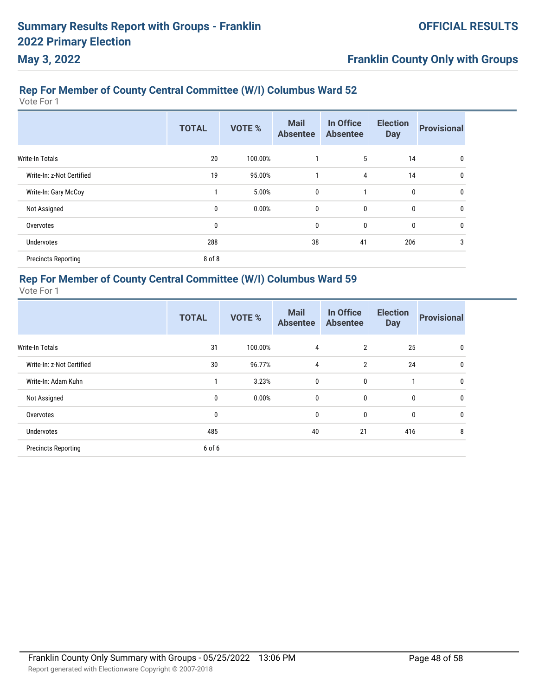# **Franklin County Only with Groups**

# **Rep For Member of County Central Committee (W/I) Columbus Ward 52**

Vote For 1

|                            | <b>TOTAL</b> | <b>VOTE %</b> | <b>Mail</b><br><b>Absentee</b> | In Office<br><b>Absentee</b> | <b>Election</b><br><b>Day</b> | <b>Provisional</b> |
|----------------------------|--------------|---------------|--------------------------------|------------------------------|-------------------------------|--------------------|
| Write-In Totals            | 20           | 100.00%       |                                | 5                            | 14                            | 0                  |
| Write-In: z-Not Certified  | 19           | 95.00%        | 1                              | 4                            | 14                            | 0                  |
| Write-In: Gary McCoy       |              | 5.00%         | 0                              | 1                            | 0                             | 0                  |
| Not Assigned               | $\mathbf{0}$ | 0.00%         | 0                              | 0                            | 0                             | 0                  |
| Overvotes                  | 0            |               | 0                              | 0                            | 0                             | 0                  |
| Undervotes                 | 288          |               | 38                             | 41                           | 206                           | 3                  |
| <b>Precincts Reporting</b> | 8 of 8       |               |                                |                              |                               |                    |

### **Rep For Member of County Central Committee (W/I) Columbus Ward 59**

|                            | <b>TOTAL</b> | <b>VOTE %</b> | <b>Mail</b><br><b>Absentee</b> | In Office<br><b>Absentee</b> | <b>Election</b><br><b>Day</b> | <b>Provisional</b> |
|----------------------------|--------------|---------------|--------------------------------|------------------------------|-------------------------------|--------------------|
| Write-In Totals            | 31           | 100.00%       | 4                              | $\overline{2}$               | 25                            | $\mathbf{0}$       |
| Write-In: z-Not Certified  | 30           | 96.77%        | $\overline{4}$                 | $\overline{2}$               | 24                            | 0                  |
| Write-In: Adam Kuhn        |              | 3.23%         | 0                              | 0                            | $\mathbf{1}$                  | $\mathbf{0}$       |
| Not Assigned               | $\mathbf{0}$ | 0.00%         | 0                              | 0                            | $\mathbf 0$                   | $\mathbf{0}$       |
| Overvotes                  | 0            |               | 0                              | 0                            | $\mathbf{0}$                  | $\mathbf{0}$       |
| <b>Undervotes</b>          | 485          |               | 40                             | 21                           | 416                           | 8                  |
| <b>Precincts Reporting</b> | 6 of 6       |               |                                |                              |                               |                    |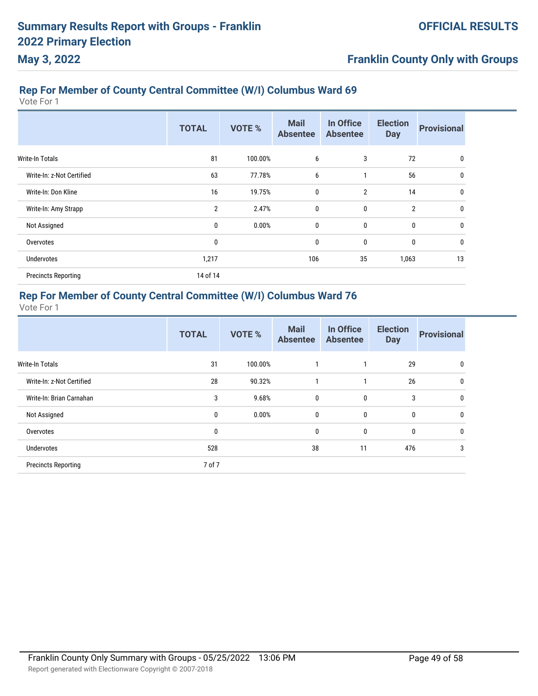# **Franklin County Only with Groups**

# **Rep For Member of County Central Committee (W/I) Columbus Ward 69**

Vote For 1

|                            | <b>TOTAL</b>   | <b>VOTE %</b> | <b>Mail</b><br><b>Absentee</b> | In Office<br><b>Absentee</b> | <b>Election</b><br><b>Day</b> | <b>Provisional</b> |
|----------------------------|----------------|---------------|--------------------------------|------------------------------|-------------------------------|--------------------|
| <b>Write-In Totals</b>     | 81             | 100.00%       | 6                              | 3                            | 72                            | 0                  |
| Write-In: z-Not Certified  | 63             | 77.78%        | 6                              |                              | 56                            | 0                  |
| Write-In: Don Kline        | 16             | 19.75%        | 0                              | $\overline{2}$               | 14                            | 0                  |
| Write-In: Amy Strapp       | $\overline{2}$ | 2.47%         | $\mathbf 0$                    | 0                            | $\overline{2}$                | 0                  |
| Not Assigned               | $\mathbf 0$    | 0.00%         | $\mathbf 0$                    | $\mathbf{0}$                 | 0                             | 0                  |
| Overvotes                  | 0              |               | 0                              | 0                            | 0                             | 0                  |
| <b>Undervotes</b>          | 1,217          |               | 106                            | 35                           | 1,063                         | 13                 |
| <b>Precincts Reporting</b> | 14 of 14       |               |                                |                              |                               |                    |

### **Rep For Member of County Central Committee (W/I) Columbus Ward 76**

|                            | <b>TOTAL</b> | <b>VOTE %</b> | <b>Mail</b><br><b>Absentee</b> | In Office<br><b>Absentee</b> | <b>Election</b><br><b>Day</b> | <b>Provisional</b> |
|----------------------------|--------------|---------------|--------------------------------|------------------------------|-------------------------------|--------------------|
| <b>Write-In Totals</b>     | 31           | 100.00%       |                                |                              | 29                            | $\mathbf{0}$       |
| Write-In: z-Not Certified  | 28           | 90.32%        | 1                              | и                            | 26                            | $\mathbf{0}$       |
| Write-In: Brian Carnahan   | 3            | 9.68%         | $\mathbf{0}$                   | 0                            | 3                             | $\mathbf{0}$       |
| Not Assigned               | 0            | 0.00%         | $\mathbf{0}$                   | 0                            | $\mathbf{0}$                  | $\mathbf{0}$       |
| Overvotes                  | 0            |               | $\mathbf{0}$                   | 0                            | 0                             | $\mathbf{0}$       |
| Undervotes                 | 528          |               | 38                             | 11                           | 476                           | 3                  |
| <b>Precincts Reporting</b> | 7 of 7       |               |                                |                              |                               |                    |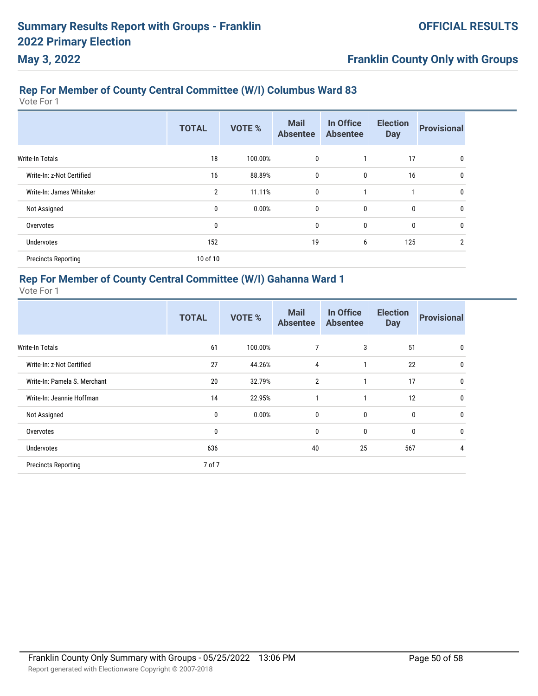# **Franklin County Only with Groups**

# **Rep For Member of County Central Committee (W/I) Columbus Ward 83**

Vote For 1

|                            | <b>TOTAL</b>   | <b>VOTE %</b> | <b>Mail</b><br><b>Absentee</b> | In Office<br><b>Absentee</b> | <b>Election</b><br><b>Day</b> | <b>Provisional</b> |
|----------------------------|----------------|---------------|--------------------------------|------------------------------|-------------------------------|--------------------|
| <b>Write-In Totals</b>     | 18             | 100.00%       | 0                              |                              | 17                            | 0                  |
| Write-In: z-Not Certified  | 16             | 88.89%        | $\mathbf 0$                    | $\mathbf 0$                  | 16                            | 0                  |
| Write-In: James Whitaker   | $\overline{2}$ | 11.11%        | $\mathbf 0$                    | 1                            |                               | 0                  |
| Not Assigned               | 0              | 0.00%         | $\mathbf 0$                    | 0                            | $\mathbf 0$                   | 0                  |
| Overvotes                  | 0              |               | 0                              | 0                            | $\mathbf 0$                   | 0                  |
| <b>Undervotes</b>          | 152            |               | 19                             | 6                            | 125                           | $\overline{2}$     |
| <b>Precincts Reporting</b> | 10 of 10       |               |                                |                              |                               |                    |

### **Rep For Member of County Central Committee (W/I) Gahanna Ward 1**

|                              | <b>TOTAL</b> | <b>VOTE %</b> | <b>Mail</b><br><b>Absentee</b> | In Office<br><b>Absentee</b> | <b>Election</b><br><b>Day</b> | <b>Provisional</b> |
|------------------------------|--------------|---------------|--------------------------------|------------------------------|-------------------------------|--------------------|
| Write-In Totals              | 61           | 100.00%       | 7                              | 3                            | 51                            | 0                  |
| Write-In: z-Not Certified    | 27           | 44.26%        | 4                              | 1                            | 22                            | 0                  |
| Write-In: Pamela S. Merchant | 20           | 32.79%        | $\overline{2}$                 | 1                            | 17                            | 0                  |
| Write-In: Jeannie Hoffman    | 14           | 22.95%        | 1                              | 1                            | 12                            | 0                  |
| Not Assigned                 | $\mathbf{0}$ | 0.00%         | 0                              | 0                            | 0                             | 0                  |
| Overvotes                    | 0            |               | $\mathbf{0}$                   | 0                            | $\mathbf{0}$                  | 0                  |
| <b>Undervotes</b>            | 636          |               | 40                             | 25                           | 567                           | 4                  |
| <b>Precincts Reporting</b>   | 7 of 7       |               |                                |                              |                               |                    |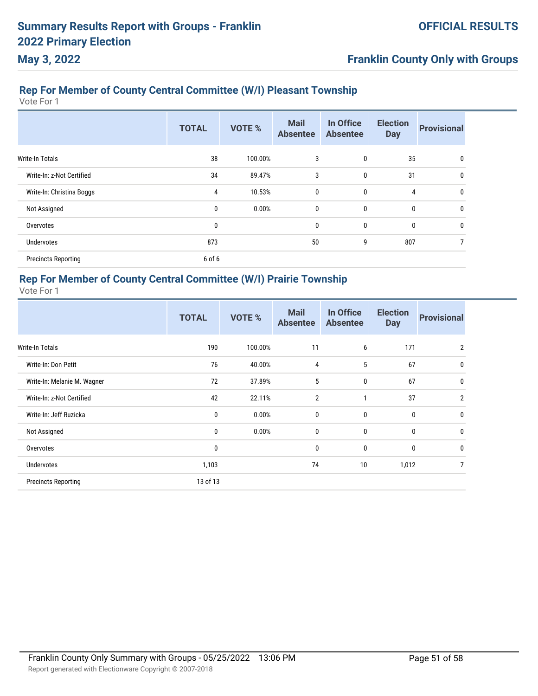# **Franklin County Only with Groups**

# **Rep For Member of County Central Committee (W/I) Pleasant Township**

Vote For 1

|                            | <b>TOTAL</b> | <b>VOTE %</b> | <b>Mail</b><br><b>Absentee</b> | In Office<br><b>Absentee</b> | <b>Election</b><br><b>Day</b> | <b>Provisional</b> |
|----------------------------|--------------|---------------|--------------------------------|------------------------------|-------------------------------|--------------------|
| Write-In Totals            | 38           | 100.00%       | 3                              | 0                            | 35                            | 0                  |
| Write-In: z-Not Certified  | 34           | 89.47%        | 3                              | 0                            | 31                            | 0                  |
| Write-In: Christina Boggs  | 4            | 10.53%        | 0                              | 0                            | 4                             | 0                  |
| Not Assigned               | 0            | 0.00%         | 0                              | 0                            | $\mathbf{0}$                  | 0                  |
| Overvotes                  | 0            |               | 0                              | 0                            | $\mathbf{0}$                  | 0                  |
| <b>Undervotes</b>          | 873          |               | 50                             | 9                            | 807                           |                    |
| <b>Precincts Reporting</b> | 6 of 6       |               |                                |                              |                               |                    |

### **Rep For Member of County Central Committee (W/I) Prairie Township**

|                             | <b>TOTAL</b> | <b>VOTE %</b> | <b>Mail</b><br><b>Absentee</b> | In Office<br><b>Absentee</b> | <b>Election</b><br><b>Day</b> | <b>Provisional</b> |
|-----------------------------|--------------|---------------|--------------------------------|------------------------------|-------------------------------|--------------------|
| <b>Write-In Totals</b>      | 190          | 100.00%       | 11                             | 6                            | 171                           | $\overline{2}$     |
| Write-In: Don Petit         | 76           | 40.00%        | $\overline{4}$                 | 5                            | 67                            | 0                  |
| Write-In: Melanie M. Wagner | 72           | 37.89%        | 5                              | $\mathbf 0$                  | 67                            | 0                  |
| Write-In: z-Not Certified   | 42           | 22.11%        | $\overline{2}$                 | 1                            | 37                            | $\overline{2}$     |
| Write-In: Jeff Ruzicka      | $\mathbf{0}$ | 0.00%         | $\mathbf{0}$                   | $\mathbf 0$                  | 0                             | $\mathbf{0}$       |
| Not Assigned                | 0            | 0.00%         | 0                              | $\mathbf 0$                  | 0                             | 0                  |
| Overvotes                   | $\mathbf{0}$ |               | $\mathbf{0}$                   | $\mathbf 0$                  | 0                             | 0                  |
| <b>Undervotes</b>           | 1,103        |               | 74                             | 10                           | 1,012                         | 7                  |
| <b>Precincts Reporting</b>  | 13 of 13     |               |                                |                              |                               |                    |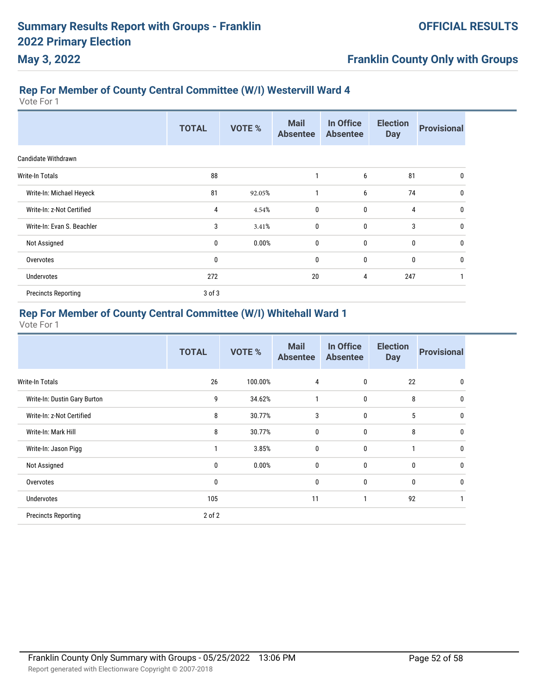# **Franklin County Only with Groups**

# **Rep For Member of County Central Committee (W/I) Westervill Ward 4**

Vote For 1

|                            | <b>TOTAL</b> | <b>VOTE %</b> | <b>Mail</b><br><b>Absentee</b> | In Office<br><b>Absentee</b> | <b>Election</b><br><b>Day</b> | <b>Provisional</b> |
|----------------------------|--------------|---------------|--------------------------------|------------------------------|-------------------------------|--------------------|
| Candidate Withdrawn        |              |               |                                |                              |                               |                    |
| <b>Write-In Totals</b>     | 88           |               | 1                              | 6                            | 81                            | 0                  |
| Write-In: Michael Heyeck   | 81           | 92.05%        | 1                              | 6                            | 74                            | 0                  |
| Write-In: z-Not Certified  | 4            | 4.54%         | $\mathbf 0$                    | $\mathbf{0}$                 | $\overline{4}$                | $\mathbf{0}$       |
| Write-In: Evan S. Beachler | 3            | 3.41%         | 0                              | $\mathbf 0$                  | 3                             | 0                  |
| Not Assigned               | 0            | 0.00%         | 0                              | $\mathbf 0$                  | $\mathbf 0$                   | 0                  |
| Overvotes                  | $\mathbf 0$  |               | 0                              | $\mathbf 0$                  | 0                             | $\mathbf{0}$       |
| Undervotes                 | 272          |               | 20                             | 4                            | 247                           |                    |
| <b>Precincts Reporting</b> | 3 of 3       |               |                                |                              |                               |                    |

# **Rep For Member of County Central Committee (W/I) Whitehall Ward 1**

|                              | <b>TOTAL</b> | <b>VOTE %</b> | <b>Mail</b><br><b>Absentee</b> | In Office<br><b>Absentee</b> | <b>Election</b><br><b>Day</b> | <b>Provisional</b> |
|------------------------------|--------------|---------------|--------------------------------|------------------------------|-------------------------------|--------------------|
| <b>Write-In Totals</b>       | 26           | 100.00%       | 4                              | $\mathbf 0$                  | 22                            | 0                  |
| Write-In: Dustin Gary Burton | 9            | 34.62%        | 1                              | $\mathbf 0$                  | 8                             | 0                  |
| Write-In: z-Not Certified    | 8            | 30.77%        | 3                              | $\mathbf 0$                  | 5                             | 0                  |
| Write-In: Mark Hill          | 8            | 30.77%        | 0                              | $\bf{0}$                     | 8                             | 0                  |
| Write-In: Jason Pigg         |              | 3.85%         | 0                              | $\mathbf{0}$                 | 1                             | 0                  |
| Not Assigned                 | $\mathbf 0$  | 0.00%         | 0                              | $\mathbf 0$                  | $\mathbf 0$                   | 0                  |
| Overvotes                    | 0            |               | 0                              | $\bf{0}$                     | $\mathbf 0$                   | 0                  |
| <b>Undervotes</b>            | 105          |               | 11                             | 1                            | 92                            |                    |
| <b>Precincts Reporting</b>   | 2 of 2       |               |                                |                              |                               |                    |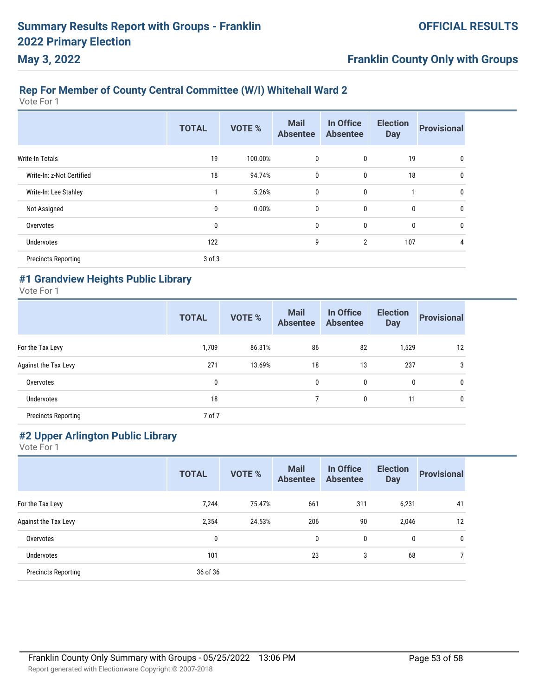# **Franklin County Only with Groups**

# **Rep For Member of County Central Committee (W/I) Whitehall Ward 2**

Vote For 1

|                            | <b>TOTAL</b> | <b>VOTE %</b> | <b>Mail</b><br><b>Absentee</b> | In Office<br><b>Absentee</b> | <b>Election</b><br><b>Day</b> | <b>Provisional</b> |
|----------------------------|--------------|---------------|--------------------------------|------------------------------|-------------------------------|--------------------|
| <b>Write-In Totals</b>     | 19           | 100.00%       | 0                              | 0                            | 19                            | 0                  |
| Write-In: z-Not Certified  | 18           | 94.74%        | $\mathbf 0$                    | 0                            | 18                            | 0                  |
| Write-In: Lee Stahley      |              | 5.26%         | $\mathbf 0$                    | 0                            | 1                             | 0                  |
| Not Assigned               | 0            | $0.00\%$      | $\mathbf 0$                    | 0                            | 0                             | 0                  |
| Overvotes                  | 0            |               | $\mathbf 0$                    | 0                            | $\mathbf 0$                   | 0                  |
| Undervotes                 | 122          |               | 9                              | $\overline{2}$               | 107                           | 4                  |
| <b>Precincts Reporting</b> | 3 of 3       |               |                                |                              |                               |                    |

### **#1 Grandview Heights Public Library**

Vote For 1

|                            | <b>TOTAL</b> | <b>VOTE %</b> | <b>Mail</b><br><b>Absentee</b> | In Office<br><b>Absentee</b> | <b>Election</b><br><b>Day</b> | <b>Provisional</b> |
|----------------------------|--------------|---------------|--------------------------------|------------------------------|-------------------------------|--------------------|
| For the Tax Levy           | 1,709        | 86.31%        | 86                             | 82                           | 1,529                         | 12                 |
| Against the Tax Levy       | 271          | 13.69%        | 18                             | 13                           | 237                           | 3                  |
| Overvotes                  | 0            |               | 0                              | 0                            | $\mathbf{0}$                  | 0                  |
| <b>Undervotes</b>          | 18           |               |                                | 0                            | 11                            | $\mathbf{0}$       |
| <b>Precincts Reporting</b> | 7 of 7       |               |                                |                              |                               |                    |

### **#2 Upper Arlington Public Library**

|                            | <b>TOTAL</b> | <b>VOTE %</b> | <b>Mail</b><br><b>Absentee</b> | In Office<br><b>Absentee</b> | <b>Election</b><br><b>Day</b> | <b>Provisional</b> |
|----------------------------|--------------|---------------|--------------------------------|------------------------------|-------------------------------|--------------------|
| For the Tax Levy           | 7,244        | 75.47%        | 661                            | 311                          | 6,231                         | 41                 |
| Against the Tax Levy       | 2,354        | 24.53%        | 206                            | 90                           | 2,046                         | 12                 |
| Overvotes                  | 0            |               | $\mathbf{0}$                   | 0                            | $\mathbf{0}$                  | $\mathbf{0}$       |
| Undervotes                 | 101          |               | 23                             | 3                            | 68                            |                    |
| <b>Precincts Reporting</b> | 36 of 36     |               |                                |                              |                               |                    |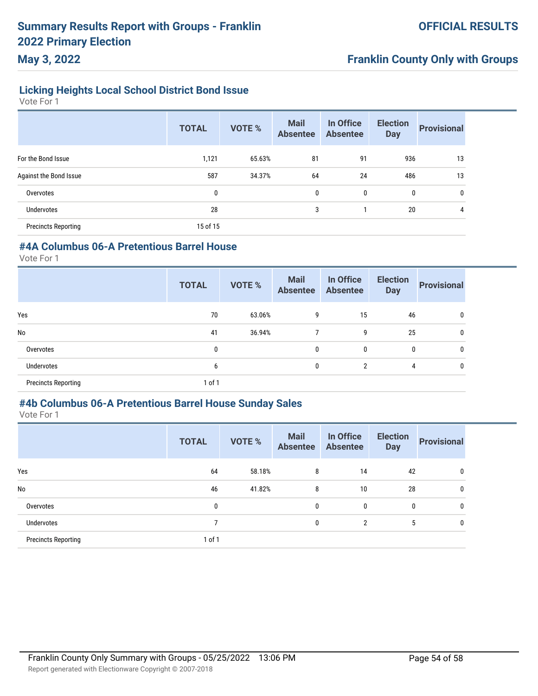### **Licking Heights Local School District Bond Issue**

Vote For 1

**May 3, 2022**

|                            | <b>TOTAL</b> | VOTE % | <b>Mail</b><br><b>Absentee</b> | In Office<br><b>Absentee</b> | <b>Election</b><br><b>Day</b> | <b>Provisional</b> |
|----------------------------|--------------|--------|--------------------------------|------------------------------|-------------------------------|--------------------|
| For the Bond Issue         | 1,121        | 65.63% | 81                             | 91                           | 936                           | 13                 |
| Against the Bond Issue     | 587          | 34.37% | 64                             | 24                           | 486                           | 13                 |
| Overvotes                  | 0            |        | 0                              | 0                            | 0                             | 0                  |
| Undervotes                 | 28           |        | 3                              |                              | 20                            | 4                  |
| <b>Precincts Reporting</b> | 15 of 15     |        |                                |                              |                               |                    |

### **#4A Columbus 06-A Pretentious Barrel House**

Vote For 1

|                            | <b>TOTAL</b> | <b>VOTE %</b> | <b>Mail</b><br><b>Absentee</b> | In Office<br><b>Absentee</b> | <b>Election</b><br><b>Day</b> | <b>Provisional</b> |
|----------------------------|--------------|---------------|--------------------------------|------------------------------|-------------------------------|--------------------|
| Yes                        | 70           | 63.06%        | 9                              | 15                           | 46                            | 0                  |
| No                         | 41           | 36.94%        | 7                              | 9                            | 25                            | 0                  |
| Overvotes                  | 0            |               | $\mathbf{0}$                   | 0                            | 0                             | $\mathbf{0}$       |
| <b>Undervotes</b>          | 6            |               | 0                              | $\overline{2}$               | 4                             | 0                  |
| <b>Precincts Reporting</b> | 1 of 1       |               |                                |                              |                               |                    |

#### **#4b Columbus 06-A Pretentious Barrel House Sunday Sales**

|                            | <b>TOTAL</b> | <b>VOTE %</b> | <b>Mail</b><br><b>Absentee</b> | In Office<br><b>Absentee</b> | <b>Election</b><br><b>Day</b> | <b>Provisional</b> |
|----------------------------|--------------|---------------|--------------------------------|------------------------------|-------------------------------|--------------------|
| Yes                        | 64           | 58.18%        | 8                              | 14                           | 42                            | 0                  |
| <b>No</b>                  | 46           | 41.82%        | 8                              | 10                           | 28                            | 0                  |
| Overvotes                  | 0            |               | $\mathbf{0}$                   | 0                            | 0                             | $\mathbf{0}$       |
| Undervotes                 | 7            |               | $\mathbf{0}$                   | 2                            | 5                             | $\mathbf{0}$       |
| <b>Precincts Reporting</b> | 1 of 1       |               |                                |                              |                               |                    |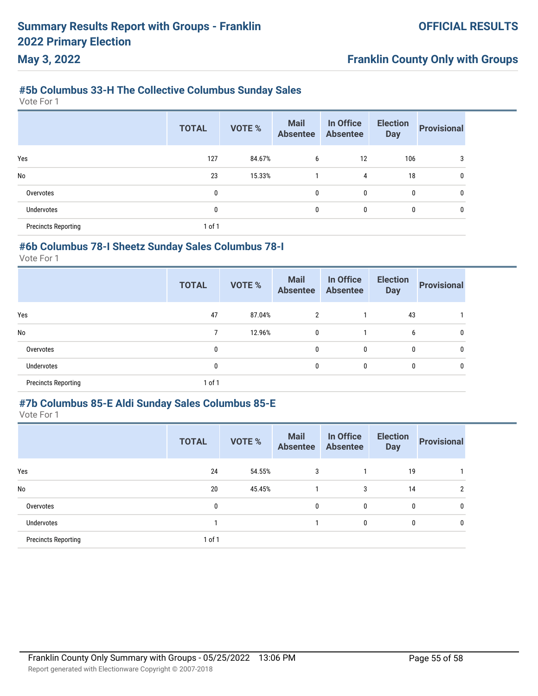### **#5b Columbus 33-H The Collective Columbus Sunday Sales**

Vote For 1

**May 3, 2022**

|                            | <b>TOTAL</b> | <b>VOTE %</b> | <b>Mail</b><br><b>Absentee</b> | In Office<br><b>Absentee</b> | <b>Election</b><br><b>Day</b> | <b>Provisional</b> |
|----------------------------|--------------|---------------|--------------------------------|------------------------------|-------------------------------|--------------------|
| Yes                        | 127          | 84.67%        | 6                              | 12                           | 106                           | 3                  |
| <b>No</b>                  | 23           | 15.33%        |                                | $\overline{4}$               | 18                            | 0                  |
| Overvotes                  | 0            |               | $\mathbf{0}$                   | 0                            | 0                             | 0                  |
| Undervotes                 | 0            |               | $\mathbf{0}$                   | 0                            | 0                             | 0                  |
| <b>Precincts Reporting</b> | 1 of 1       |               |                                |                              |                               |                    |

#### **#6b Columbus 78-I Sheetz Sunday Sales Columbus 78-I**

Vote For 1

|                            | <b>TOTAL</b> | <b>VOTE %</b> | <b>Mail</b><br><b>Absentee</b> | In Office<br><b>Absentee</b> | <b>Election</b><br><b>Day</b> | <b>Provisional</b> |
|----------------------------|--------------|---------------|--------------------------------|------------------------------|-------------------------------|--------------------|
| Yes                        | 47           | 87.04%        | $\overline{2}$                 |                              | 43                            |                    |
| No                         |              | 12.96%        | 0                              |                              | 6                             |                    |
| Overvotes                  | 0            |               | 0                              | 0                            | 0                             |                    |
| <b>Undervotes</b>          | 0            |               | 0                              | 0                            | 0                             |                    |
| <b>Precincts Reporting</b> | 1 of 1       |               |                                |                              |                               |                    |

### **#7b Columbus 85-E Aldi Sunday Sales Columbus 85-E**

|                            | <b>TOTAL</b> | <b>VOTE %</b> | <b>Mail</b><br><b>Absentee</b> | In Office<br><b>Absentee</b> | <b>Election</b><br><b>Day</b> | <b>Provisional</b> |
|----------------------------|--------------|---------------|--------------------------------|------------------------------|-------------------------------|--------------------|
| Yes                        | 24           | 54.55%        | 3                              |                              | 19                            |                    |
| No                         | 20           | 45.45%        |                                | 3                            | 14                            | 2                  |
| Overvotes                  | 0            |               | 0                              | 0                            | $\mathbf{0}$                  | 0                  |
| <b>Undervotes</b>          |              |               |                                | 0                            | 0                             | $\mathbf{0}$       |
| <b>Precincts Reporting</b> | 1 of 1       |               |                                |                              |                               |                    |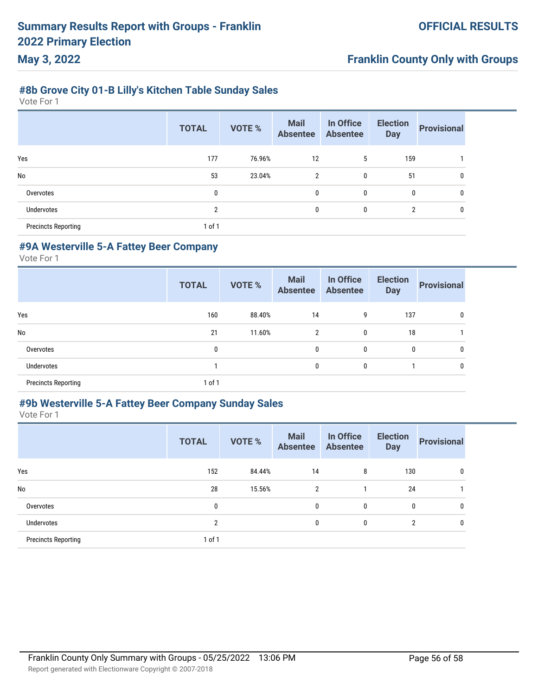### **#8b Grove City 01-B Lilly's Kitchen Table Sunday Sales**

Vote For 1

**May 3, 2022**

|                            | <b>TOTAL</b>   | <b>VOTE %</b> | <b>Mail</b><br><b>Absentee</b> | In Office<br><b>Absentee</b> | <b>Election</b><br><b>Day</b> | <b>Provisional</b> |
|----------------------------|----------------|---------------|--------------------------------|------------------------------|-------------------------------|--------------------|
| Yes                        | 177            | 76.96%        | 12                             | 5                            | 159                           |                    |
| <b>No</b>                  | 53             | 23.04%        | 2                              | $\mathbf{0}$                 | 51                            | 0                  |
| Overvotes                  | 0              |               | $\mathbf{0}$                   | $\mathbf{0}$                 | 0                             | 0                  |
| Undervotes                 | $\overline{2}$ |               | $\mathbf{0}$                   | 0                            | $\overline{2}$                | 0                  |
| <b>Precincts Reporting</b> | 1 of 1         |               |                                |                              |                               |                    |

#### **#9A Westerville 5-A Fattey Beer Company**

Vote For 1

|                            | <b>TOTAL</b> | <b>VOTE %</b> | <b>Mail</b><br><b>Absentee</b> | In Office<br><b>Absentee</b> | <b>Election</b><br><b>Day</b> | <b>Provisional</b> |
|----------------------------|--------------|---------------|--------------------------------|------------------------------|-------------------------------|--------------------|
| Yes                        | 160          | 88.40%        | 14                             | 9                            | 137                           | 0                  |
| No                         | 21           | 11.60%        | 2                              | 0                            | 18                            |                    |
| Overvotes                  | 0            |               | 0                              | 0                            | 0                             | 0                  |
| <b>Undervotes</b>          |              |               | 0                              | 0                            |                               | 0                  |
| <b>Precincts Reporting</b> | 1 of 1       |               |                                |                              |                               |                    |

### **#9b Westerville 5-A Fattey Beer Company Sunday Sales**

|                            | <b>TOTAL</b> | <b>VOTE %</b> | <b>Mail</b><br><b>Absentee</b> | In Office<br><b>Absentee</b> | <b>Election</b><br><b>Day</b> | <b>Provisional</b> |
|----------------------------|--------------|---------------|--------------------------------|------------------------------|-------------------------------|--------------------|
| Yes                        | 152          | 84.44%        | 14                             | 8                            | 130                           | $\mathbf{0}$       |
| <b>No</b>                  | 28           | 15.56%        | 2                              |                              | 24                            |                    |
| Overvotes                  | 0            |               | 0                              | $\mathbf{0}$                 | 0                             | $\mathbf{0}$       |
| Undervotes                 | 2            |               | $\mathbf{0}$                   | $\mathbf{0}$                 | 2                             | $\mathbf{0}$       |
| <b>Precincts Reporting</b> | 1 of 1       |               |                                |                              |                               |                    |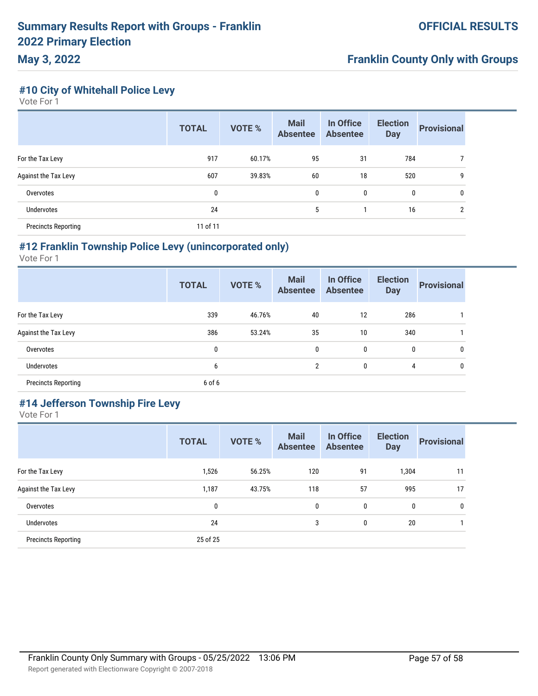**May 3, 2022**

#### **#10 City of Whitehall Police Levy**

Vote For 1

|                            | <b>TOTAL</b> | <b>VOTE %</b> | <b>Mail</b><br><b>Absentee</b> | In Office<br><b>Absentee</b> | <b>Election</b><br><b>Day</b> | <b>Provisional</b> |
|----------------------------|--------------|---------------|--------------------------------|------------------------------|-------------------------------|--------------------|
| For the Tax Levy           | 917          | 60.17%        | 95                             | 31                           | 784                           |                    |
| Against the Tax Levy       | 607          | 39.83%        | 60                             | 18                           | 520                           | 9                  |
| Overvotes                  | 0            |               | $\mathbf{0}$                   | 0                            | 0                             | 0                  |
| Undervotes                 | 24           |               | 5                              |                              | 16                            | $\overline{2}$     |
| <b>Precincts Reporting</b> | 11 of 11     |               |                                |                              |                               |                    |

#### **#12 Franklin Township Police Levy (unincorporated only)**

Vote For 1

|                            | <b>TOTAL</b> | <b>VOTE %</b> | <b>Mail</b><br><b>Absentee</b> | In Office<br><b>Absentee</b> | <b>Election</b><br><b>Day</b> | <b>Provisional</b> |
|----------------------------|--------------|---------------|--------------------------------|------------------------------|-------------------------------|--------------------|
| For the Tax Levy           | 339          | 46.76%        | 40                             | 12                           | 286                           |                    |
| Against the Tax Levy       | 386          | 53.24%        | 35                             | 10                           | 340                           |                    |
| Overvotes                  | 0            |               | 0                              | 0                            | 0                             | 0                  |
| <b>Undervotes</b>          | 6            |               | 2                              | 0                            | 4                             | 0                  |
| <b>Precincts Reporting</b> | 6 of 6       |               |                                |                              |                               |                    |

# **#14 Jefferson Township Fire Levy**

|                            | <b>TOTAL</b> | <b>VOTE %</b> | <b>Mail</b><br><b>Absentee</b> | In Office<br><b>Absentee</b> | <b>Election</b><br><b>Day</b> | <b>Provisional</b> |
|----------------------------|--------------|---------------|--------------------------------|------------------------------|-------------------------------|--------------------|
| For the Tax Levy           | 1,526        | 56.25%        | 120                            | 91                           | 1,304                         | 11                 |
| Against the Tax Levy       | 1,187        | 43.75%        | 118                            | 57                           | 995                           | 17                 |
| Overvotes                  | 0            |               | 0                              | 0                            | 0                             | 0                  |
| Undervotes                 | 24           |               | 3                              | 0                            | 20                            |                    |
| <b>Precincts Reporting</b> | 25 of 25     |               |                                |                              |                               |                    |